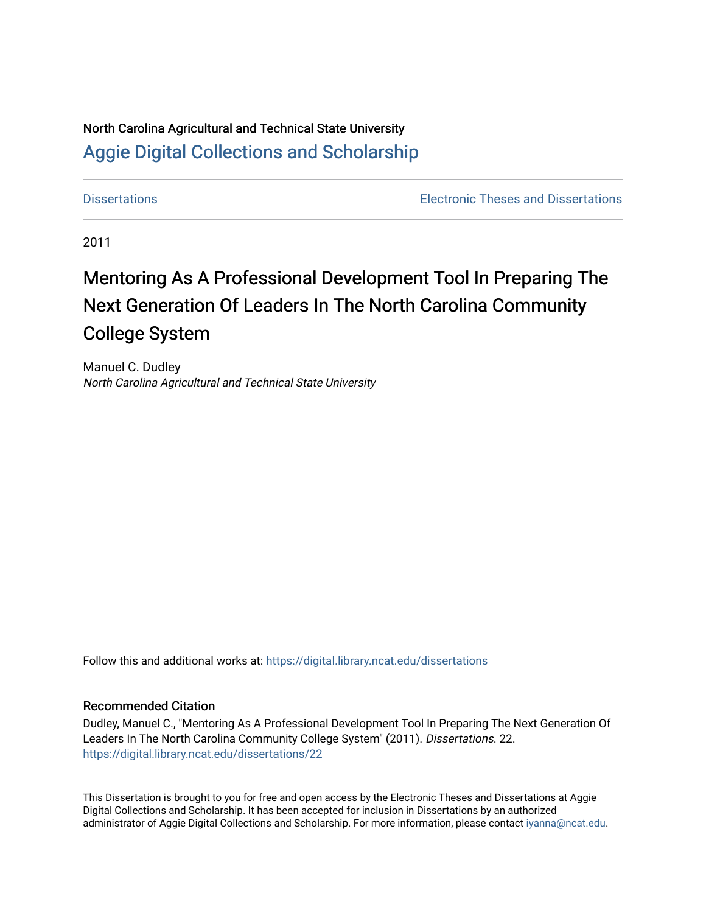# North Carolina Agricultural and Technical State University [Aggie Digital Collections and Scholarship](https://digital.library.ncat.edu/)

[Dissertations](https://digital.library.ncat.edu/dissertations) [Electronic Theses and Dissertations](https://digital.library.ncat.edu/etds) 

2011

# Mentoring As A Professional Development Tool In Preparing The Next Generation Of Leaders In The North Carolina Community College System

Manuel C. Dudley North Carolina Agricultural and Technical State University

Follow this and additional works at: [https://digital.library.ncat.edu/dissertations](https://digital.library.ncat.edu/dissertations?utm_source=digital.library.ncat.edu%2Fdissertations%2F22&utm_medium=PDF&utm_campaign=PDFCoverPages)

#### Recommended Citation

Dudley, Manuel C., "Mentoring As A Professional Development Tool In Preparing The Next Generation Of Leaders In The North Carolina Community College System" (2011). Dissertations. 22. [https://digital.library.ncat.edu/dissertations/22](https://digital.library.ncat.edu/dissertations/22?utm_source=digital.library.ncat.edu%2Fdissertations%2F22&utm_medium=PDF&utm_campaign=PDFCoverPages) 

This Dissertation is brought to you for free and open access by the Electronic Theses and Dissertations at Aggie Digital Collections and Scholarship. It has been accepted for inclusion in Dissertations by an authorized administrator of Aggie Digital Collections and Scholarship. For more information, please contact [iyanna@ncat.edu](mailto:iyanna@ncat.edu).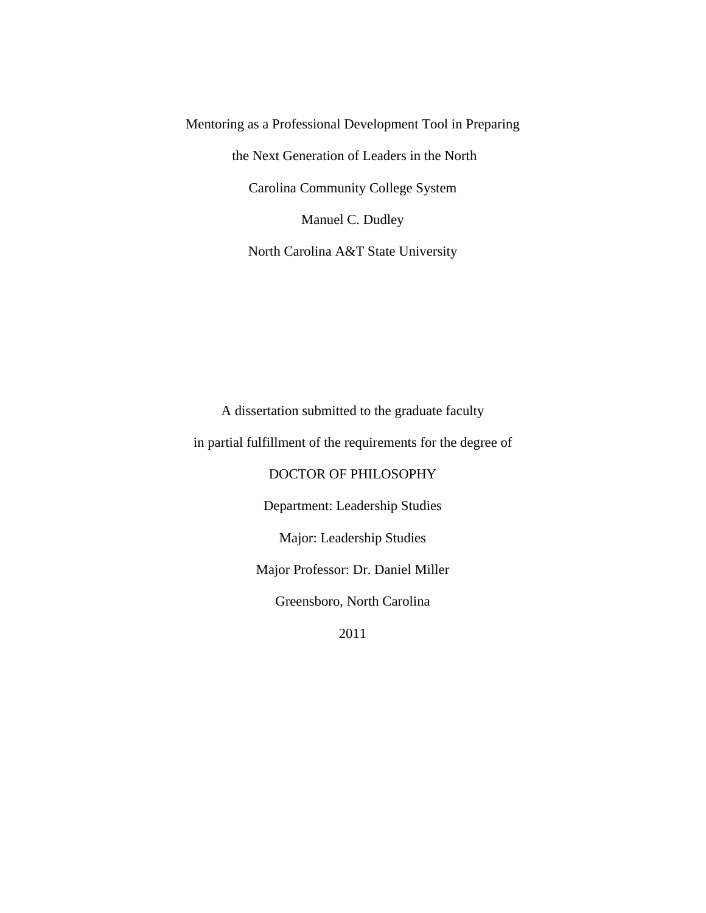Mentoring as a Professional Development Tool in Preparing the Next Generation of Leaders in the North Carolina Community College System Manuel C. Dudley North Carolina A&T State University

A dissertation submitted to the graduate faculty in partial fulfillment of the requirements for the degree of

DOCTOR OF PHILOSOPHY

Department: Leadership Studies

Major: Leadership Studies

Major Professor: Dr. Daniel Miller

Greensboro, North Carolina

2011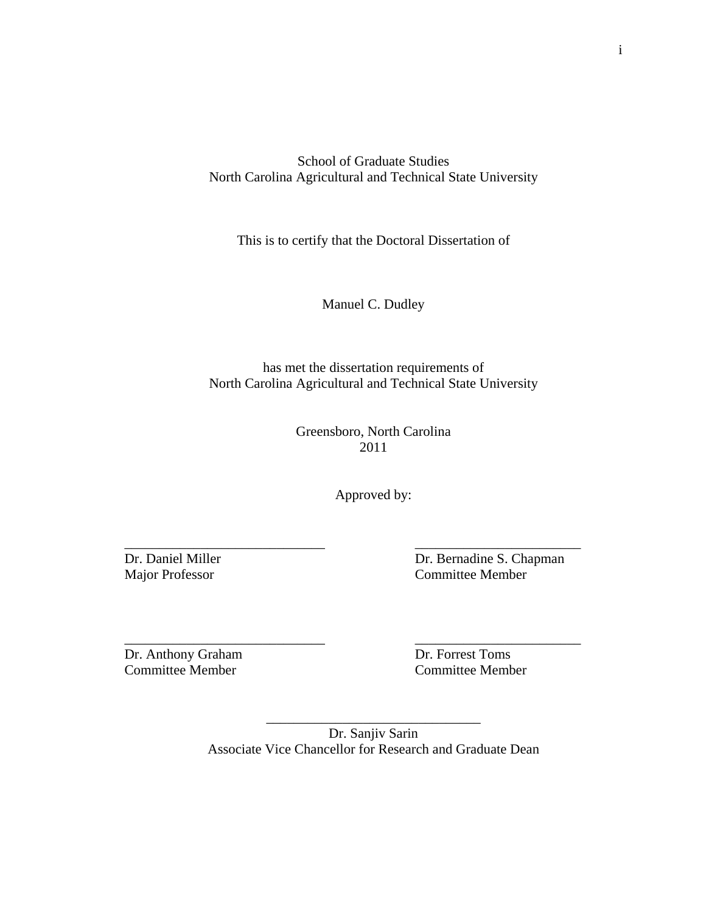School of Graduate Studies North Carolina Agricultural and Technical State University

This is to certify that the Doctoral Dissertation of

Manuel C. Dudley

has met the dissertation requirements of North Carolina Agricultural and Technical State University

> Greensboro, North Carolina 2011

> > Approved by:

\_\_\_\_\_\_\_\_\_\_\_\_\_\_\_\_\_\_\_\_\_\_\_\_\_\_\_\_\_ \_\_\_\_\_\_\_\_\_\_\_\_\_\_\_\_\_\_\_\_\_\_\_\_

\_\_\_\_\_\_\_\_\_\_\_\_\_\_\_\_\_\_\_\_\_\_\_\_\_\_\_\_\_ \_\_\_\_\_\_\_\_\_\_\_\_\_\_\_\_\_\_\_\_\_\_\_\_

Dr. Daniel Miller Dr. Bernadine S. Chapman Major Professor Committee Member

Dr. Anthony Graham Dr. Forrest Toms Committee Member Committee Member

Dr. Sanjiv Sarin Associate Vice Chancellor for Research and Graduate Dean

\_\_\_\_\_\_\_\_\_\_\_\_\_\_\_\_\_\_\_\_\_\_\_\_\_\_\_\_\_\_\_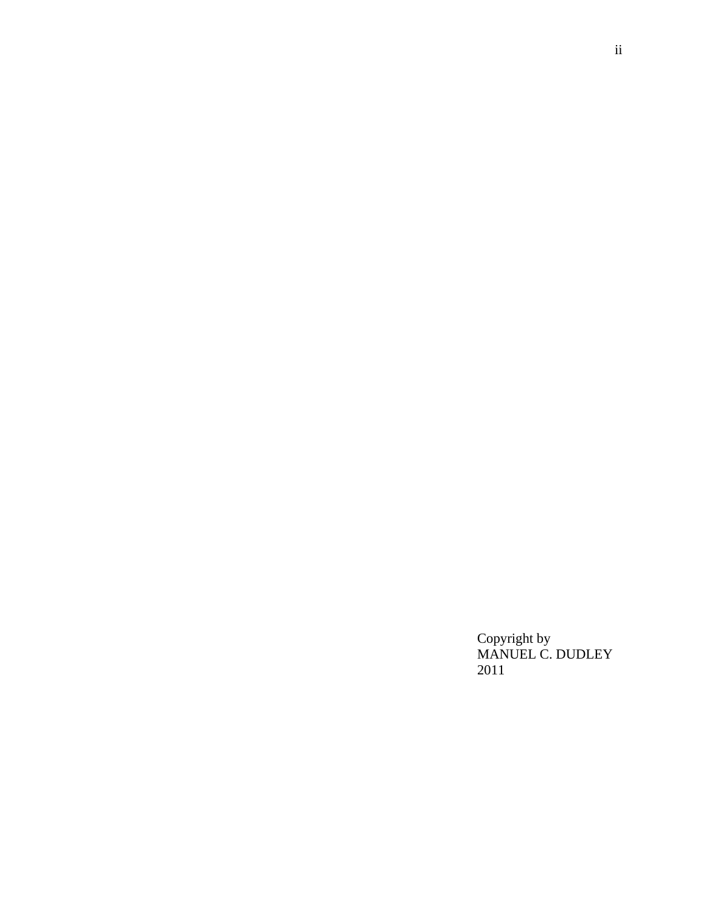Copyright by MANUEL C. DUDLEY 2011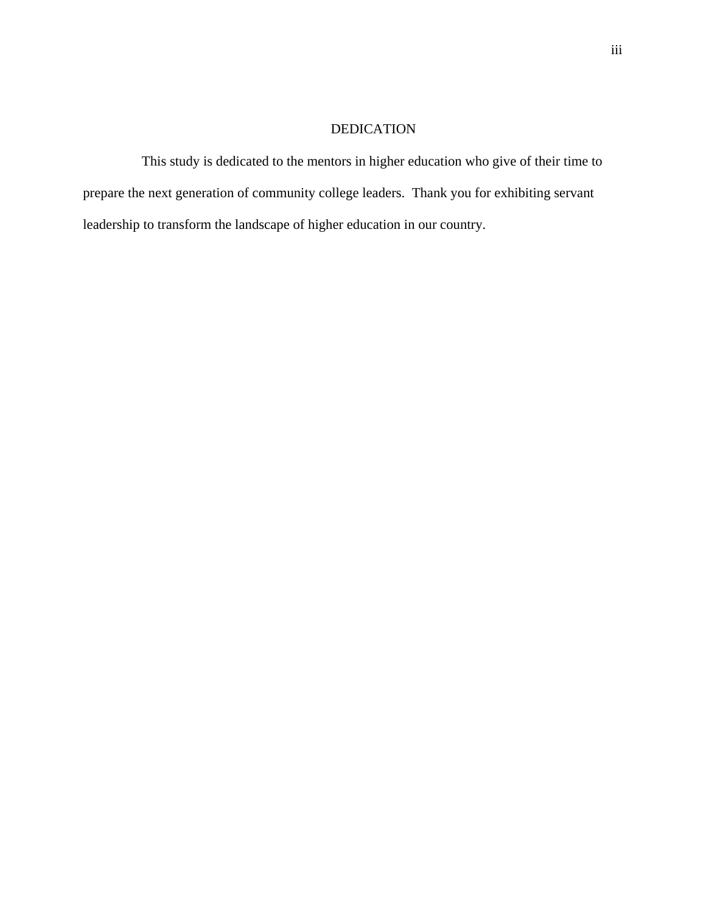## DEDICATION

 This study is dedicated to the mentors in higher education who give of their time to prepare the next generation of community college leaders. Thank you for exhibiting servant leadership to transform the landscape of higher education in our country.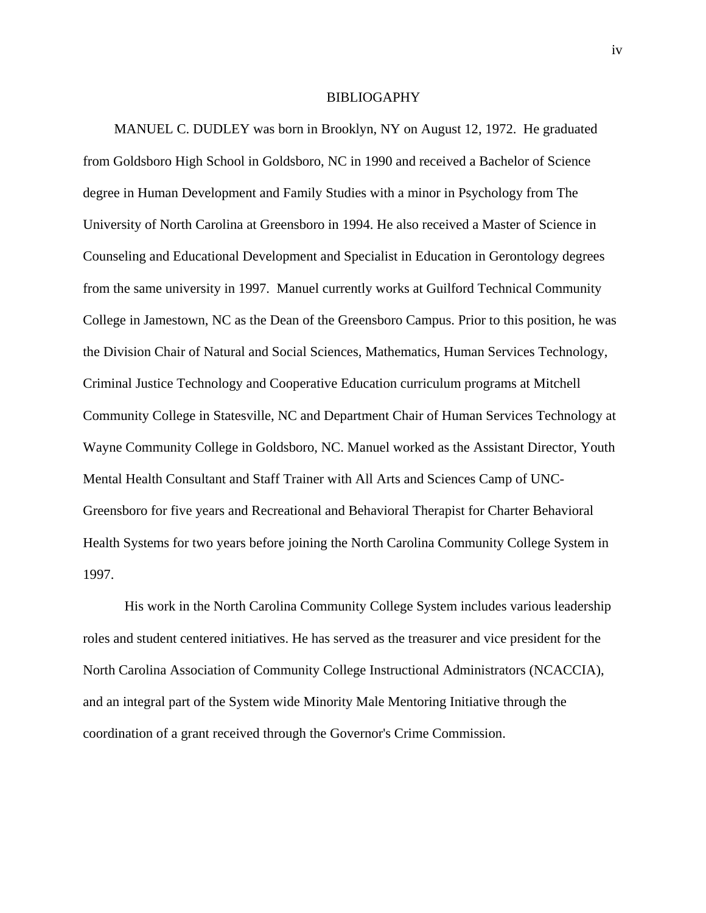#### BIBLIOGAPHY

 MANUEL C. DUDLEY was born in Brooklyn, NY on August 12, 1972. He graduated from Goldsboro High School in Goldsboro, NC in 1990 and received a Bachelor of Science degree in Human Development and Family Studies with a minor in Psychology from The University of North Carolina at Greensboro in 1994. He also received a Master of Science in Counseling and Educational Development and Specialist in Education in Gerontology degrees from the same university in 1997. Manuel currently works at Guilford Technical Community College in Jamestown, NC as the Dean of the Greensboro Campus. Prior to this position, he was the Division Chair of Natural and Social Sciences, Mathematics, Human Services Technology, Criminal Justice Technology and Cooperative Education curriculum programs at Mitchell Community College in Statesville, NC and Department Chair of Human Services Technology at Wayne Community College in Goldsboro, NC. Manuel worked as the Assistant Director, Youth Mental Health Consultant and Staff Trainer with All Arts and Sciences Camp of UNC-Greensboro for five years and Recreational and Behavioral Therapist for Charter Behavioral Health Systems for two years before joining the North Carolina Community College System in 1997.

His work in the North Carolina Community College System includes various leadership roles and student centered initiatives. He has served as the treasurer and vice president for the North Carolina Association of Community College Instructional Administrators (NCACCIA), and an integral part of the System wide Minority Male Mentoring Initiative through the coordination of a grant received through the Governor's Crime Commission.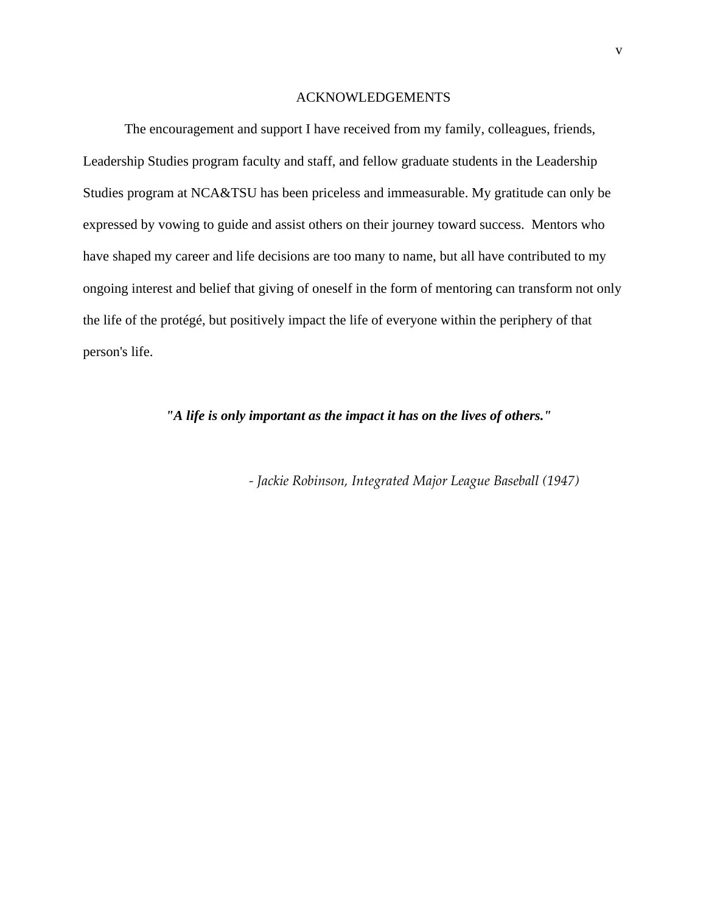#### ACKNOWLEDGEMENTS

The encouragement and support I have received from my family, colleagues, friends, Leadership Studies program faculty and staff, and fellow graduate students in the Leadership Studies program at NCA&TSU has been priceless and immeasurable. My gratitude can only be expressed by vowing to guide and assist others on their journey toward success. Mentors who have shaped my career and life decisions are too many to name, but all have contributed to my ongoing interest and belief that giving of oneself in the form of mentoring can transform not only the life of the protégé, but positively impact the life of everyone within the periphery of that person's life.

 *"A life is only important as the impact it has on the lives of others."* 

 *‐ Jackie Robinson, Integrated Major League Baseball (1947)*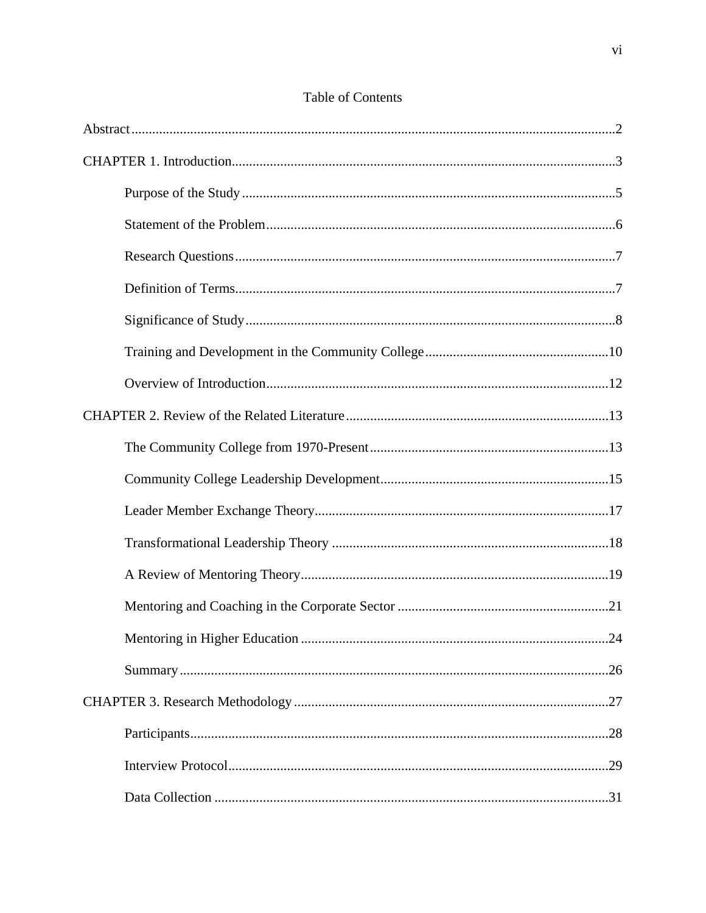# Table of Contents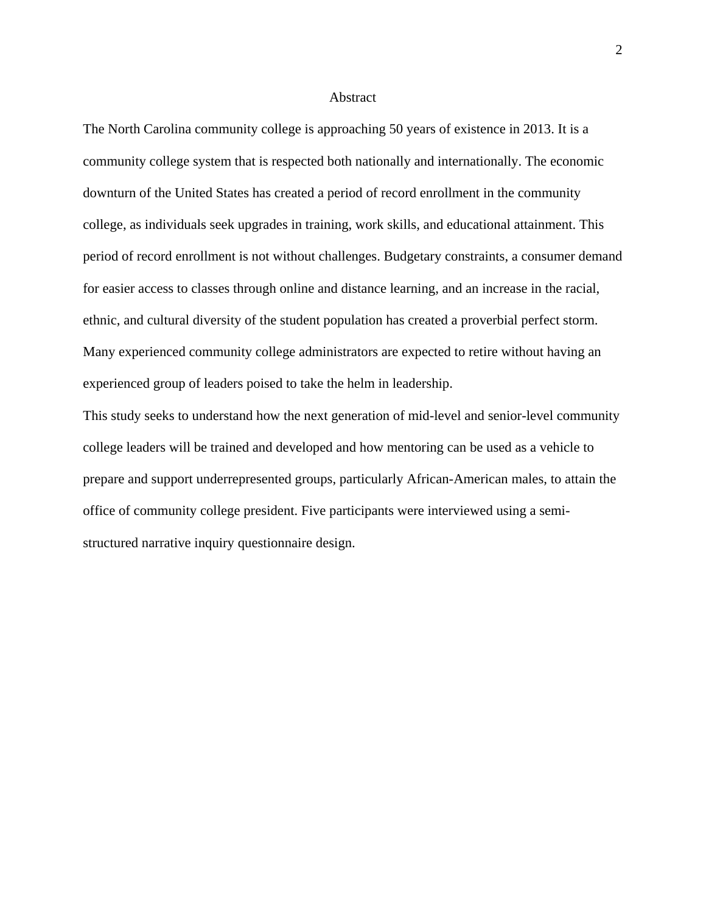#### Abstract

The North Carolina community college is approaching 50 years of existence in 2013. It is a community college system that is respected both nationally and internationally. The economic downturn of the United States has created a period of record enrollment in the community college, as individuals seek upgrades in training, work skills, and educational attainment. This period of record enrollment is not without challenges. Budgetary constraints, a consumer demand for easier access to classes through online and distance learning, and an increase in the racial, ethnic, and cultural diversity of the student population has created a proverbial perfect storm. Many experienced community college administrators are expected to retire without having an experienced group of leaders poised to take the helm in leadership.

This study seeks to understand how the next generation of mid-level and senior-level community college leaders will be trained and developed and how mentoring can be used as a vehicle to prepare and support underrepresented groups, particularly African-American males, to attain the office of community college president. Five participants were interviewed using a semistructured narrative inquiry questionnaire design.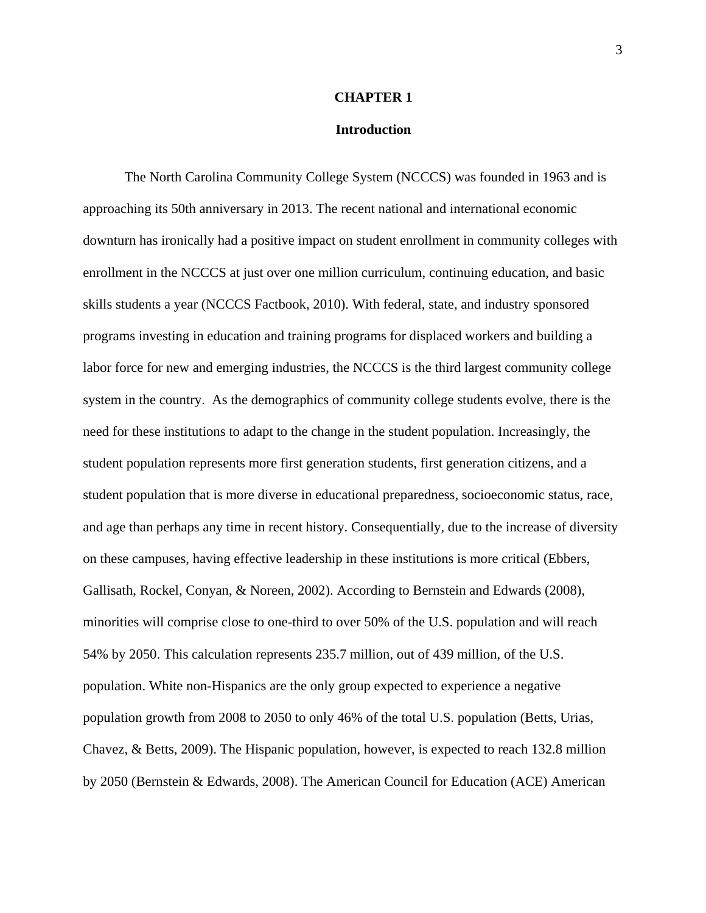#### **CHAPTER 1**

#### **Introduction**

The North Carolina Community College System (NCCCS) was founded in 1963 and is approaching its 50th anniversary in 2013. The recent national and international economic downturn has ironically had a positive impact on student enrollment in community colleges with enrollment in the NCCCS at just over one million curriculum, continuing education, and basic skills students a year (NCCCS Factbook, 2010). With federal, state, and industry sponsored programs investing in education and training programs for displaced workers and building a labor force for new and emerging industries, the NCCCS is the third largest community college system in the country. As the demographics of community college students evolve, there is the need for these institutions to adapt to the change in the student population. Increasingly, the student population represents more first generation students, first generation citizens, and a student population that is more diverse in educational preparedness, socioeconomic status, race, and age than perhaps any time in recent history. Consequentially, due to the increase of diversity on these campuses, having effective leadership in these institutions is more critical (Ebbers, Gallisath, Rockel, Conyan, & Noreen, 2002). According to Bernstein and Edwards (2008), minorities will comprise close to one-third to over 50% of the U.S. population and will reach 54% by 2050. This calculation represents 235.7 million, out of 439 million, of the U.S. population. White non-Hispanics are the only group expected to experience a negative population growth from 2008 to 2050 to only 46% of the total U.S. population (Betts, Urias, Chavez, & Betts, 2009). The Hispanic population, however, is expected to reach 132.8 million by 2050 (Bernstein & Edwards, 2008). The American Council for Education (ACE) American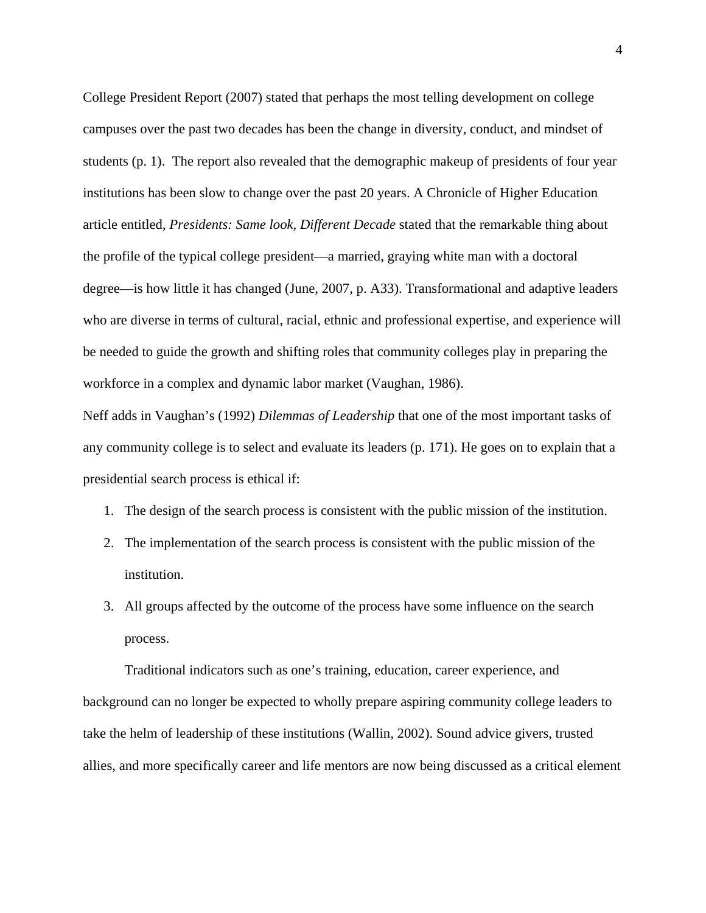College President Report (2007) stated that perhaps the most telling development on college campuses over the past two decades has been the change in diversity, conduct, and mindset of students (p. 1). The report also revealed that the demographic makeup of presidents of four year institutions has been slow to change over the past 20 years. A Chronicle of Higher Education article entitled, *Presidents: Same look, Different Decade* stated that the remarkable thing about the profile of the typical college president—a married, graying white man with a doctoral degree—is how little it has changed (June, 2007, p. A33). Transformational and adaptive leaders who are diverse in terms of cultural, racial, ethnic and professional expertise, and experience will be needed to guide the growth and shifting roles that community colleges play in preparing the workforce in a complex and dynamic labor market (Vaughan, 1986).

Neff adds in Vaughan's (1992) *Dilemmas of Leadership* that one of the most important tasks of any community college is to select and evaluate its leaders (p. 171). He goes on to explain that a presidential search process is ethical if:

- 1. The design of the search process is consistent with the public mission of the institution.
- 2. The implementation of the search process is consistent with the public mission of the institution.
- 3. All groups affected by the outcome of the process have some influence on the search process.

Traditional indicators such as one's training, education, career experience, and background can no longer be expected to wholly prepare aspiring community college leaders to take the helm of leadership of these institutions (Wallin, 2002). Sound advice givers, trusted allies, and more specifically career and life mentors are now being discussed as a critical element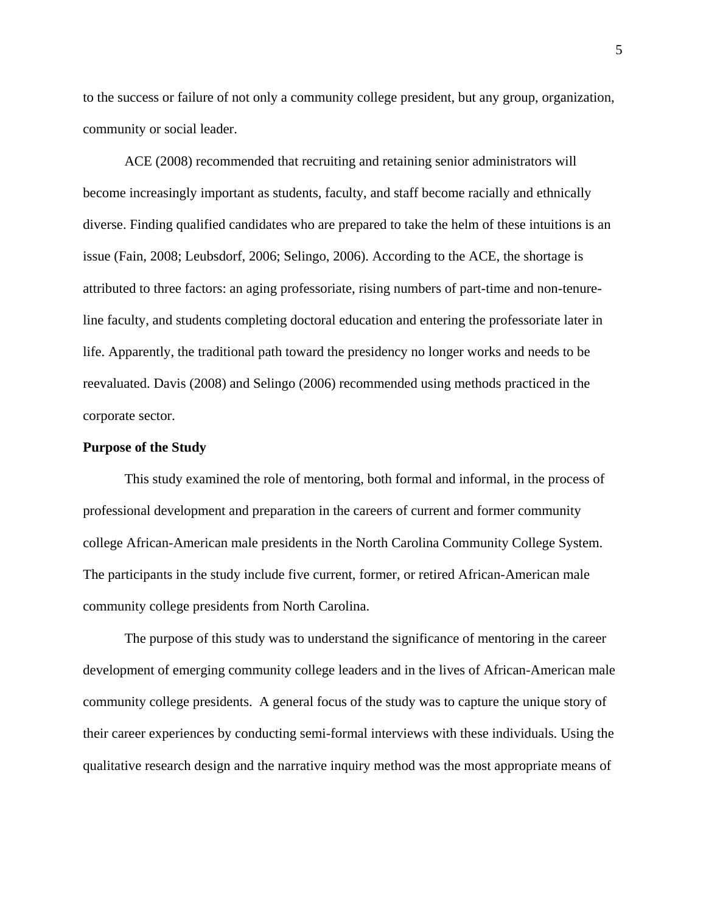to the success or failure of not only a community college president, but any group, organization, community or social leader.

ACE (2008) recommended that recruiting and retaining senior administrators will become increasingly important as students, faculty, and staff become racially and ethnically diverse. Finding qualified candidates who are prepared to take the helm of these intuitions is an issue (Fain, 2008; Leubsdorf, 2006; Selingo, 2006). According to the ACE, the shortage is attributed to three factors: an aging professoriate, rising numbers of part-time and non-tenureline faculty, and students completing doctoral education and entering the professoriate later in life. Apparently, the traditional path toward the presidency no longer works and needs to be reevaluated. Davis (2008) and Selingo (2006) recommended using methods practiced in the corporate sector.

#### **Purpose of the Study**

This study examined the role of mentoring, both formal and informal, in the process of professional development and preparation in the careers of current and former community college African-American male presidents in the North Carolina Community College System. The participants in the study include five current, former, or retired African-American male community college presidents from North Carolina.

The purpose of this study was to understand the significance of mentoring in the career development of emerging community college leaders and in the lives of African-American male community college presidents. A general focus of the study was to capture the unique story of their career experiences by conducting semi-formal interviews with these individuals. Using the qualitative research design and the narrative inquiry method was the most appropriate means of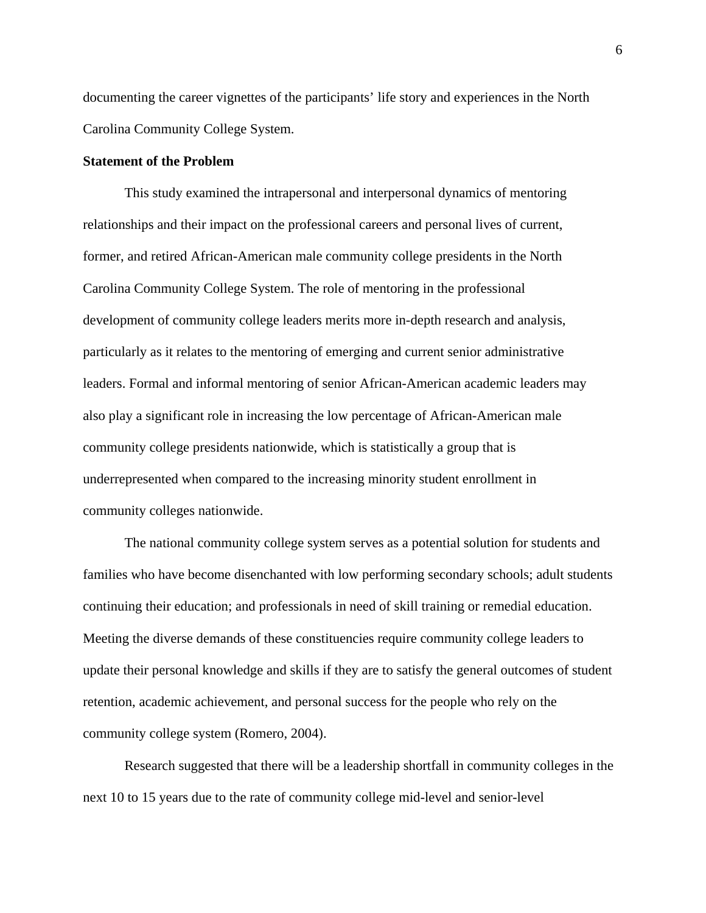documenting the career vignettes of the participants' life story and experiences in the North Carolina Community College System.

#### **Statement of the Problem**

This study examined the intrapersonal and interpersonal dynamics of mentoring relationships and their impact on the professional careers and personal lives of current, former, and retired African-American male community college presidents in the North Carolina Community College System. The role of mentoring in the professional development of community college leaders merits more in-depth research and analysis, particularly as it relates to the mentoring of emerging and current senior administrative leaders. Formal and informal mentoring of senior African-American academic leaders may also play a significant role in increasing the low percentage of African-American male community college presidents nationwide, which is statistically a group that is underrepresented when compared to the increasing minority student enrollment in community colleges nationwide.

The national community college system serves as a potential solution for students and families who have become disenchanted with low performing secondary schools; adult students continuing their education; and professionals in need of skill training or remedial education. Meeting the diverse demands of these constituencies require community college leaders to update their personal knowledge and skills if they are to satisfy the general outcomes of student retention, academic achievement, and personal success for the people who rely on the community college system (Romero, 2004).

Research suggested that there will be a leadership shortfall in community colleges in the next 10 to 15 years due to the rate of community college mid-level and senior-level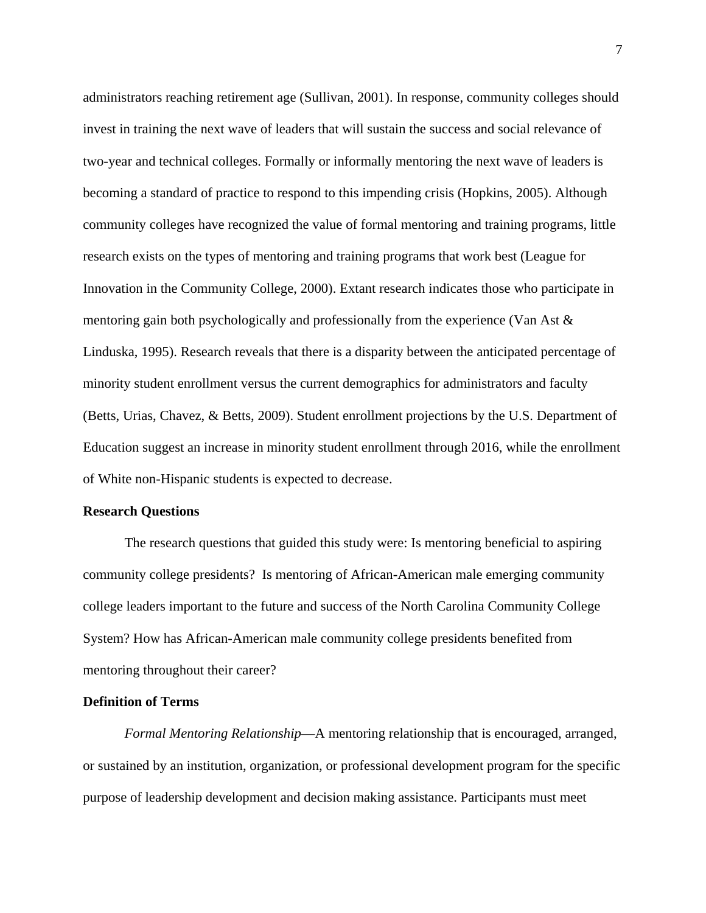administrators reaching retirement age (Sullivan, 2001). In response, community colleges should invest in training the next wave of leaders that will sustain the success and social relevance of two-year and technical colleges. Formally or informally mentoring the next wave of leaders is becoming a standard of practice to respond to this impending crisis (Hopkins, 2005). Although community colleges have recognized the value of formal mentoring and training programs, little research exists on the types of mentoring and training programs that work best (League for Innovation in the Community College, 2000). Extant research indicates those who participate in mentoring gain both psychologically and professionally from the experience (Van Ast & Linduska, 1995). Research reveals that there is a disparity between the anticipated percentage of minority student enrollment versus the current demographics for administrators and faculty (Betts, Urias, Chavez, & Betts, 2009). Student enrollment projections by the U.S. Department of Education suggest an increase in minority student enrollment through 2016, while the enrollment of White non-Hispanic students is expected to decrease.

#### **Research Questions**

The research questions that guided this study were: Is mentoring beneficial to aspiring community college presidents? Is mentoring of African-American male emerging community college leaders important to the future and success of the North Carolina Community College System? How has African-American male community college presidents benefited from mentoring throughout their career?

#### **Definition of Terms**

*Formal Mentoring Relationship*—A mentoring relationship that is encouraged, arranged, or sustained by an institution, organization, or professional development program for the specific purpose of leadership development and decision making assistance. Participants must meet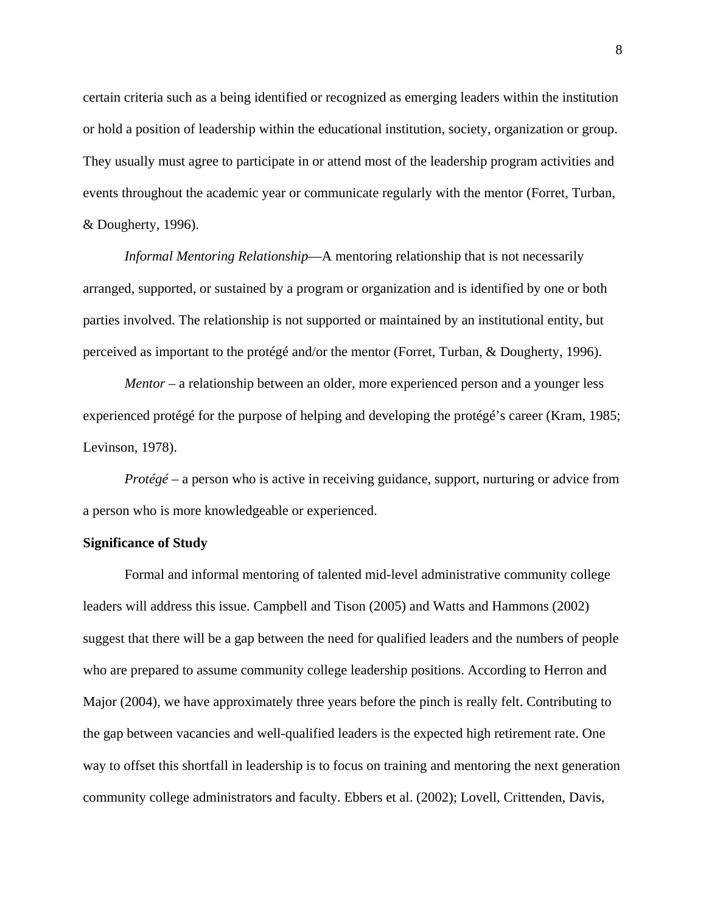certain criteria such as a being identified or recognized as emerging leaders within the institution or hold a position of leadership within the educational institution, society, organization or group. They usually must agree to participate in or attend most of the leadership program activities and events throughout the academic year or communicate regularly with the mentor (Forret, Turban, & Dougherty, 1996).

*Informal Mentoring Relationship*—A mentoring relationship that is not necessarily arranged, supported, or sustained by a program or organization and is identified by one or both parties involved. The relationship is not supported or maintained by an institutional entity, but perceived as important to the protégé and/or the mentor (Forret, Turban, & Dougherty, 1996).

*Mentor* – a relationship between an older, more experienced person and a younger less experienced protégé for the purpose of helping and developing the protégé's career (Kram, 1985; Levinson, 1978).

*Protégé* – a person who is active in receiving guidance, support, nurturing or advice from a person who is more knowledgeable or experienced.

#### **Significance of Study**

Formal and informal mentoring of talented mid-level administrative community college leaders will address this issue. Campbell and Tison (2005) and Watts and Hammons (2002) suggest that there will be a gap between the need for qualified leaders and the numbers of people who are prepared to assume community college leadership positions. According to Herron and Major (2004), we have approximately three years before the pinch is really felt. Contributing to the gap between vacancies and well-qualified leaders is the expected high retirement rate. One way to offset this shortfall in leadership is to focus on training and mentoring the next generation community college administrators and faculty. Ebbers et al. (2002); Lovell, Crittenden, Davis,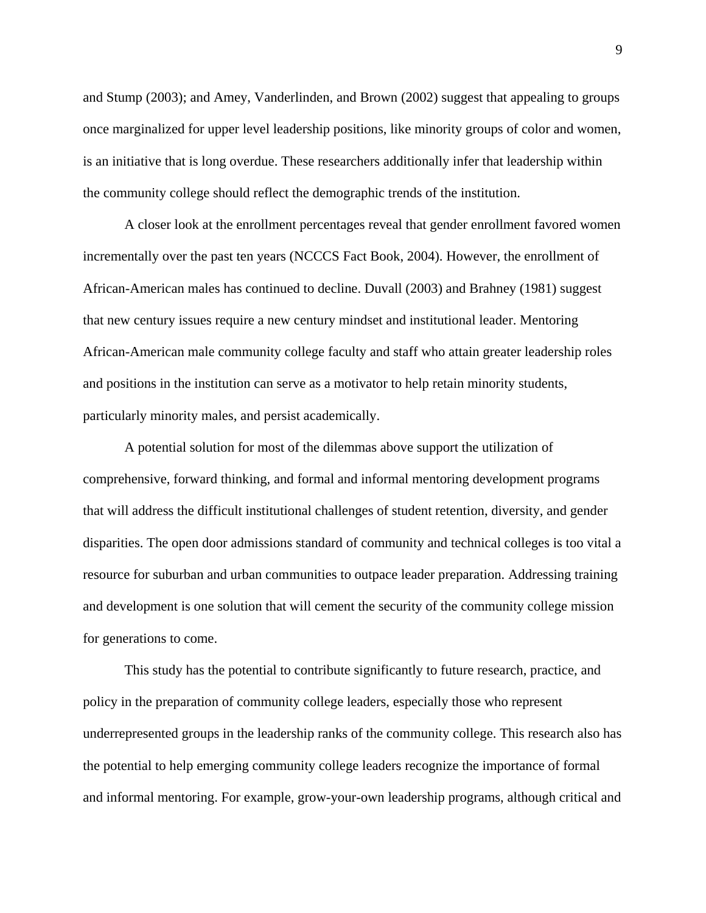and Stump (2003); and Amey, Vanderlinden, and Brown (2002) suggest that appealing to groups once marginalized for upper level leadership positions, like minority groups of color and women, is an initiative that is long overdue. These researchers additionally infer that leadership within the community college should reflect the demographic trends of the institution.

A closer look at the enrollment percentages reveal that gender enrollment favored women incrementally over the past ten years (NCCCS Fact Book, 2004). However, the enrollment of African-American males has continued to decline. Duvall (2003) and Brahney (1981) suggest that new century issues require a new century mindset and institutional leader. Mentoring African-American male community college faculty and staff who attain greater leadership roles and positions in the institution can serve as a motivator to help retain minority students, particularly minority males, and persist academically.

A potential solution for most of the dilemmas above support the utilization of comprehensive, forward thinking, and formal and informal mentoring development programs that will address the difficult institutional challenges of student retention, diversity, and gender disparities. The open door admissions standard of community and technical colleges is too vital a resource for suburban and urban communities to outpace leader preparation. Addressing training and development is one solution that will cement the security of the community college mission for generations to come.

This study has the potential to contribute significantly to future research, practice, and policy in the preparation of community college leaders, especially those who represent underrepresented groups in the leadership ranks of the community college. This research also has the potential to help emerging community college leaders recognize the importance of formal and informal mentoring. For example, grow-your-own leadership programs, although critical and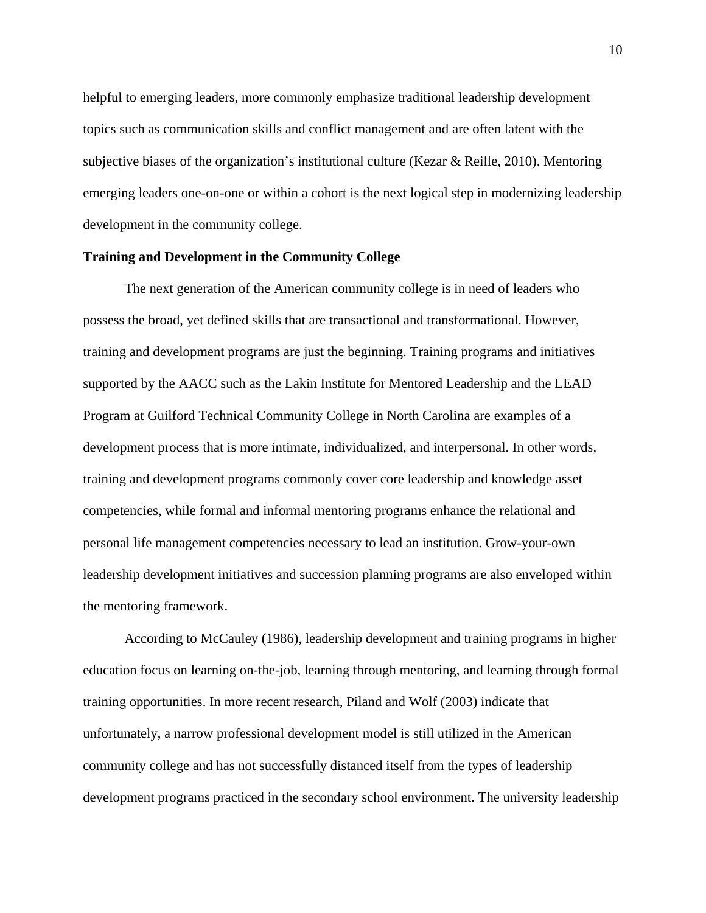helpful to emerging leaders, more commonly emphasize traditional leadership development topics such as communication skills and conflict management and are often latent with the subjective biases of the organization's institutional culture (Kezar & Reille, 2010). Mentoring emerging leaders one-on-one or within a cohort is the next logical step in modernizing leadership development in the community college.

#### **Training and Development in the Community College**

The next generation of the American community college is in need of leaders who possess the broad, yet defined skills that are transactional and transformational. However, training and development programs are just the beginning. Training programs and initiatives supported by the AACC such as the Lakin Institute for Mentored Leadership and the LEAD Program at Guilford Technical Community College in North Carolina are examples of a development process that is more intimate, individualized, and interpersonal. In other words, training and development programs commonly cover core leadership and knowledge asset competencies, while formal and informal mentoring programs enhance the relational and personal life management competencies necessary to lead an institution. Grow-your-own leadership development initiatives and succession planning programs are also enveloped within the mentoring framework.

According to McCauley (1986), leadership development and training programs in higher education focus on learning on-the-job, learning through mentoring, and learning through formal training opportunities. In more recent research, Piland and Wolf (2003) indicate that unfortunately, a narrow professional development model is still utilized in the American community college and has not successfully distanced itself from the types of leadership development programs practiced in the secondary school environment. The university leadership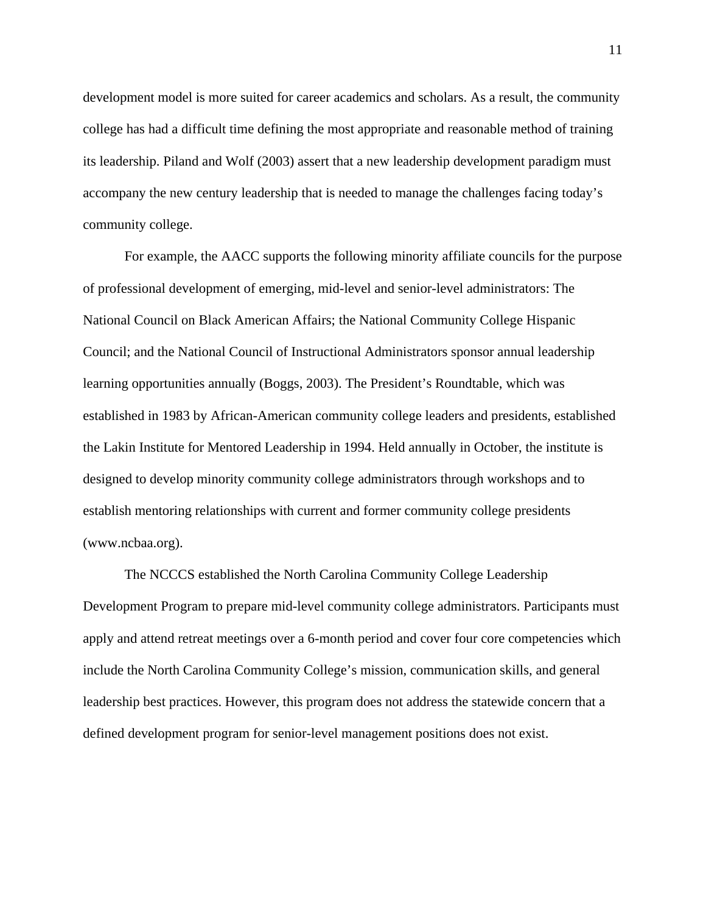development model is more suited for career academics and scholars. As a result, the community college has had a difficult time defining the most appropriate and reasonable method of training its leadership. Piland and Wolf (2003) assert that a new leadership development paradigm must accompany the new century leadership that is needed to manage the challenges facing today's community college.

For example, the AACC supports the following minority affiliate councils for the purpose of professional development of emerging, mid-level and senior-level administrators: The National Council on Black American Affairs; the National Community College Hispanic Council; and the National Council of Instructional Administrators sponsor annual leadership learning opportunities annually (Boggs, 2003). The President's Roundtable, which was established in 1983 by African-American community college leaders and presidents, established the Lakin Institute for Mentored Leadership in 1994. Held annually in October, the institute is designed to develop minority community college administrators through workshops and to establish mentoring relationships with current and former community college presidents (www.ncbaa.org).

The NCCCS established the North Carolina Community College Leadership Development Program to prepare mid-level community college administrators. Participants must apply and attend retreat meetings over a 6-month period and cover four core competencies which include the North Carolina Community College's mission, communication skills, and general leadership best practices. However, this program does not address the statewide concern that a defined development program for senior-level management positions does not exist.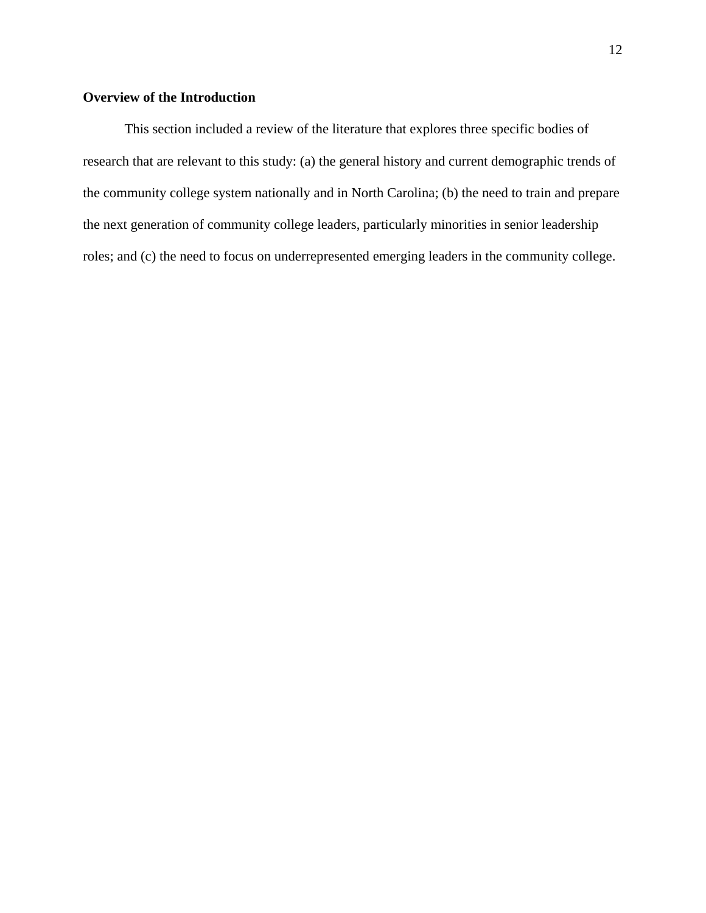### **Overview of the Introduction**

This section included a review of the literature that explores three specific bodies of research that are relevant to this study: (a) the general history and current demographic trends of the community college system nationally and in North Carolina; (b) the need to train and prepare the next generation of community college leaders, particularly minorities in senior leadership roles; and (c) the need to focus on underrepresented emerging leaders in the community college.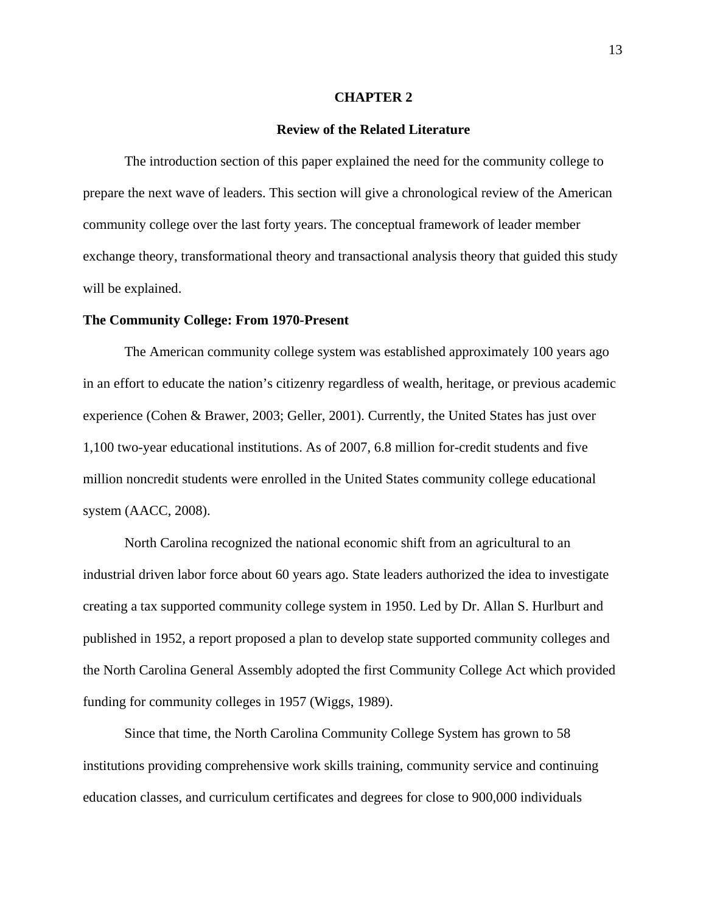#### **CHAPTER 2**

#### **Review of the Related Literature**

The introduction section of this paper explained the need for the community college to prepare the next wave of leaders. This section will give a chronological review of the American community college over the last forty years. The conceptual framework of leader member exchange theory, transformational theory and transactional analysis theory that guided this study will be explained.

#### **The Community College: From 1970-Present**

The American community college system was established approximately 100 years ago in an effort to educate the nation's citizenry regardless of wealth, heritage, or previous academic experience (Cohen & Brawer, 2003; Geller, 2001). Currently, the United States has just over 1,100 two-year educational institutions. As of 2007, 6.8 million for-credit students and five million noncredit students were enrolled in the United States community college educational system (AACC, 2008).

North Carolina recognized the national economic shift from an agricultural to an industrial driven labor force about 60 years ago. State leaders authorized the idea to investigate creating a tax supported community college system in 1950. Led by Dr. Allan S. Hurlburt and published in 1952, a report proposed a plan to develop state supported community colleges and the North Carolina General Assembly adopted the first Community College Act which provided funding for community colleges in 1957 (Wiggs, 1989).

Since that time, the North Carolina Community College System has grown to 58 institutions providing comprehensive work skills training, community service and continuing education classes, and curriculum certificates and degrees for close to 900,000 individuals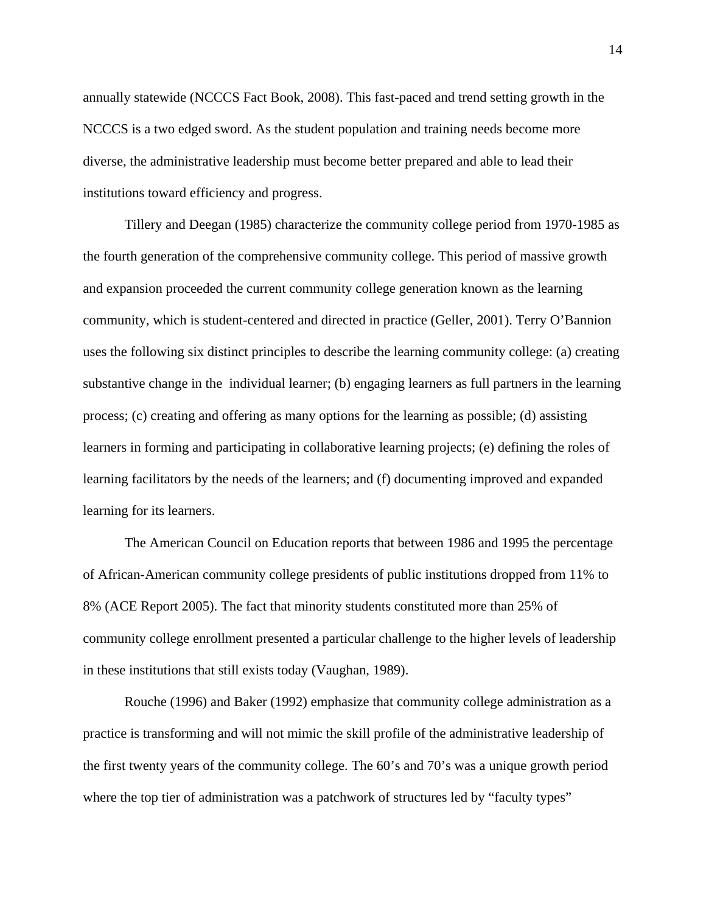annually statewide (NCCCS Fact Book, 2008). This fast-paced and trend setting growth in the NCCCS is a two edged sword. As the student population and training needs become more diverse, the administrative leadership must become better prepared and able to lead their institutions toward efficiency and progress.

Tillery and Deegan (1985) characterize the community college period from 1970-1985 as the fourth generation of the comprehensive community college. This period of massive growth and expansion proceeded the current community college generation known as the learning community, which is student-centered and directed in practice (Geller, 2001). Terry O'Bannion uses the following six distinct principles to describe the learning community college: (a) creating substantive change in the individual learner; (b) engaging learners as full partners in the learning process; (c) creating and offering as many options for the learning as possible; (d) assisting learners in forming and participating in collaborative learning projects; (e) defining the roles of learning facilitators by the needs of the learners; and (f) documenting improved and expanded learning for its learners.

The American Council on Education reports that between 1986 and 1995 the percentage of African-American community college presidents of public institutions dropped from 11% to 8% (ACE Report 2005). The fact that minority students constituted more than 25% of community college enrollment presented a particular challenge to the higher levels of leadership in these institutions that still exists today (Vaughan, 1989).

Rouche (1996) and Baker (1992) emphasize that community college administration as a practice is transforming and will not mimic the skill profile of the administrative leadership of the first twenty years of the community college. The 60's and 70's was a unique growth period where the top tier of administration was a patchwork of structures led by "faculty types"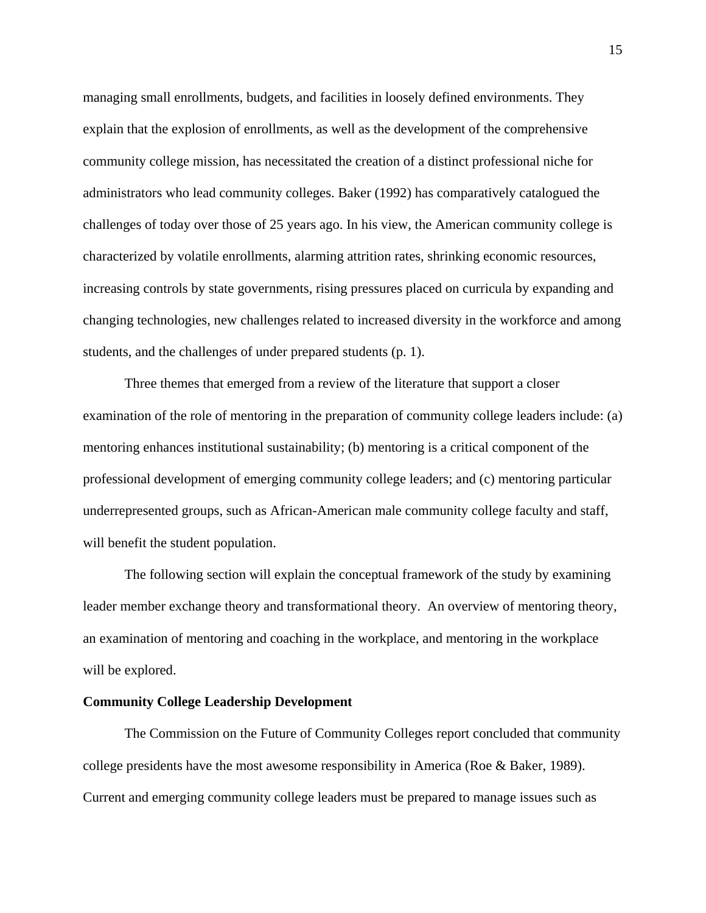managing small enrollments, budgets, and facilities in loosely defined environments. They explain that the explosion of enrollments, as well as the development of the comprehensive community college mission, has necessitated the creation of a distinct professional niche for administrators who lead community colleges. Baker (1992) has comparatively catalogued the challenges of today over those of 25 years ago. In his view, the American community college is characterized by volatile enrollments, alarming attrition rates, shrinking economic resources, increasing controls by state governments, rising pressures placed on curricula by expanding and changing technologies, new challenges related to increased diversity in the workforce and among students, and the challenges of under prepared students (p. 1).

Three themes that emerged from a review of the literature that support a closer examination of the role of mentoring in the preparation of community college leaders include: (a) mentoring enhances institutional sustainability; (b) mentoring is a critical component of the professional development of emerging community college leaders; and (c) mentoring particular underrepresented groups, such as African-American male community college faculty and staff, will benefit the student population.

The following section will explain the conceptual framework of the study by examining leader member exchange theory and transformational theory. An overview of mentoring theory, an examination of mentoring and coaching in the workplace, and mentoring in the workplace will be explored.

#### **Community College Leadership Development**

The Commission on the Future of Community Colleges report concluded that community college presidents have the most awesome responsibility in America (Roe & Baker, 1989). Current and emerging community college leaders must be prepared to manage issues such as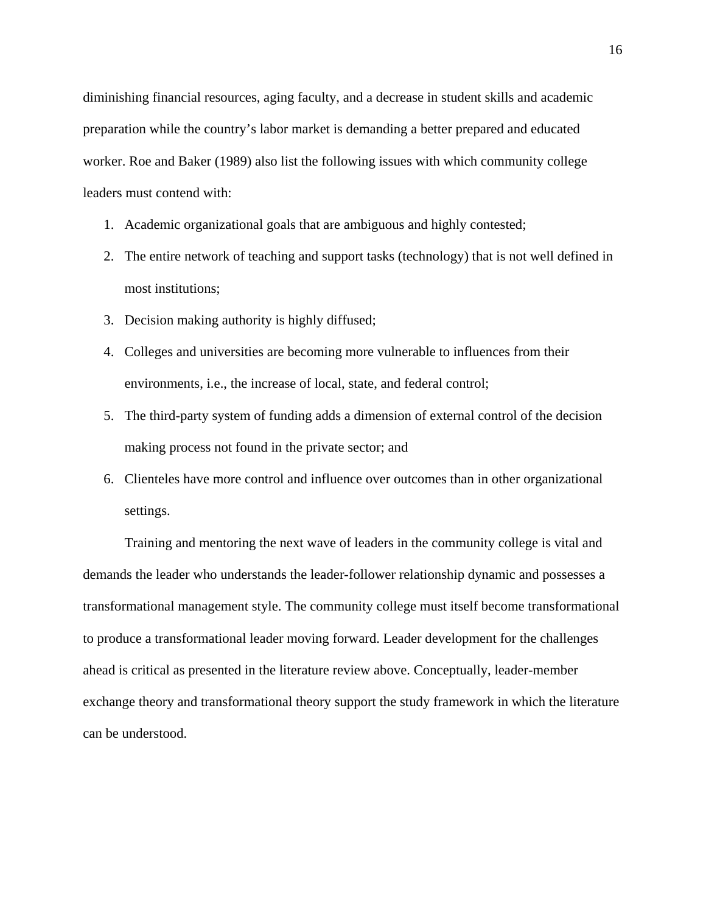diminishing financial resources, aging faculty, and a decrease in student skills and academic preparation while the country's labor market is demanding a better prepared and educated worker. Roe and Baker (1989) also list the following issues with which community college leaders must contend with:

- 1. Academic organizational goals that are ambiguous and highly contested;
- 2. The entire network of teaching and support tasks (technology) that is not well defined in most institutions;
- 3. Decision making authority is highly diffused;
- 4. Colleges and universities are becoming more vulnerable to influences from their environments, i.e., the increase of local, state, and federal control;
- 5. The third-party system of funding adds a dimension of external control of the decision making process not found in the private sector; and
- 6. Clienteles have more control and influence over outcomes than in other organizational settings.

Training and mentoring the next wave of leaders in the community college is vital and demands the leader who understands the leader-follower relationship dynamic and possesses a transformational management style. The community college must itself become transformational to produce a transformational leader moving forward. Leader development for the challenges ahead is critical as presented in the literature review above. Conceptually, leader-member exchange theory and transformational theory support the study framework in which the literature can be understood.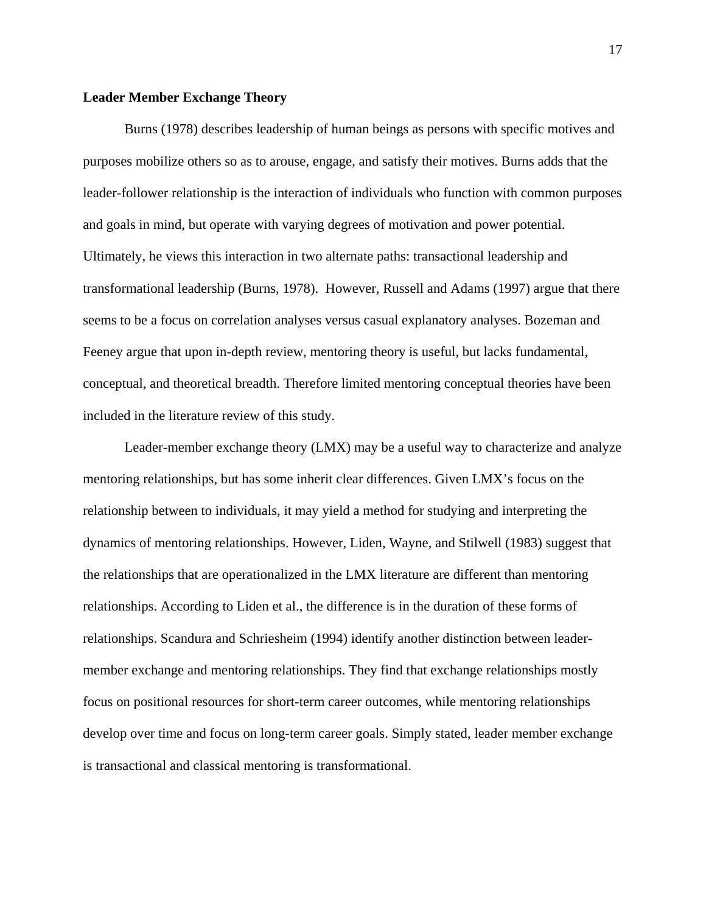#### **Leader Member Exchange Theory**

Burns (1978) describes leadership of human beings as persons with specific motives and purposes mobilize others so as to arouse, engage, and satisfy their motives. Burns adds that the leader-follower relationship is the interaction of individuals who function with common purposes and goals in mind, but operate with varying degrees of motivation and power potential. Ultimately, he views this interaction in two alternate paths: transactional leadership and transformational leadership (Burns, 1978). However, Russell and Adams (1997) argue that there seems to be a focus on correlation analyses versus casual explanatory analyses. Bozeman and Feeney argue that upon in-depth review, mentoring theory is useful, but lacks fundamental, conceptual, and theoretical breadth. Therefore limited mentoring conceptual theories have been included in the literature review of this study.

Leader-member exchange theory (LMX) may be a useful way to characterize and analyze mentoring relationships, but has some inherit clear differences. Given LMX's focus on the relationship between to individuals, it may yield a method for studying and interpreting the dynamics of mentoring relationships. However, Liden, Wayne, and Stilwell (1983) suggest that the relationships that are operationalized in the LMX literature are different than mentoring relationships. According to Liden et al., the difference is in the duration of these forms of relationships. Scandura and Schriesheim (1994) identify another distinction between leadermember exchange and mentoring relationships. They find that exchange relationships mostly focus on positional resources for short-term career outcomes, while mentoring relationships develop over time and focus on long-term career goals. Simply stated, leader member exchange is transactional and classical mentoring is transformational.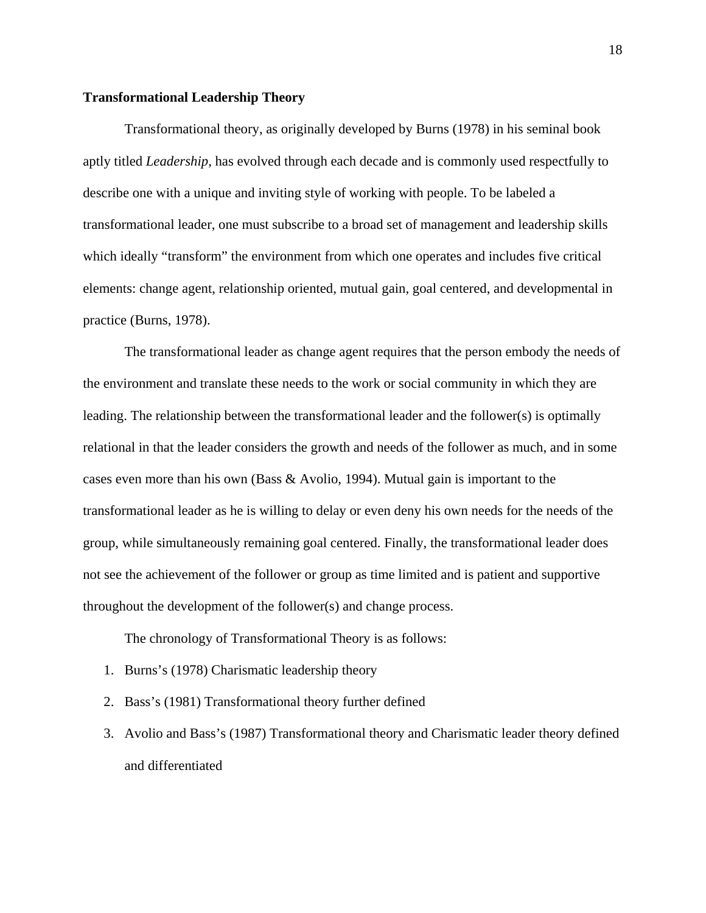#### **Transformational Leadership Theory**

Transformational theory, as originally developed by Burns (1978) in his seminal book aptly titled *Leadership*, has evolved through each decade and is commonly used respectfully to describe one with a unique and inviting style of working with people. To be labeled a transformational leader, one must subscribe to a broad set of management and leadership skills which ideally "transform" the environment from which one operates and includes five critical elements: change agent, relationship oriented, mutual gain, goal centered, and developmental in practice (Burns, 1978).

The transformational leader as change agent requires that the person embody the needs of the environment and translate these needs to the work or social community in which they are leading. The relationship between the transformational leader and the follower(s) is optimally relational in that the leader considers the growth and needs of the follower as much, and in some cases even more than his own (Bass & Avolio, 1994). Mutual gain is important to the transformational leader as he is willing to delay or even deny his own needs for the needs of the group, while simultaneously remaining goal centered. Finally, the transformational leader does not see the achievement of the follower or group as time limited and is patient and supportive throughout the development of the follower(s) and change process.

The chronology of Transformational Theory is as follows:

- 1. Burns's (1978) Charismatic leadership theory
- 2. Bass's (1981) Transformational theory further defined
- 3. Avolio and Bass's (1987) Transformational theory and Charismatic leader theory defined and differentiated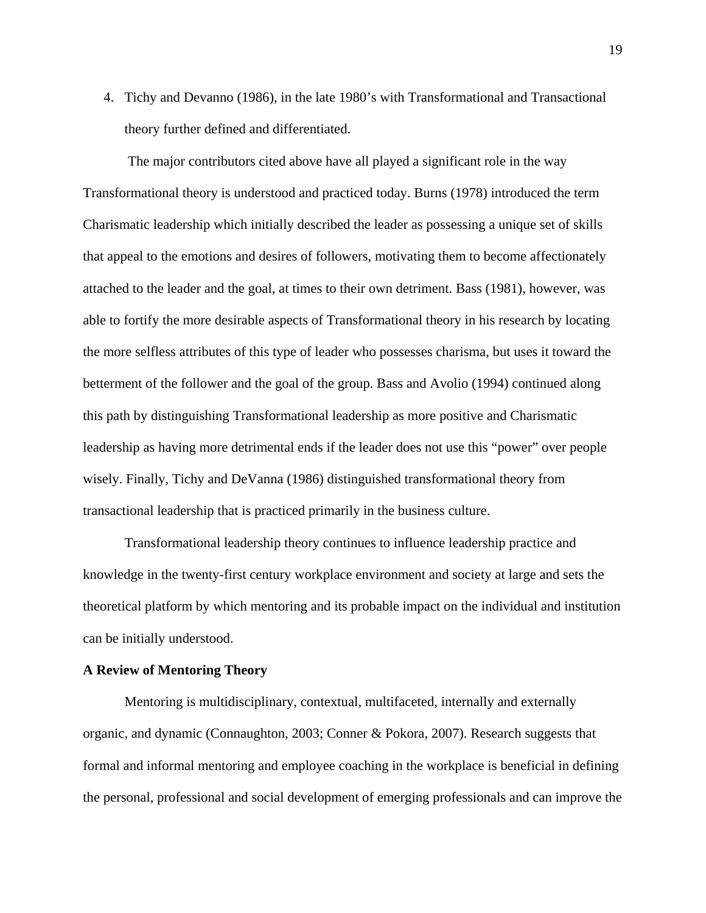4. Tichy and Devanno (1986), in the late 1980's with Transformational and Transactional theory further defined and differentiated.

 The major contributors cited above have all played a significant role in the way Transformational theory is understood and practiced today. Burns (1978) introduced the term Charismatic leadership which initially described the leader as possessing a unique set of skills that appeal to the emotions and desires of followers, motivating them to become affectionately attached to the leader and the goal, at times to their own detriment. Bass (1981), however, was able to fortify the more desirable aspects of Transformational theory in his research by locating the more selfless attributes of this type of leader who possesses charisma, but uses it toward the betterment of the follower and the goal of the group. Bass and Avolio (1994) continued along this path by distinguishing Transformational leadership as more positive and Charismatic leadership as having more detrimental ends if the leader does not use this "power" over people wisely. Finally, Tichy and DeVanna (1986) distinguished transformational theory from transactional leadership that is practiced primarily in the business culture.

Transformational leadership theory continues to influence leadership practice and knowledge in the twenty-first century workplace environment and society at large and sets the theoretical platform by which mentoring and its probable impact on the individual and institution can be initially understood.

#### **A Review of Mentoring Theory**

Mentoring is multidisciplinary, contextual, multifaceted, internally and externally organic, and dynamic (Connaughton, 2003; Conner & Pokora, 2007). Research suggests that formal and informal mentoring and employee coaching in the workplace is beneficial in defining the personal, professional and social development of emerging professionals and can improve the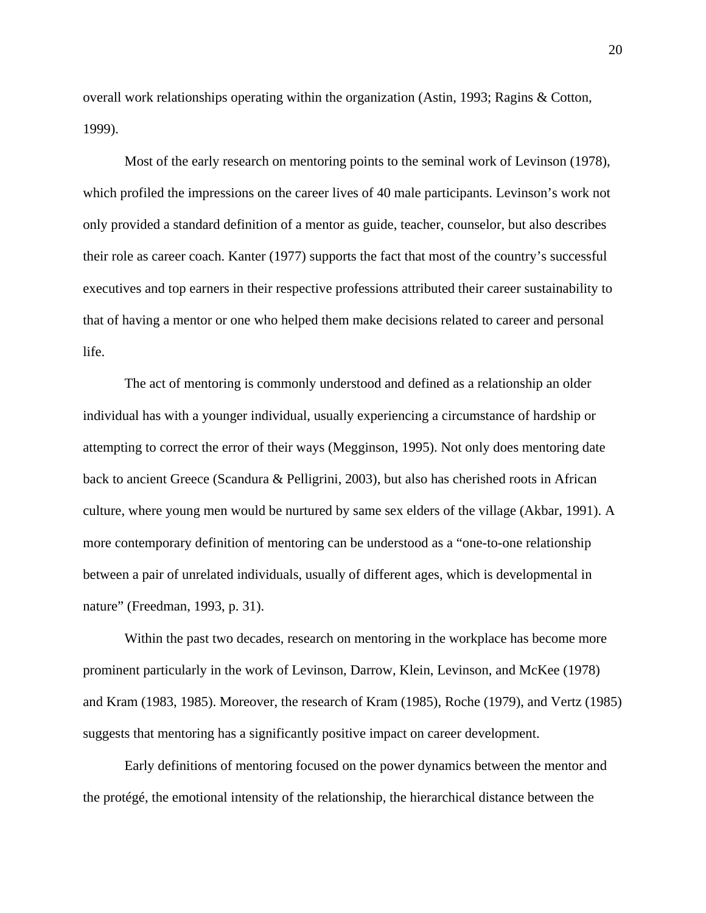overall work relationships operating within the organization (Astin, 1993; Ragins & Cotton, 1999).

Most of the early research on mentoring points to the seminal work of Levinson (1978), which profiled the impressions on the career lives of 40 male participants. Levinson's work not only provided a standard definition of a mentor as guide, teacher, counselor, but also describes their role as career coach. Kanter (1977) supports the fact that most of the country's successful executives and top earners in their respective professions attributed their career sustainability to that of having a mentor or one who helped them make decisions related to career and personal life.

The act of mentoring is commonly understood and defined as a relationship an older individual has with a younger individual, usually experiencing a circumstance of hardship or attempting to correct the error of their ways (Megginson, 1995). Not only does mentoring date back to ancient Greece (Scandura & Pelligrini, 2003), but also has cherished roots in African culture, where young men would be nurtured by same sex elders of the village (Akbar, 1991). A more contemporary definition of mentoring can be understood as a "one-to-one relationship between a pair of unrelated individuals, usually of different ages, which is developmental in nature" (Freedman, 1993, p. 31).

Within the past two decades, research on mentoring in the workplace has become more prominent particularly in the work of Levinson, Darrow, Klein, Levinson, and McKee (1978) and Kram (1983, 1985). Moreover, the research of Kram (1985), Roche (1979), and Vertz (1985) suggests that mentoring has a significantly positive impact on career development.

Early definitions of mentoring focused on the power dynamics between the mentor and the protégé, the emotional intensity of the relationship, the hierarchical distance between the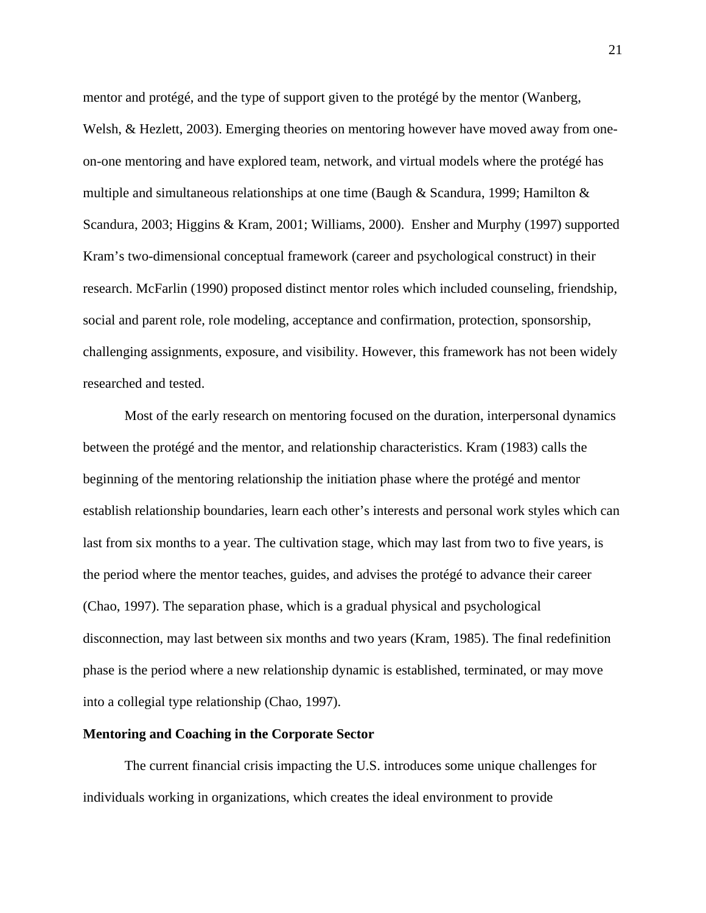mentor and protégé, and the type of support given to the protégé by the mentor (Wanberg, Welsh, & Hezlett, 2003). Emerging theories on mentoring however have moved away from oneon-one mentoring and have explored team, network, and virtual models where the protégé has multiple and simultaneous relationships at one time (Baugh & Scandura, 1999; Hamilton & Scandura, 2003; Higgins & Kram, 2001; Williams, 2000). Ensher and Murphy (1997) supported Kram's two-dimensional conceptual framework (career and psychological construct) in their research. McFarlin (1990) proposed distinct mentor roles which included counseling, friendship, social and parent role, role modeling, acceptance and confirmation, protection, sponsorship, challenging assignments, exposure, and visibility. However, this framework has not been widely researched and tested.

Most of the early research on mentoring focused on the duration, interpersonal dynamics between the protégé and the mentor, and relationship characteristics. Kram (1983) calls the beginning of the mentoring relationship the initiation phase where the protégé and mentor establish relationship boundaries, learn each other's interests and personal work styles which can last from six months to a year. The cultivation stage, which may last from two to five years, is the period where the mentor teaches, guides, and advises the protégé to advance their career (Chao, 1997). The separation phase, which is a gradual physical and psychological disconnection, may last between six months and two years (Kram, 1985). The final redefinition phase is the period where a new relationship dynamic is established, terminated, or may move into a collegial type relationship (Chao, 1997).

#### **Mentoring and Coaching in the Corporate Sector**

The current financial crisis impacting the U.S. introduces some unique challenges for individuals working in organizations, which creates the ideal environment to provide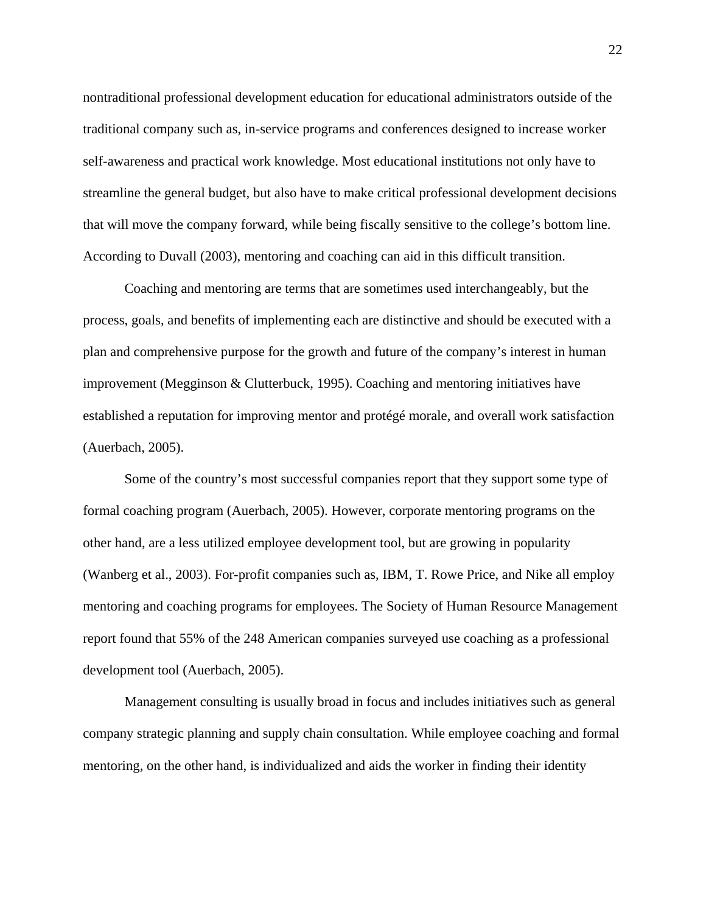nontraditional professional development education for educational administrators outside of the traditional company such as, in-service programs and conferences designed to increase worker self-awareness and practical work knowledge. Most educational institutions not only have to streamline the general budget, but also have to make critical professional development decisions that will move the company forward, while being fiscally sensitive to the college's bottom line. According to Duvall (2003), mentoring and coaching can aid in this difficult transition.

Coaching and mentoring are terms that are sometimes used interchangeably, but the process, goals, and benefits of implementing each are distinctive and should be executed with a plan and comprehensive purpose for the growth and future of the company's interest in human improvement (Megginson & Clutterbuck, 1995). Coaching and mentoring initiatives have established a reputation for improving mentor and protégé morale, and overall work satisfaction (Auerbach, 2005).

Some of the country's most successful companies report that they support some type of formal coaching program (Auerbach, 2005). However, corporate mentoring programs on the other hand, are a less utilized employee development tool, but are growing in popularity (Wanberg et al., 2003). For-profit companies such as, IBM, T. Rowe Price, and Nike all employ mentoring and coaching programs for employees. The Society of Human Resource Management report found that 55% of the 248 American companies surveyed use coaching as a professional development tool (Auerbach, 2005).

Management consulting is usually broad in focus and includes initiatives such as general company strategic planning and supply chain consultation. While employee coaching and formal mentoring, on the other hand, is individualized and aids the worker in finding their identity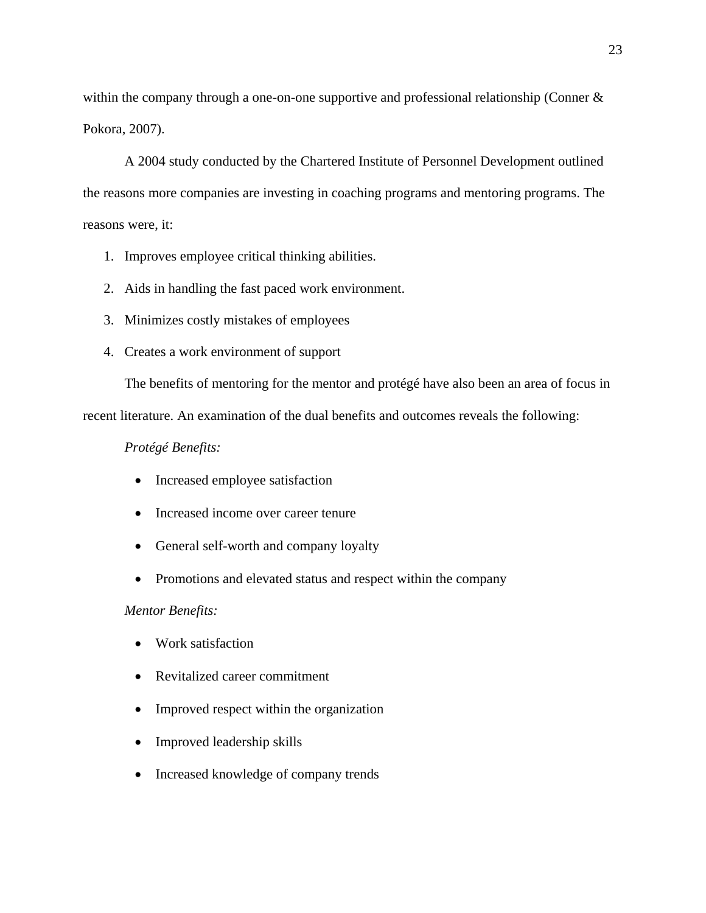within the company through a one-on-one supportive and professional relationship (Conner & Pokora, 2007).

A 2004 study conducted by the Chartered Institute of Personnel Development outlined the reasons more companies are investing in coaching programs and mentoring programs. The reasons were, it:

- 1. Improves employee critical thinking abilities.
- 2. Aids in handling the fast paced work environment.
- 3. Minimizes costly mistakes of employees
- 4. Creates a work environment of support

The benefits of mentoring for the mentor and protégé have also been an area of focus in

recent literature. An examination of the dual benefits and outcomes reveals the following:

#### *Protégé Benefits:*

- Increased employee satisfaction
- Increased income over career tenure
- General self-worth and company loyalty
- Promotions and elevated status and respect within the company

#### *Mentor Benefits:*

- Work satisfaction
- Revitalized career commitment
- Improved respect within the organization
- Improved leadership skills
- Increased knowledge of company trends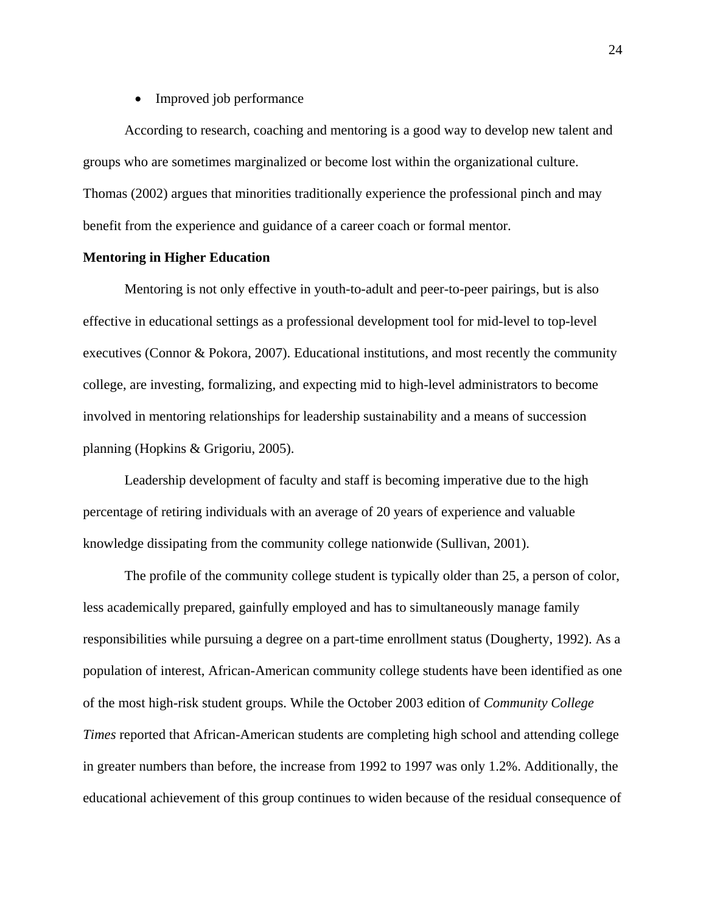#### • Improved job performance

According to research, coaching and mentoring is a good way to develop new talent and groups who are sometimes marginalized or become lost within the organizational culture. Thomas (2002) argues that minorities traditionally experience the professional pinch and may benefit from the experience and guidance of a career coach or formal mentor.

#### **Mentoring in Higher Education**

Mentoring is not only effective in youth-to-adult and peer-to-peer pairings, but is also effective in educational settings as a professional development tool for mid-level to top-level executives (Connor & Pokora, 2007). Educational institutions, and most recently the community college, are investing, formalizing, and expecting mid to high-level administrators to become involved in mentoring relationships for leadership sustainability and a means of succession planning (Hopkins & Grigoriu, 2005).

Leadership development of faculty and staff is becoming imperative due to the high percentage of retiring individuals with an average of 20 years of experience and valuable knowledge dissipating from the community college nationwide (Sullivan, 2001).

The profile of the community college student is typically older than 25, a person of color, less academically prepared, gainfully employed and has to simultaneously manage family responsibilities while pursuing a degree on a part-time enrollment status (Dougherty, 1992). As a population of interest, African-American community college students have been identified as one of the most high-risk student groups. While the October 2003 edition of *Community College Times* reported that African-American students are completing high school and attending college in greater numbers than before, the increase from 1992 to 1997 was only 1.2%. Additionally, the educational achievement of this group continues to widen because of the residual consequence of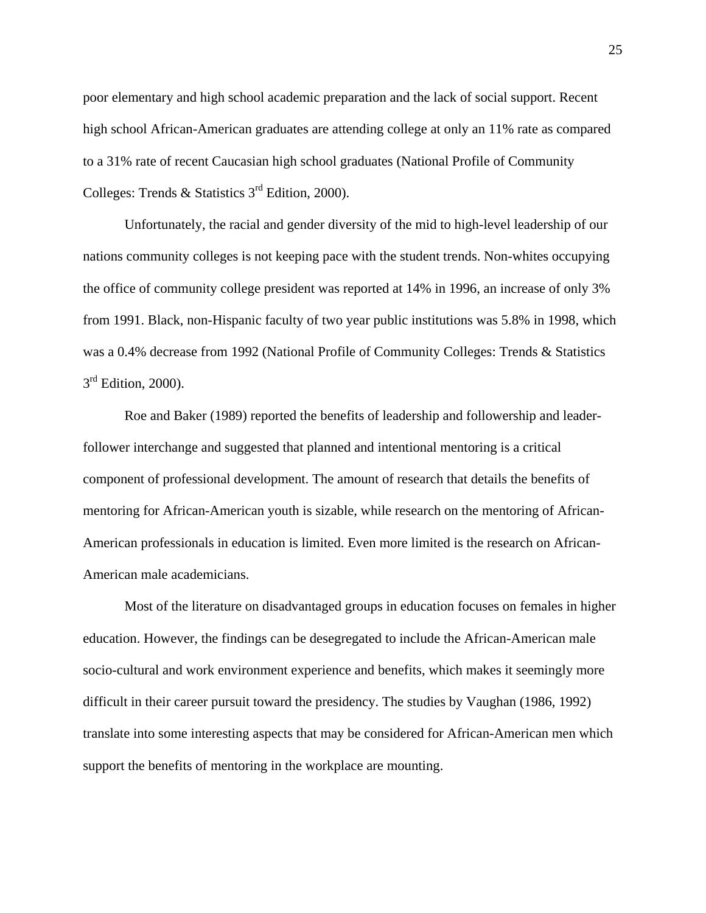poor elementary and high school academic preparation and the lack of social support. Recent high school African-American graduates are attending college at only an 11% rate as compared to a 31% rate of recent Caucasian high school graduates (National Profile of Community Colleges: Trends & Statistics  $3<sup>rd</sup>$  Edition, 2000).

Unfortunately, the racial and gender diversity of the mid to high-level leadership of our nations community colleges is not keeping pace with the student trends. Non-whites occupying the office of community college president was reported at 14% in 1996, an increase of only 3% from 1991. Black, non-Hispanic faculty of two year public institutions was 5.8% in 1998, which was a 0.4% decrease from 1992 (National Profile of Community Colleges: Trends & Statistics  $3<sup>rd</sup>$  Edition, 2000).

Roe and Baker (1989) reported the benefits of leadership and followership and leaderfollower interchange and suggested that planned and intentional mentoring is a critical component of professional development. The amount of research that details the benefits of mentoring for African-American youth is sizable, while research on the mentoring of African-American professionals in education is limited. Even more limited is the research on African-American male academicians.

Most of the literature on disadvantaged groups in education focuses on females in higher education. However, the findings can be desegregated to include the African-American male socio-cultural and work environment experience and benefits, which makes it seemingly more difficult in their career pursuit toward the presidency. The studies by Vaughan (1986, 1992) translate into some interesting aspects that may be considered for African-American men which support the benefits of mentoring in the workplace are mounting.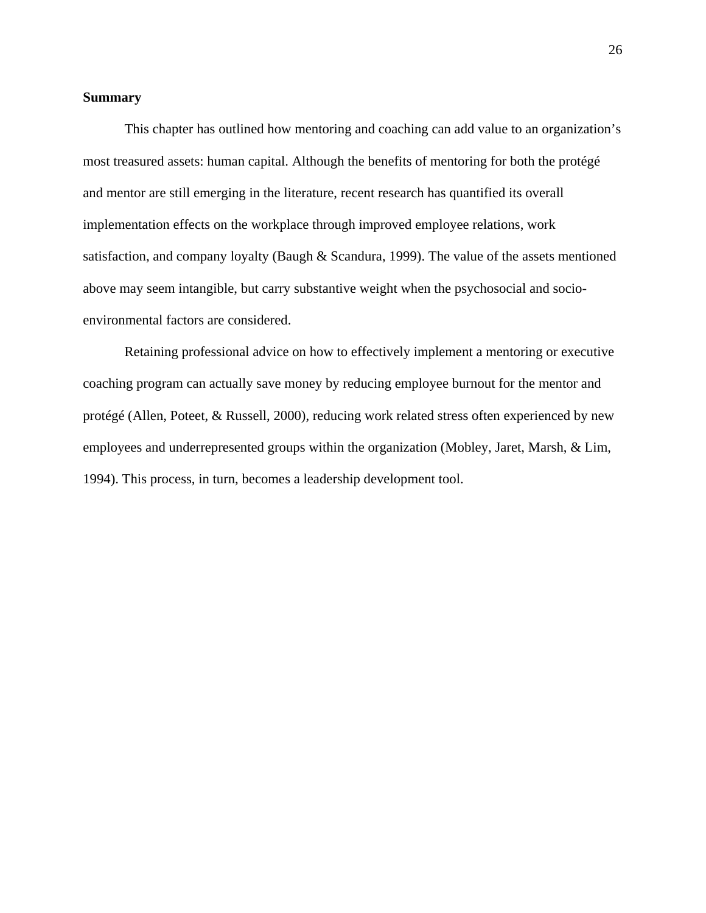#### **Summary**

This chapter has outlined how mentoring and coaching can add value to an organization's most treasured assets: human capital. Although the benefits of mentoring for both the protégé and mentor are still emerging in the literature, recent research has quantified its overall implementation effects on the workplace through improved employee relations, work satisfaction, and company loyalty (Baugh & Scandura, 1999). The value of the assets mentioned above may seem intangible, but carry substantive weight when the psychosocial and socioenvironmental factors are considered.

Retaining professional advice on how to effectively implement a mentoring or executive coaching program can actually save money by reducing employee burnout for the mentor and protégé (Allen, Poteet, & Russell, 2000), reducing work related stress often experienced by new employees and underrepresented groups within the organization (Mobley, Jaret, Marsh, & Lim, 1994). This process, in turn, becomes a leadership development tool.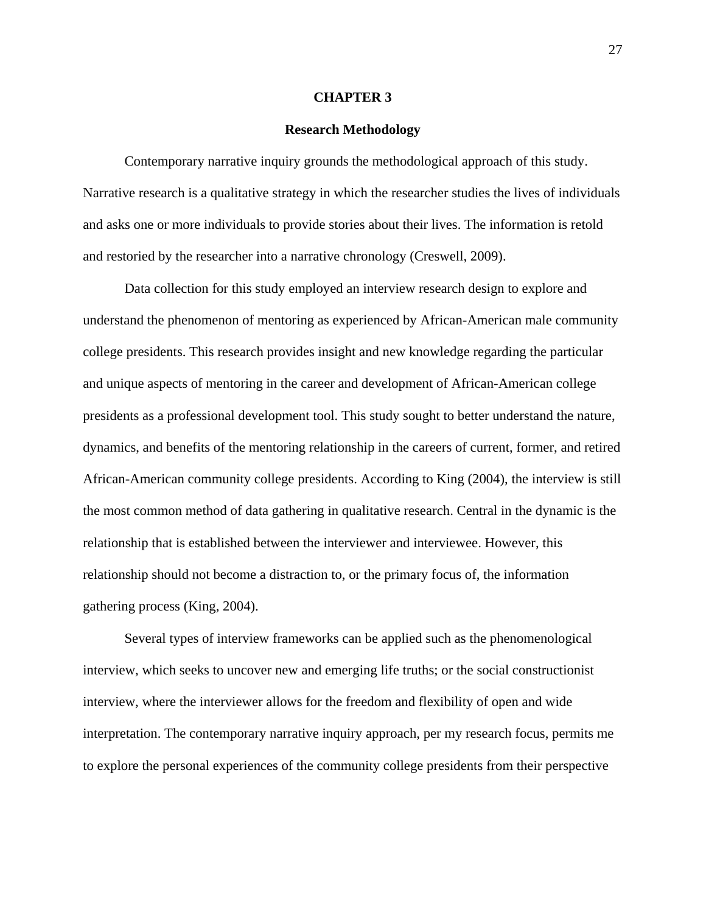#### **CHAPTER 3**

#### **Research Methodology**

Contemporary narrative inquiry grounds the methodological approach of this study. Narrative research is a qualitative strategy in which the researcher studies the lives of individuals and asks one or more individuals to provide stories about their lives. The information is retold and restoried by the researcher into a narrative chronology (Creswell, 2009).

Data collection for this study employed an interview research design to explore and understand the phenomenon of mentoring as experienced by African-American male community college presidents. This research provides insight and new knowledge regarding the particular and unique aspects of mentoring in the career and development of African-American college presidents as a professional development tool. This study sought to better understand the nature, dynamics, and benefits of the mentoring relationship in the careers of current, former, and retired African-American community college presidents. According to King (2004), the interview is still the most common method of data gathering in qualitative research. Central in the dynamic is the relationship that is established between the interviewer and interviewee. However, this relationship should not become a distraction to, or the primary focus of, the information gathering process (King, 2004).

Several types of interview frameworks can be applied such as the phenomenological interview, which seeks to uncover new and emerging life truths; or the social constructionist interview, where the interviewer allows for the freedom and flexibility of open and wide interpretation. The contemporary narrative inquiry approach, per my research focus, permits me to explore the personal experiences of the community college presidents from their perspective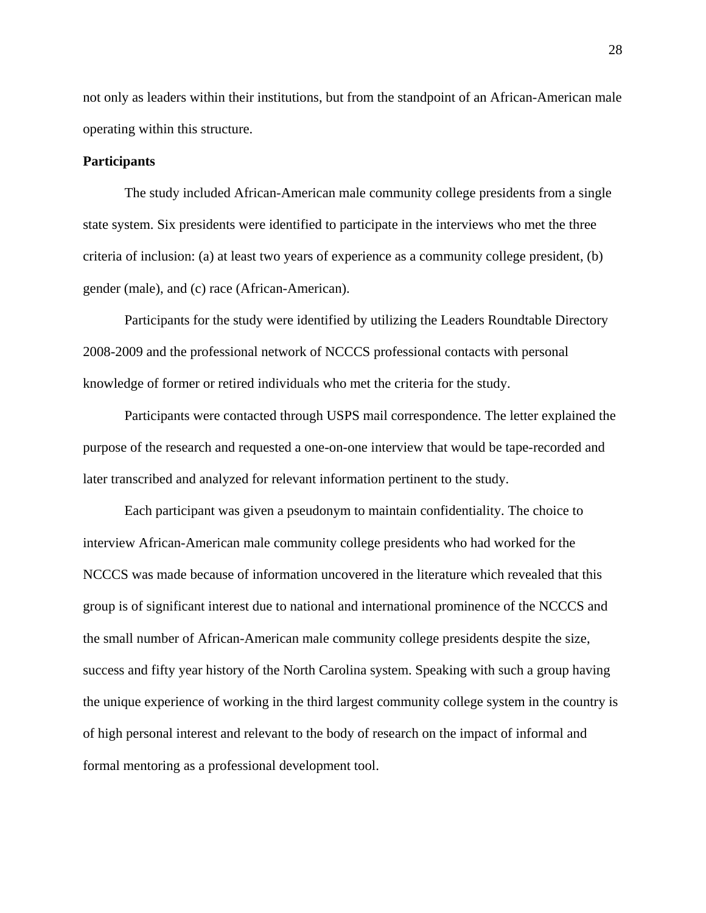not only as leaders within their institutions, but from the standpoint of an African-American male operating within this structure.

#### **Participants**

The study included African-American male community college presidents from a single state system. Six presidents were identified to participate in the interviews who met the three criteria of inclusion: (a) at least two years of experience as a community college president, (b) gender (male), and (c) race (African-American).

Participants for the study were identified by utilizing the Leaders Roundtable Directory 2008-2009 and the professional network of NCCCS professional contacts with personal knowledge of former or retired individuals who met the criteria for the study.

Participants were contacted through USPS mail correspondence. The letter explained the purpose of the research and requested a one-on-one interview that would be tape-recorded and later transcribed and analyzed for relevant information pertinent to the study.

Each participant was given a pseudonym to maintain confidentiality. The choice to interview African-American male community college presidents who had worked for the NCCCS was made because of information uncovered in the literature which revealed that this group is of significant interest due to national and international prominence of the NCCCS and the small number of African-American male community college presidents despite the size, success and fifty year history of the North Carolina system. Speaking with such a group having the unique experience of working in the third largest community college system in the country is of high personal interest and relevant to the body of research on the impact of informal and formal mentoring as a professional development tool.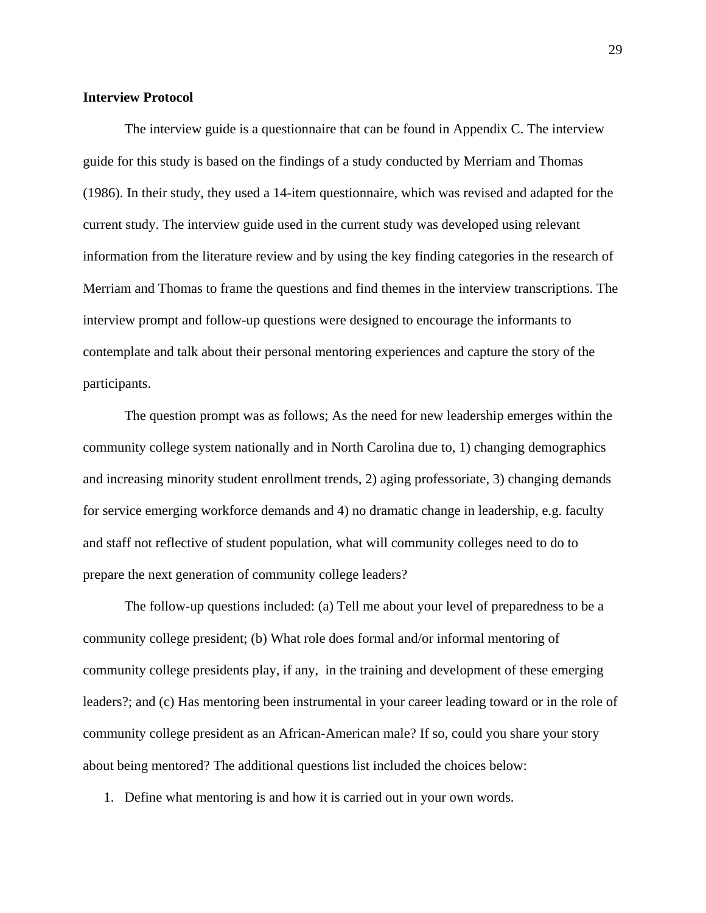# **Interview Protocol**

The interview guide is a questionnaire that can be found in Appendix C. The interview guide for this study is based on the findings of a study conducted by Merriam and Thomas (1986). In their study, they used a 14-item questionnaire, which was revised and adapted for the current study. The interview guide used in the current study was developed using relevant information from the literature review and by using the key finding categories in the research of Merriam and Thomas to frame the questions and find themes in the interview transcriptions. The interview prompt and follow-up questions were designed to encourage the informants to contemplate and talk about their personal mentoring experiences and capture the story of the participants.

The question prompt was as follows; As the need for new leadership emerges within the community college system nationally and in North Carolina due to, 1) changing demographics and increasing minority student enrollment trends, 2) aging professoriate, 3) changing demands for service emerging workforce demands and 4) no dramatic change in leadership, e.g. faculty and staff not reflective of student population, what will community colleges need to do to prepare the next generation of community college leaders?

The follow-up questions included: (a) Tell me about your level of preparedness to be a community college president; (b) What role does formal and/or informal mentoring of community college presidents play, if any, in the training and development of these emerging leaders?; and (c) Has mentoring been instrumental in your career leading toward or in the role of community college president as an African-American male? If so, could you share your story about being mentored? The additional questions list included the choices below:

1. Define what mentoring is and how it is carried out in your own words.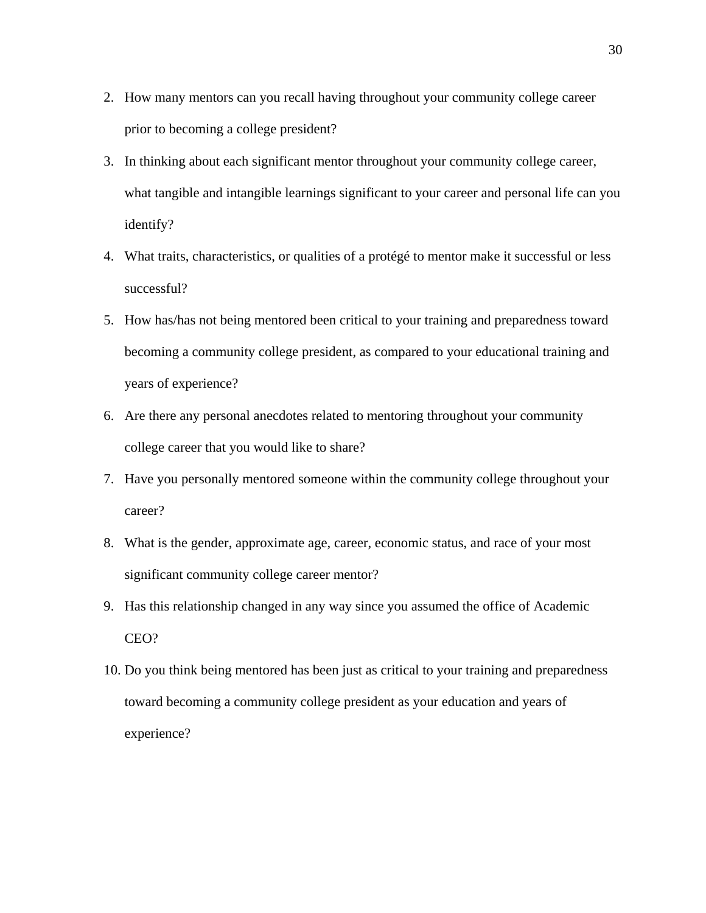- 2. How many mentors can you recall having throughout your community college career prior to becoming a college president?
- 3. In thinking about each significant mentor throughout your community college career, what tangible and intangible learnings significant to your career and personal life can you identify?
- 4. What traits, characteristics, or qualities of a protégé to mentor make it successful or less successful?
- 5. How has/has not being mentored been critical to your training and preparedness toward becoming a community college president, as compared to your educational training and years of experience?
- 6. Are there any personal anecdotes related to mentoring throughout your community college career that you would like to share?
- 7. Have you personally mentored someone within the community college throughout your career?
- 8. What is the gender, approximate age, career, economic status, and race of your most significant community college career mentor?
- 9. Has this relationship changed in any way since you assumed the office of Academic CEO?
- 10. Do you think being mentored has been just as critical to your training and preparedness toward becoming a community college president as your education and years of experience?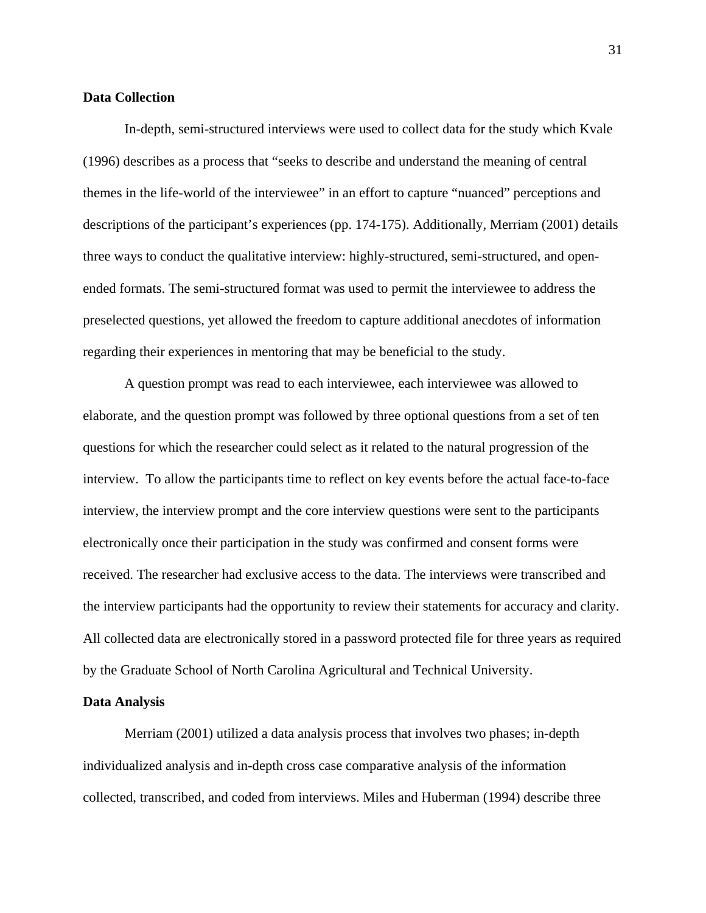# **Data Collection**

In-depth, semi-structured interviews were used to collect data for the study which Kvale (1996) describes as a process that "seeks to describe and understand the meaning of central themes in the life-world of the interviewee" in an effort to capture "nuanced" perceptions and descriptions of the participant's experiences (pp. 174-175). Additionally, Merriam (2001) details three ways to conduct the qualitative interview: highly-structured, semi-structured, and openended formats. The semi-structured format was used to permit the interviewee to address the preselected questions, yet allowed the freedom to capture additional anecdotes of information regarding their experiences in mentoring that may be beneficial to the study.

A question prompt was read to each interviewee, each interviewee was allowed to elaborate, and the question prompt was followed by three optional questions from a set of ten questions for which the researcher could select as it related to the natural progression of the interview. To allow the participants time to reflect on key events before the actual face-to-face interview, the interview prompt and the core interview questions were sent to the participants electronically once their participation in the study was confirmed and consent forms were received. The researcher had exclusive access to the data. The interviews were transcribed and the interview participants had the opportunity to review their statements for accuracy and clarity. All collected data are electronically stored in a password protected file for three years as required by the Graduate School of North Carolina Agricultural and Technical University.

### **Data Analysis**

Merriam (2001) utilized a data analysis process that involves two phases; in-depth individualized analysis and in-depth cross case comparative analysis of the information collected, transcribed, and coded from interviews. Miles and Huberman (1994) describe three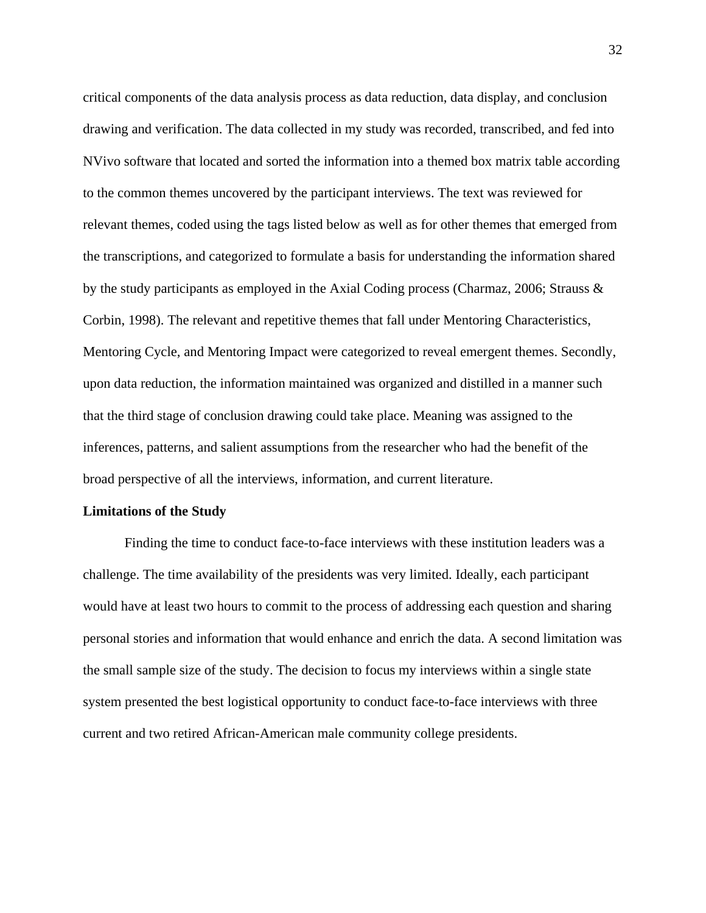critical components of the data analysis process as data reduction, data display, and conclusion drawing and verification. The data collected in my study was recorded, transcribed, and fed into NVivo software that located and sorted the information into a themed box matrix table according to the common themes uncovered by the participant interviews. The text was reviewed for relevant themes, coded using the tags listed below as well as for other themes that emerged from the transcriptions, and categorized to formulate a basis for understanding the information shared by the study participants as employed in the Axial Coding process (Charmaz, 2006; Strauss & Corbin, 1998). The relevant and repetitive themes that fall under Mentoring Characteristics, Mentoring Cycle, and Mentoring Impact were categorized to reveal emergent themes. Secondly, upon data reduction, the information maintained was organized and distilled in a manner such that the third stage of conclusion drawing could take place. Meaning was assigned to the inferences, patterns, and salient assumptions from the researcher who had the benefit of the broad perspective of all the interviews, information, and current literature.

### **Limitations of the Study**

Finding the time to conduct face-to-face interviews with these institution leaders was a challenge. The time availability of the presidents was very limited. Ideally, each participant would have at least two hours to commit to the process of addressing each question and sharing personal stories and information that would enhance and enrich the data. A second limitation was the small sample size of the study. The decision to focus my interviews within a single state system presented the best logistical opportunity to conduct face-to-face interviews with three current and two retired African-American male community college presidents.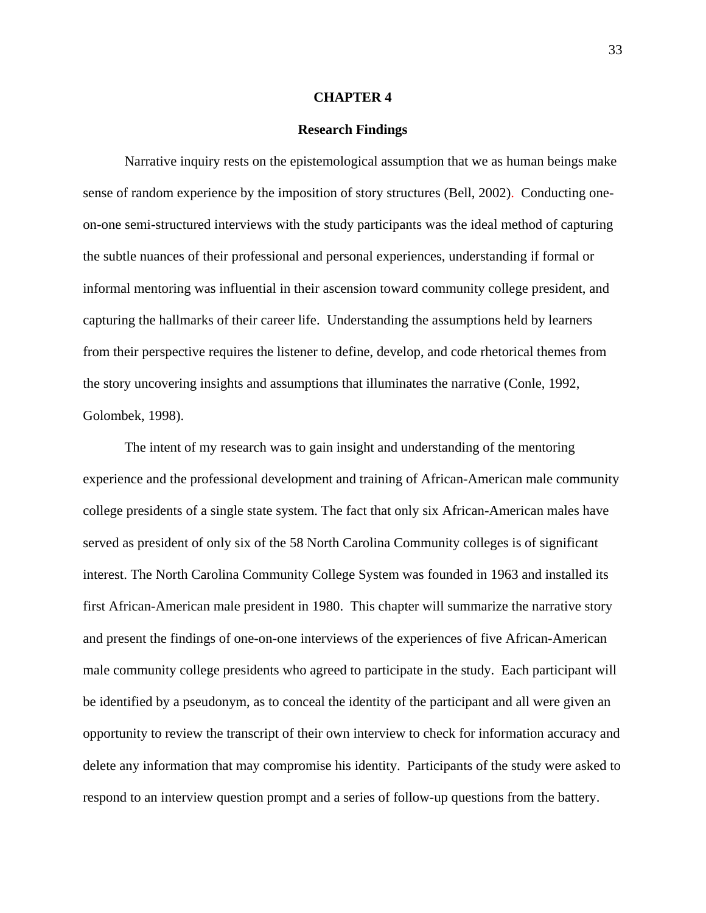### **CHAPTER 4**

### **Research Findings**

Narrative inquiry rests on the epistemological assumption that we as human beings make sense of random experience by the imposition of story structures (Bell, 2002). Conducting oneon-one semi-structured interviews with the study participants was the ideal method of capturing the subtle nuances of their professional and personal experiences, understanding if formal or informal mentoring was influential in their ascension toward community college president, and capturing the hallmarks of their career life. Understanding the assumptions held by learners from their perspective requires the listener to define, develop, and code rhetorical themes from the story uncovering insights and assumptions that illuminates the narrative (Conle, 1992, Golombek, 1998).

The intent of my research was to gain insight and understanding of the mentoring experience and the professional development and training of African-American male community college presidents of a single state system. The fact that only six African-American males have served as president of only six of the 58 North Carolina Community colleges is of significant interest. The North Carolina Community College System was founded in 1963 and installed its first African-American male president in 1980. This chapter will summarize the narrative story and present the findings of one-on-one interviews of the experiences of five African-American male community college presidents who agreed to participate in the study. Each participant will be identified by a pseudonym, as to conceal the identity of the participant and all were given an opportunity to review the transcript of their own interview to check for information accuracy and delete any information that may compromise his identity. Participants of the study were asked to respond to an interview question prompt and a series of follow-up questions from the battery.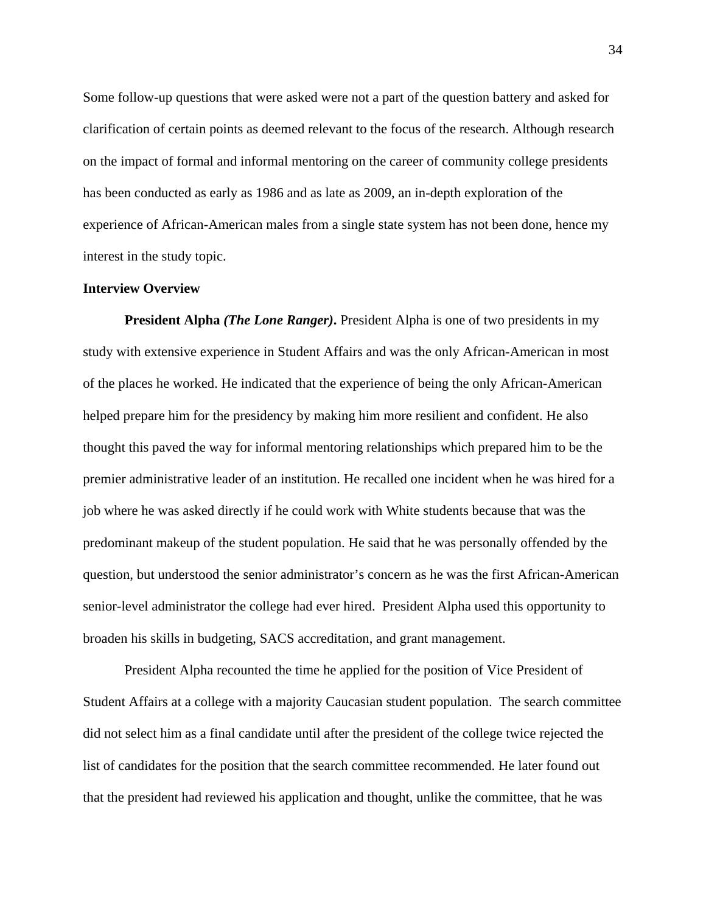Some follow-up questions that were asked were not a part of the question battery and asked for clarification of certain points as deemed relevant to the focus of the research. Although research on the impact of formal and informal mentoring on the career of community college presidents has been conducted as early as 1986 and as late as 2009, an in-depth exploration of the experience of African-American males from a single state system has not been done, hence my interest in the study topic.

## **Interview Overview**

**President Alpha** *(The Lone Ranger)***.** President Alpha is one of two presidents in my study with extensive experience in Student Affairs and was the only African-American in most of the places he worked. He indicated that the experience of being the only African-American helped prepare him for the presidency by making him more resilient and confident. He also thought this paved the way for informal mentoring relationships which prepared him to be the premier administrative leader of an institution. He recalled one incident when he was hired for a job where he was asked directly if he could work with White students because that was the predominant makeup of the student population. He said that he was personally offended by the question, but understood the senior administrator's concern as he was the first African-American senior-level administrator the college had ever hired. President Alpha used this opportunity to broaden his skills in budgeting, SACS accreditation, and grant management.

President Alpha recounted the time he applied for the position of Vice President of Student Affairs at a college with a majority Caucasian student population. The search committee did not select him as a final candidate until after the president of the college twice rejected the list of candidates for the position that the search committee recommended. He later found out that the president had reviewed his application and thought, unlike the committee, that he was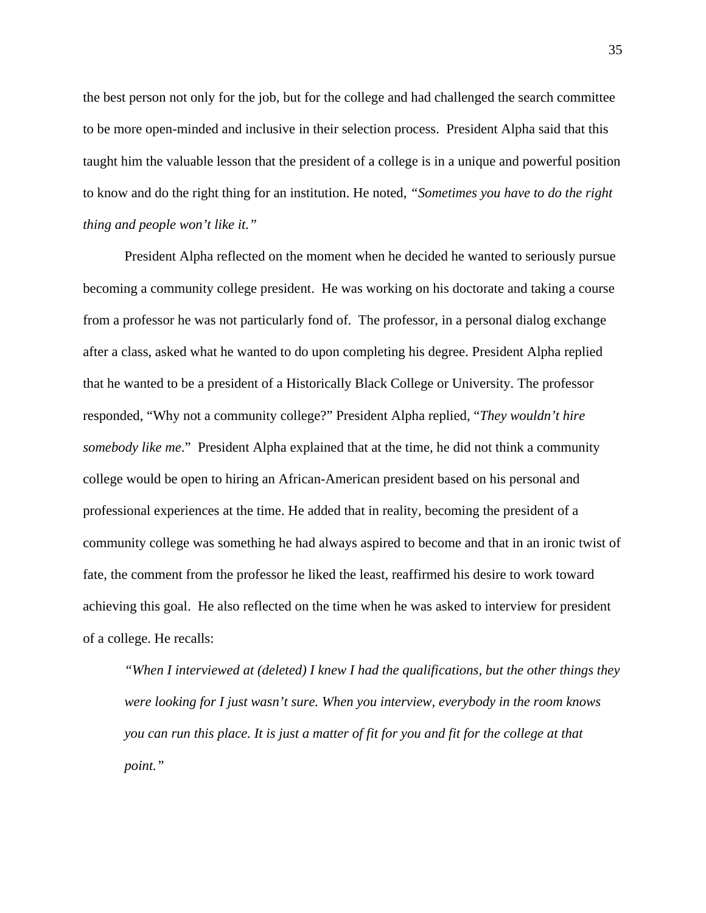the best person not only for the job, but for the college and had challenged the search committee to be more open-minded and inclusive in their selection process. President Alpha said that this taught him the valuable lesson that the president of a college is in a unique and powerful position to know and do the right thing for an institution. He noted, *"Sometimes you have to do the right thing and people won't like it."* 

President Alpha reflected on the moment when he decided he wanted to seriously pursue becoming a community college president. He was working on his doctorate and taking a course from a professor he was not particularly fond of. The professor, in a personal dialog exchange after a class, asked what he wanted to do upon completing his degree. President Alpha replied that he wanted to be a president of a Historically Black College or University. The professor responded, "Why not a community college?" President Alpha replied, "*They wouldn't hire somebody like me*." President Alpha explained that at the time, he did not think a community college would be open to hiring an African-American president based on his personal and professional experiences at the time. He added that in reality, becoming the president of a community college was something he had always aspired to become and that in an ironic twist of fate, the comment from the professor he liked the least, reaffirmed his desire to work toward achieving this goal. He also reflected on the time when he was asked to interview for president of a college. He recalls:

*"When I interviewed at (deleted) I knew I had the qualifications, but the other things they were looking for I just wasn't sure. When you interview, everybody in the room knows you can run this place. It is just a matter of fit for you and fit for the college at that point."*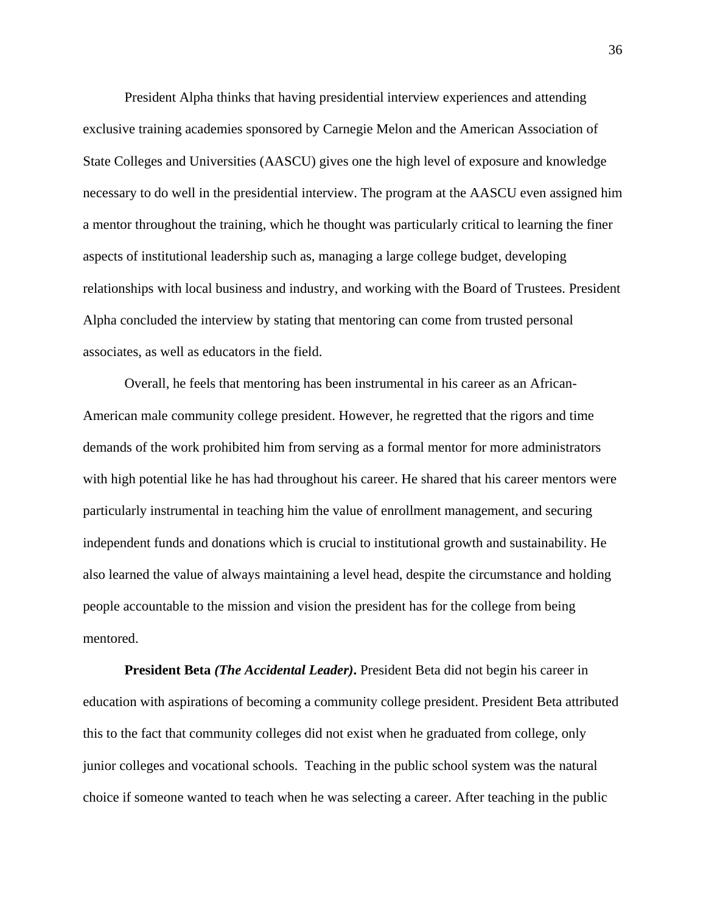President Alpha thinks that having presidential interview experiences and attending exclusive training academies sponsored by Carnegie Melon and the American Association of State Colleges and Universities (AASCU) gives one the high level of exposure and knowledge necessary to do well in the presidential interview. The program at the AASCU even assigned him a mentor throughout the training, which he thought was particularly critical to learning the finer aspects of institutional leadership such as, managing a large college budget, developing relationships with local business and industry, and working with the Board of Trustees. President Alpha concluded the interview by stating that mentoring can come from trusted personal associates, as well as educators in the field.

Overall, he feels that mentoring has been instrumental in his career as an African-American male community college president. However, he regretted that the rigors and time demands of the work prohibited him from serving as a formal mentor for more administrators with high potential like he has had throughout his career. He shared that his career mentors were particularly instrumental in teaching him the value of enrollment management, and securing independent funds and donations which is crucial to institutional growth and sustainability. He also learned the value of always maintaining a level head, despite the circumstance and holding people accountable to the mission and vision the president has for the college from being mentored.

**President Beta** *(The Accidental Leader)***.** President Beta did not begin his career in education with aspirations of becoming a community college president. President Beta attributed this to the fact that community colleges did not exist when he graduated from college, only junior colleges and vocational schools. Teaching in the public school system was the natural choice if someone wanted to teach when he was selecting a career. After teaching in the public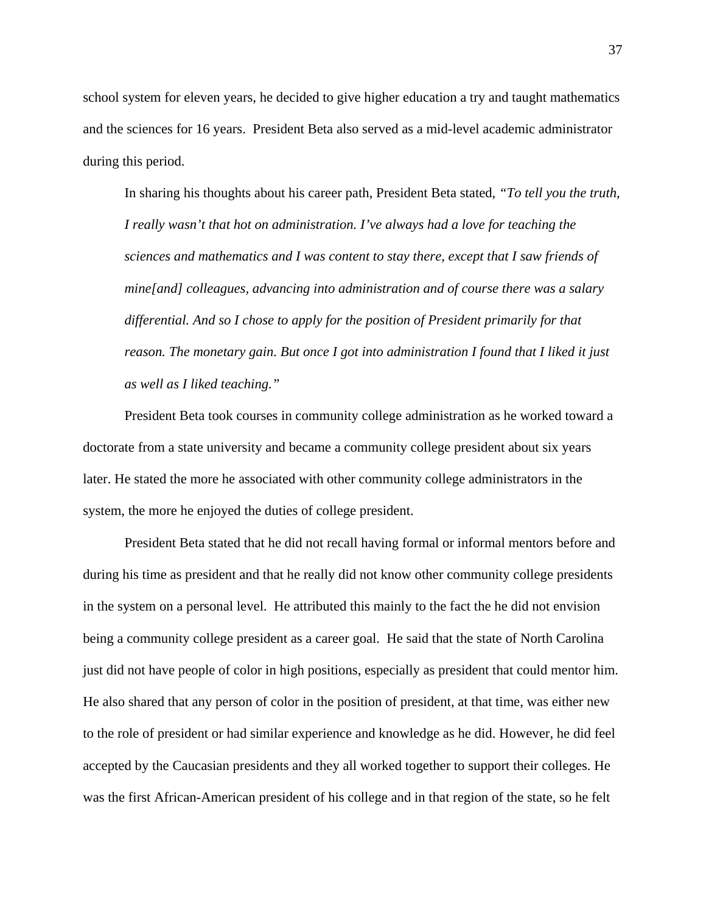school system for eleven years, he decided to give higher education a try and taught mathematics and the sciences for 16 years. President Beta also served as a mid-level academic administrator during this period.

In sharing his thoughts about his career path, President Beta stated*, "To tell you the truth, I really wasn't that hot on administration. I've always had a love for teaching the sciences and mathematics and I was content to stay there, except that I saw friends of mine[and] colleagues, advancing into administration and of course there was a salary differential. And so I chose to apply for the position of President primarily for that reason. The monetary gain. But once I got into administration I found that I liked it just as well as I liked teaching."* 

President Beta took courses in community college administration as he worked toward a doctorate from a state university and became a community college president about six years later. He stated the more he associated with other community college administrators in the system, the more he enjoyed the duties of college president.

President Beta stated that he did not recall having formal or informal mentors before and during his time as president and that he really did not know other community college presidents in the system on a personal level. He attributed this mainly to the fact the he did not envision being a community college president as a career goal. He said that the state of North Carolina just did not have people of color in high positions, especially as president that could mentor him. He also shared that any person of color in the position of president, at that time, was either new to the role of president or had similar experience and knowledge as he did. However, he did feel accepted by the Caucasian presidents and they all worked together to support their colleges. He was the first African-American president of his college and in that region of the state, so he felt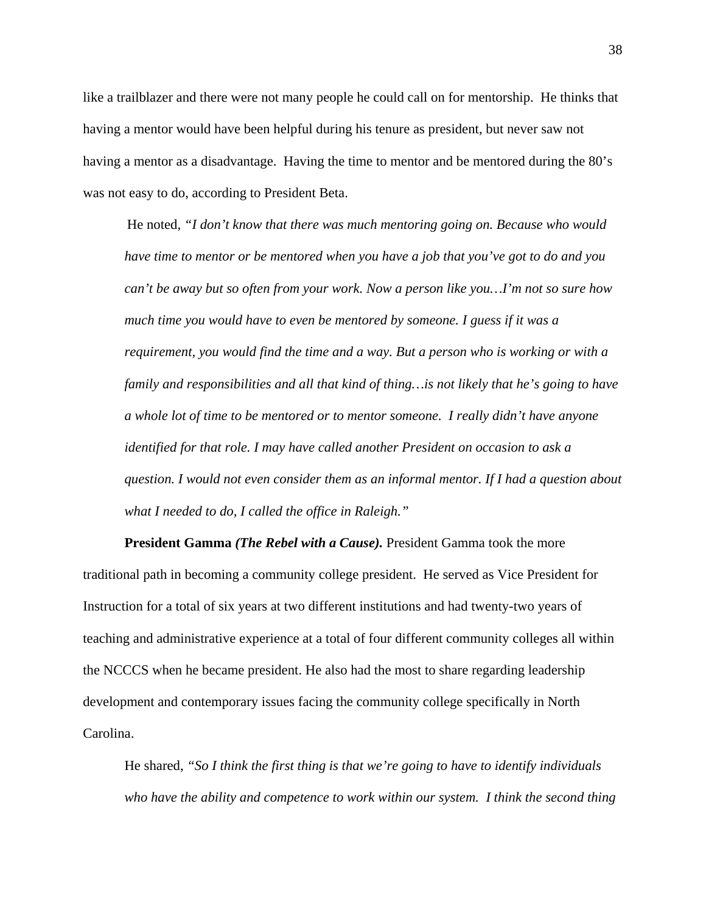like a trailblazer and there were not many people he could call on for mentorship. He thinks that having a mentor would have been helpful during his tenure as president, but never saw not having a mentor as a disadvantage. Having the time to mentor and be mentored during the 80's was not easy to do, according to President Beta.

He noted*, "I don't know that there was much mentoring going on. Because who would have time to mentor or be mentored when you have a job that you've got to do and you can't be away but so often from your work. Now a person like you…I'm not so sure how much time you would have to even be mentored by someone. I guess if it was a requirement, you would find the time and a way. But a person who is working or with a family and responsibilities and all that kind of thing…is not likely that he's going to have a whole lot of time to be mentored or to mentor someone. I really didn't have anyone identified for that role. I may have called another President on occasion to ask a question. I would not even consider them as an informal mentor. If I had a question about what I needed to do, I called the office in Raleigh."* 

**President Gamma** *(The Rebel with a Cause).* President Gamma took the more traditional path in becoming a community college president. He served as Vice President for Instruction for a total of six years at two different institutions and had twenty-two years of teaching and administrative experience at a total of four different community colleges all within the NCCCS when he became president. He also had the most to share regarding leadership development and contemporary issues facing the community college specifically in North Carolina.

He shared, *"So I think the first thing is that we're going to have to identify individuals who have the ability and competence to work within our system. I think the second thing*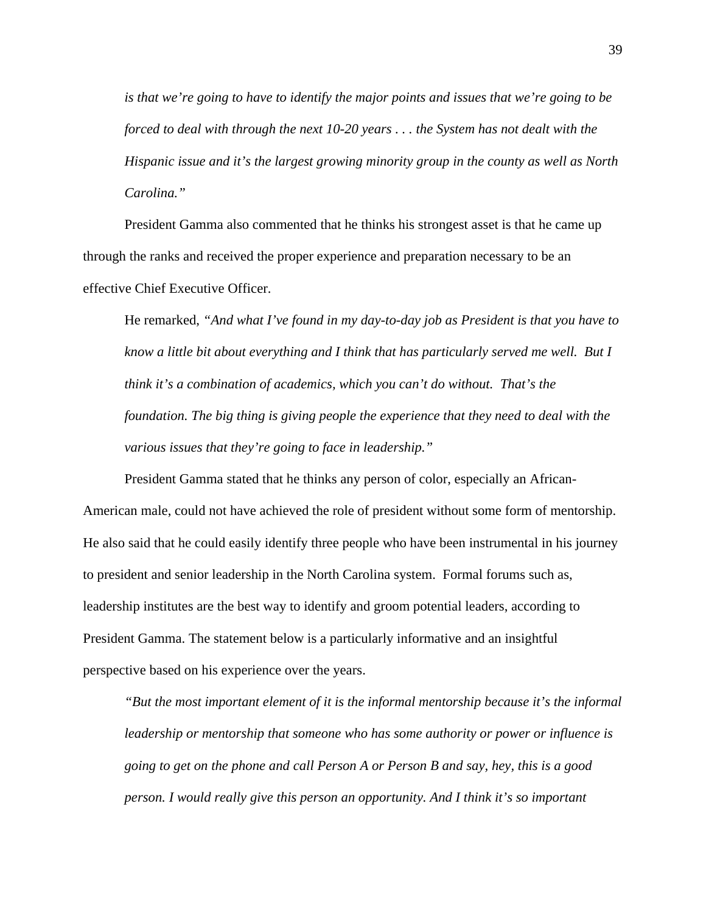*is that we're going to have to identify the major points and issues that we're going to be forced to deal with through the next 10-20 years . . . the System has not dealt with the Hispanic issue and it's the largest growing minority group in the county as well as North Carolina."* 

President Gamma also commented that he thinks his strongest asset is that he came up through the ranks and received the proper experience and preparation necessary to be an effective Chief Executive Officer.

He remarked, *"And what I've found in my day-to-day job as President is that you have to know a little bit about everything and I think that has particularly served me well. But I think it's a combination of academics, which you can't do without. That's the foundation. The big thing is giving people the experience that they need to deal with the various issues that they're going to face in leadership."*

President Gamma stated that he thinks any person of color, especially an African-American male, could not have achieved the role of president without some form of mentorship. He also said that he could easily identify three people who have been instrumental in his journey to president and senior leadership in the North Carolina system. Formal forums such as, leadership institutes are the best way to identify and groom potential leaders, according to President Gamma. The statement below is a particularly informative and an insightful perspective based on his experience over the years.

*"But the most important element of it is the informal mentorship because it's the informal leadership or mentorship that someone who has some authority or power or influence is going to get on the phone and call Person A or Person B and say, hey, this is a good person. I would really give this person an opportunity. And I think it's so important*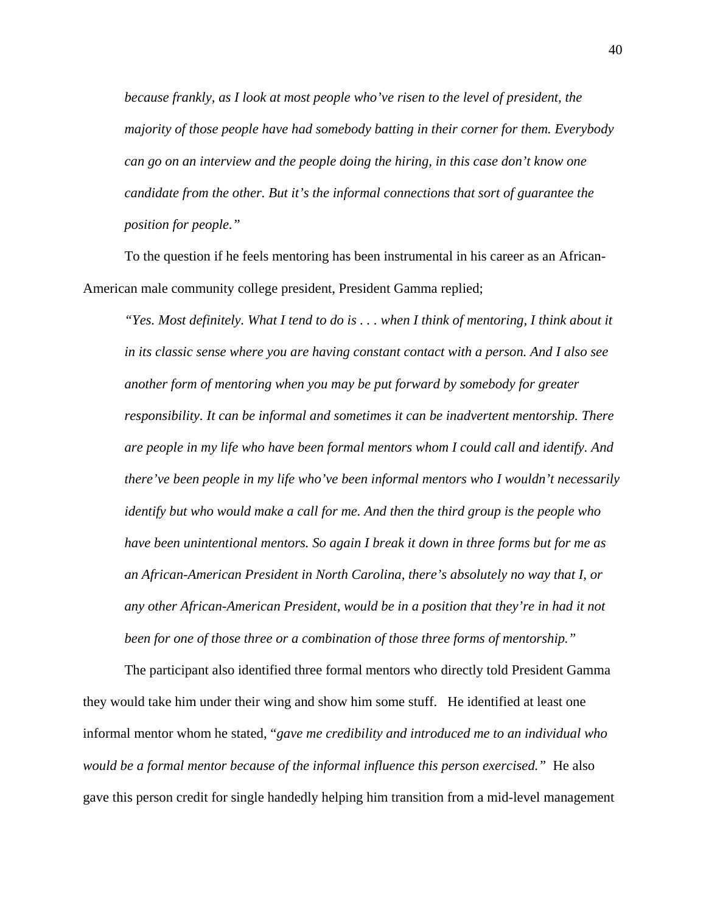*because frankly, as I look at most people who've risen to the level of president, the majority of those people have had somebody batting in their corner for them. Everybody can go on an interview and the people doing the hiring, in this case don't know one candidate from the other. But it's the informal connections that sort of guarantee the position for people."* 

To the question if he feels mentoring has been instrumental in his career as an African-American male community college president, President Gamma replied;

*"Yes. Most definitely. What I tend to do is . . . when I think of mentoring, I think about it in its classic sense where you are having constant contact with a person. And I also see another form of mentoring when you may be put forward by somebody for greater responsibility. It can be informal and sometimes it can be inadvertent mentorship. There are people in my life who have been formal mentors whom I could call and identify. And there've been people in my life who've been informal mentors who I wouldn't necessarily identify but who would make a call for me. And then the third group is the people who have been unintentional mentors. So again I break it down in three forms but for me as an African-American President in North Carolina, there's absolutely no way that I, or any other African-American President, would be in a position that they're in had it not been for one of those three or a combination of those three forms of mentorship."* 

The participant also identified three formal mentors who directly told President Gamma they would take him under their wing and show him some stuff. He identified at least one informal mentor whom he stated, "*gave me credibility and introduced me to an individual who would be a formal mentor because of the informal influence this person exercised."* He also gave this person credit for single handedly helping him transition from a mid-level management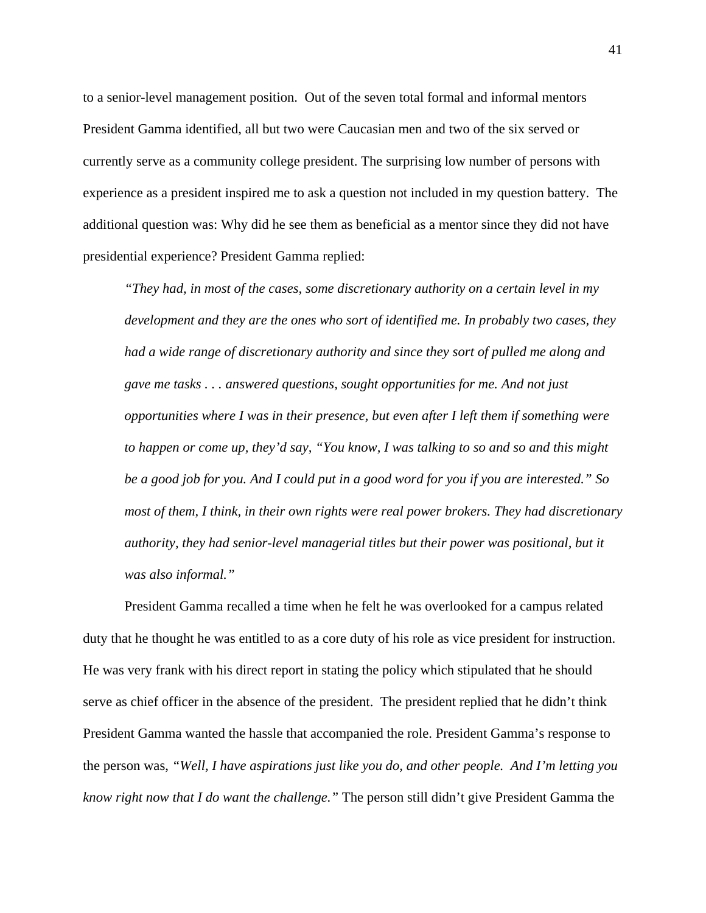to a senior-level management position. Out of the seven total formal and informal mentors President Gamma identified, all but two were Caucasian men and two of the six served or currently serve as a community college president. The surprising low number of persons with experience as a president inspired me to ask a question not included in my question battery. The additional question was: Why did he see them as beneficial as a mentor since they did not have presidential experience? President Gamma replied:

*"They had, in most of the cases, some discretionary authority on a certain level in my development and they are the ones who sort of identified me. In probably two cases, they had a wide range of discretionary authority and since they sort of pulled me along and gave me tasks . . . answered questions, sought opportunities for me. And not just opportunities where I was in their presence, but even after I left them if something were to happen or come up, they'd say, "You know, I was talking to so and so and this might be a good job for you. And I could put in a good word for you if you are interested." So most of them, I think, in their own rights were real power brokers. They had discretionary authority, they had senior-level managerial titles but their power was positional, but it was also informal."* 

President Gamma recalled a time when he felt he was overlooked for a campus related duty that he thought he was entitled to as a core duty of his role as vice president for instruction. He was very frank with his direct report in stating the policy which stipulated that he should serve as chief officer in the absence of the president. The president replied that he didn't think President Gamma wanted the hassle that accompanied the role. President Gamma's response to the person was, *"Well, I have aspirations just like you do, and other people. And I'm letting you know right now that I do want the challenge."* The person still didn't give President Gamma the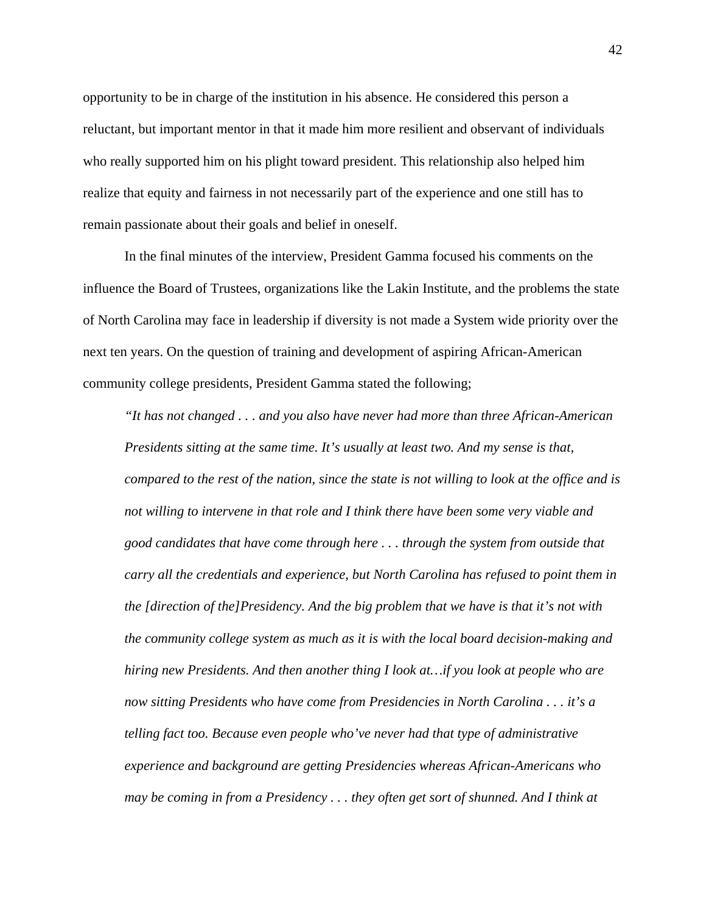opportunity to be in charge of the institution in his absence. He considered this person a reluctant, but important mentor in that it made him more resilient and observant of individuals who really supported him on his plight toward president. This relationship also helped him realize that equity and fairness in not necessarily part of the experience and one still has to remain passionate about their goals and belief in oneself.

In the final minutes of the interview, President Gamma focused his comments on the influence the Board of Trustees, organizations like the Lakin Institute, and the problems the state of North Carolina may face in leadership if diversity is not made a System wide priority over the next ten years. On the question of training and development of aspiring African-American community college presidents, President Gamma stated the following;

*"It has not changed . . . and you also have never had more than three African-American Presidents sitting at the same time. It's usually at least two. And my sense is that, compared to the rest of the nation, since the state is not willing to look at the office and is not willing to intervene in that role and I think there have been some very viable and good candidates that have come through here . . . through the system from outside that carry all the credentials and experience, but North Carolina has refused to point them in the [direction of the]Presidency. And the big problem that we have is that it's not with the community college system as much as it is with the local board decision-making and hiring new Presidents. And then another thing I look at…if you look at people who are now sitting Presidents who have come from Presidencies in North Carolina . . . it's a telling fact too. Because even people who've never had that type of administrative experience and background are getting Presidencies whereas African-Americans who may be coming in from a Presidency . . . they often get sort of shunned. And I think at*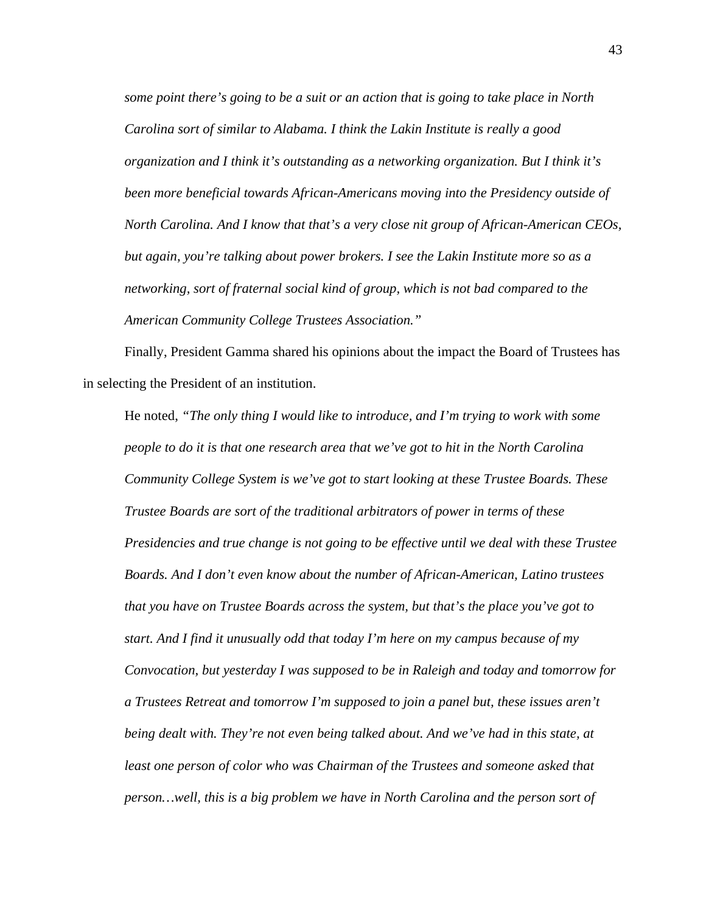*some point there's going to be a suit or an action that is going to take place in North Carolina sort of similar to Alabama. I think the Lakin Institute is really a good organization and I think it's outstanding as a networking organization. But I think it's been more beneficial towards African-Americans moving into the Presidency outside of North Carolina. And I know that that's a very close nit group of African-American CEOs, but again, you're talking about power brokers. I see the Lakin Institute more so as a networking, sort of fraternal social kind of group, which is not bad compared to the American Community College Trustees Association."* 

Finally, President Gamma shared his opinions about the impact the Board of Trustees has in selecting the President of an institution.

He noted, *"The only thing I would like to introduce, and I'm trying to work with some people to do it is that one research area that we've got to hit in the North Carolina Community College System is we've got to start looking at these Trustee Boards. These Trustee Boards are sort of the traditional arbitrators of power in terms of these Presidencies and true change is not going to be effective until we deal with these Trustee Boards. And I don't even know about the number of African-American, Latino trustees that you have on Trustee Boards across the system, but that's the place you've got to start. And I find it unusually odd that today I'm here on my campus because of my Convocation, but yesterday I was supposed to be in Raleigh and today and tomorrow for a Trustees Retreat and tomorrow I'm supposed to join a panel but, these issues aren't being dealt with. They're not even being talked about. And we've had in this state, at*  least one person of color who was Chairman of the Trustees and someone asked that *person…well, this is a big problem we have in North Carolina and the person sort of*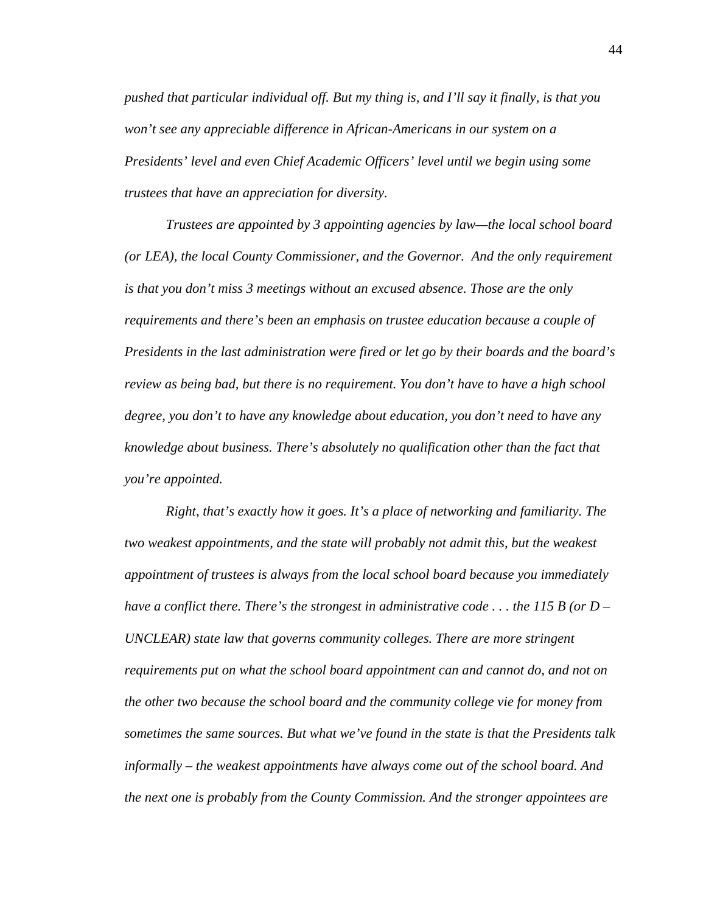*pushed that particular individual off. But my thing is, and I'll say it finally, is that you won't see any appreciable difference in African-Americans in our system on a Presidents' level and even Chief Academic Officers' level until we begin using some trustees that have an appreciation for diversity.* 

*Trustees are appointed by 3 appointing agencies by law—the local school board (or LEA), the local County Commissioner, and the Governor. And the only requirement is that you don't miss 3 meetings without an excused absence. Those are the only requirements and there's been an emphasis on trustee education because a couple of Presidents in the last administration were fired or let go by their boards and the board's review as being bad, but there is no requirement. You don't have to have a high school degree, you don't to have any knowledge about education, you don't need to have any knowledge about business. There's absolutely no qualification other than the fact that you're appointed.* 

*Right, that's exactly how it goes. It's a place of networking and familiarity. The two weakest appointments, and the state will probably not admit this, but the weakest appointment of trustees is always from the local school board because you immediately have a conflict there. There's the strongest in administrative code . . . the 115 B (or D – UNCLEAR) state law that governs community colleges. There are more stringent requirements put on what the school board appointment can and cannot do, and not on the other two because the school board and the community college vie for money from sometimes the same sources. But what we've found in the state is that the Presidents talk informally – the weakest appointments have always come out of the school board. And the next one is probably from the County Commission. And the stronger appointees are*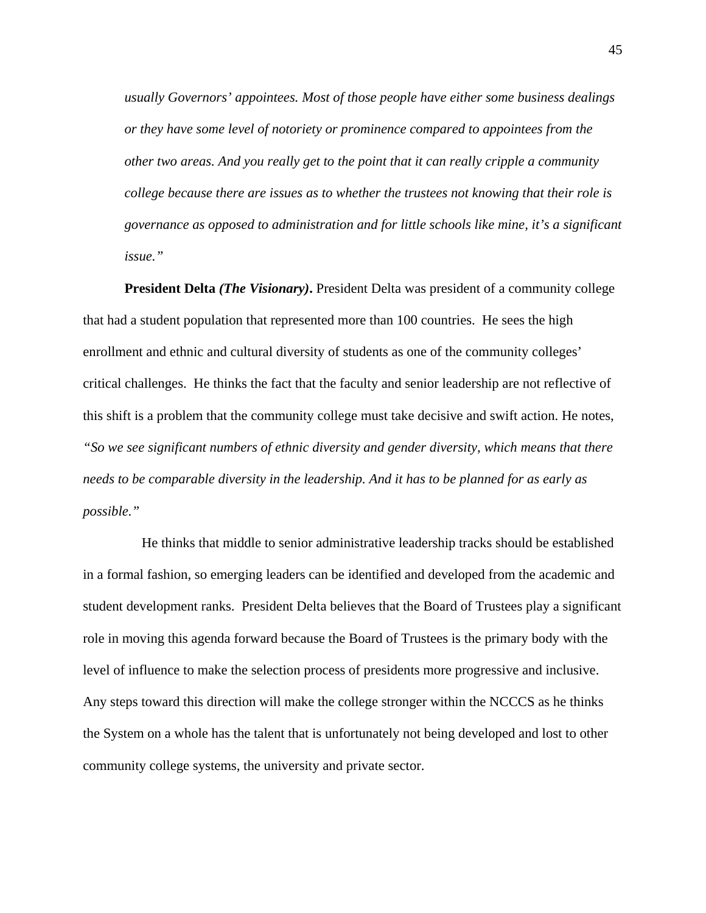*usually Governors' appointees. Most of those people have either some business dealings or they have some level of notoriety or prominence compared to appointees from the other two areas. And you really get to the point that it can really cripple a community college because there are issues as to whether the trustees not knowing that their role is governance as opposed to administration and for little schools like mine, it's a significant issue."* 

**President Delta** *(The Visionary)***.** President Delta was president of a community college that had a student population that represented more than 100 countries. He sees the high enrollment and ethnic and cultural diversity of students as one of the community colleges' critical challenges. He thinks the fact that the faculty and senior leadership are not reflective of this shift is a problem that the community college must take decisive and swift action. He notes, *"So we see significant numbers of ethnic diversity and gender diversity, which means that there needs to be comparable diversity in the leadership. And it has to be planned for as early as possible."*

 He thinks that middle to senior administrative leadership tracks should be established in a formal fashion, so emerging leaders can be identified and developed from the academic and student development ranks. President Delta believes that the Board of Trustees play a significant role in moving this agenda forward because the Board of Trustees is the primary body with the level of influence to make the selection process of presidents more progressive and inclusive. Any steps toward this direction will make the college stronger within the NCCCS as he thinks the System on a whole has the talent that is unfortunately not being developed and lost to other community college systems, the university and private sector.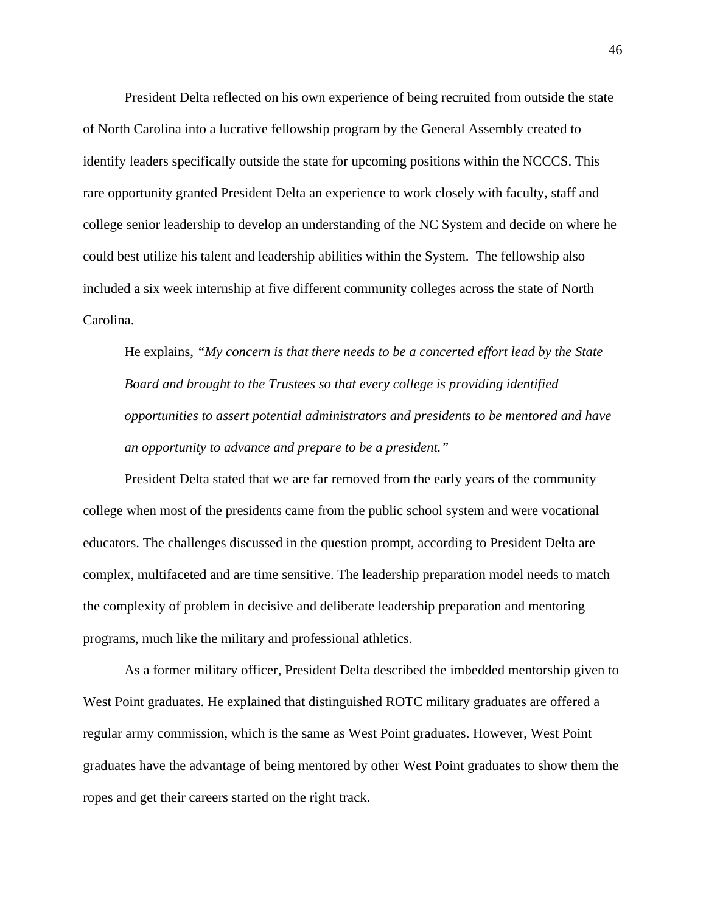President Delta reflected on his own experience of being recruited from outside the state of North Carolina into a lucrative fellowship program by the General Assembly created to identify leaders specifically outside the state for upcoming positions within the NCCCS. This rare opportunity granted President Delta an experience to work closely with faculty, staff and college senior leadership to develop an understanding of the NC System and decide on where he could best utilize his talent and leadership abilities within the System. The fellowship also included a six week internship at five different community colleges across the state of North Carolina.

He explains, *"My concern is that there needs to be a concerted effort lead by the State Board and brought to the Trustees so that every college is providing identified opportunities to assert potential administrators and presidents to be mentored and have an opportunity to advance and prepare to be a president."*

President Delta stated that we are far removed from the early years of the community college when most of the presidents came from the public school system and were vocational educators. The challenges discussed in the question prompt, according to President Delta are complex, multifaceted and are time sensitive. The leadership preparation model needs to match the complexity of problem in decisive and deliberate leadership preparation and mentoring programs, much like the military and professional athletics.

As a former military officer, President Delta described the imbedded mentorship given to West Point graduates. He explained that distinguished ROTC military graduates are offered a regular army commission, which is the same as West Point graduates. However, West Point graduates have the advantage of being mentored by other West Point graduates to show them the ropes and get their careers started on the right track.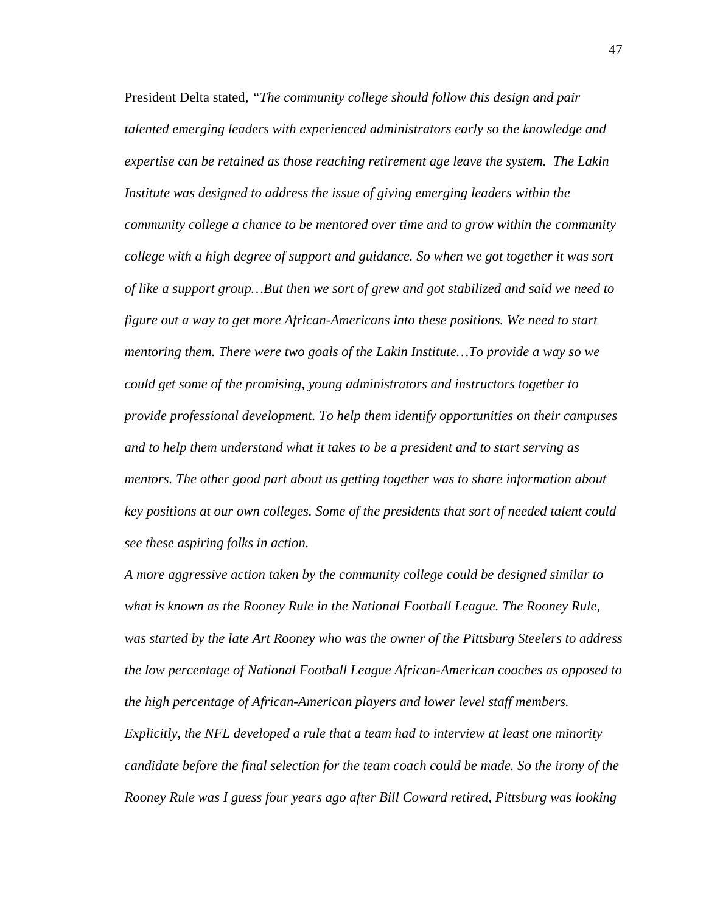President Delta stated*, "The community college should follow this design and pair talented emerging leaders with experienced administrators early so the knowledge and expertise can be retained as those reaching retirement age leave the system. The Lakin Institute was designed to address the issue of giving emerging leaders within the community college a chance to be mentored over time and to grow within the community college with a high degree of support and guidance. So when we got together it was sort of like a support group…But then we sort of grew and got stabilized and said we need to figure out a way to get more African-Americans into these positions. We need to start mentoring them. There were two goals of the Lakin Institute…To provide a way so we could get some of the promising, young administrators and instructors together to provide professional development. To help them identify opportunities on their campuses and to help them understand what it takes to be a president and to start serving as mentors. The other good part about us getting together was to share information about key positions at our own colleges. Some of the presidents that sort of needed talent could see these aspiring folks in action.* 

*A more aggressive action taken by the community college could be designed similar to*  what is known as the Rooney Rule in the National Football League. The Rooney Rule, *was started by the late Art Rooney who was the owner of the Pittsburg Steelers to address the low percentage of National Football League African-American coaches as opposed to the high percentage of African-American players and lower level staff members. Explicitly, the NFL developed a rule that a team had to interview at least one minority candidate before the final selection for the team coach could be made. So the irony of the Rooney Rule was I guess four years ago after Bill Coward retired, Pittsburg was looking*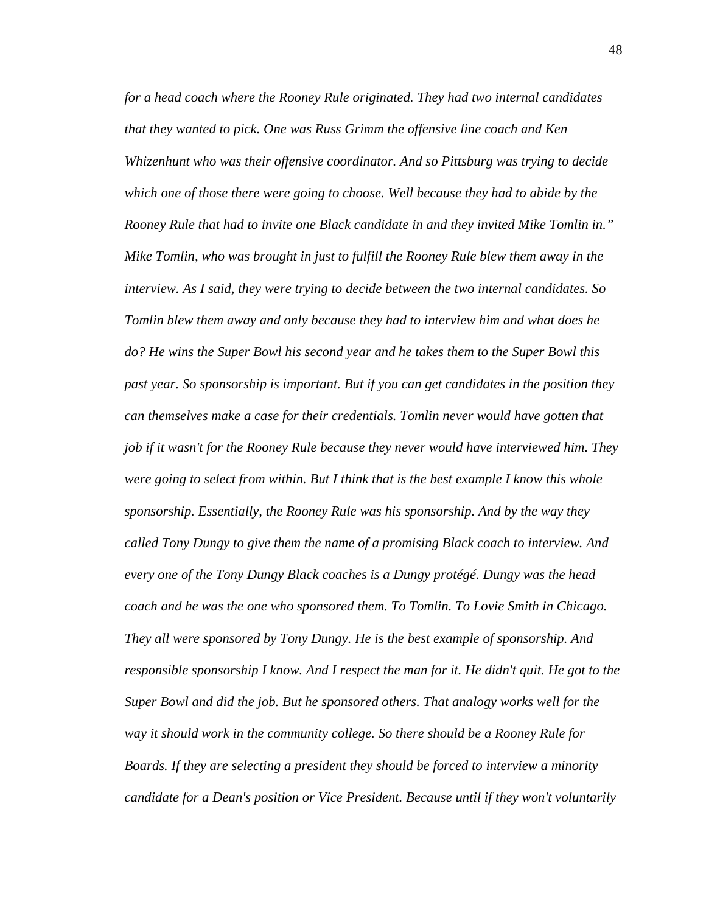*for a head coach where the Rooney Rule originated. They had two internal candidates that they wanted to pick. One was Russ Grimm the offensive line coach and Ken Whizenhunt who was their offensive coordinator. And so Pittsburg was trying to decide which one of those there were going to choose. Well because they had to abide by the Rooney Rule that had to invite one Black candidate in and they invited Mike Tomlin in." Mike Tomlin, who was brought in just to fulfill the Rooney Rule blew them away in the interview. As I said, they were trying to decide between the two internal candidates. So Tomlin blew them away and only because they had to interview him and what does he do? He wins the Super Bowl his second year and he takes them to the Super Bowl this past year. So sponsorship is important. But if you can get candidates in the position they can themselves make a case for their credentials. Tomlin never would have gotten that job if it wasn't for the Rooney Rule because they never would have interviewed him. They were going to select from within. But I think that is the best example I know this whole sponsorship. Essentially, the Rooney Rule was his sponsorship. And by the way they called Tony Dungy to give them the name of a promising Black coach to interview. And every one of the Tony Dungy Black coaches is a Dungy protégé. Dungy was the head coach and he was the one who sponsored them. To Tomlin. To Lovie Smith in Chicago. They all were sponsored by Tony Dungy. He is the best example of sponsorship. And responsible sponsorship I know. And I respect the man for it. He didn't quit. He got to the Super Bowl and did the job. But he sponsored others. That analogy works well for the way it should work in the community college. So there should be a Rooney Rule for Boards. If they are selecting a president they should be forced to interview a minority candidate for a Dean's position or Vice President. Because until if they won't voluntarily*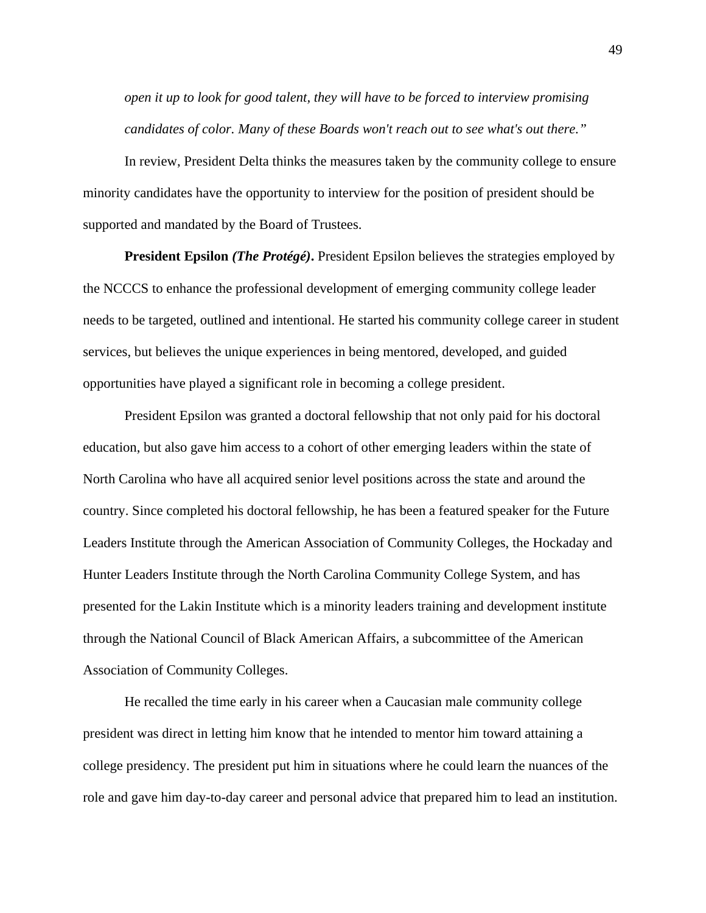*open it up to look for good talent, they will have to be forced to interview promising candidates of color. Many of these Boards won't reach out to see what's out there."* 

In review, President Delta thinks the measures taken by the community college to ensure minority candidates have the opportunity to interview for the position of president should be supported and mandated by the Board of Trustees.

**President Epsilon** *(The Protégé)*. President Epsilon believes the strategies employed by the NCCCS to enhance the professional development of emerging community college leader needs to be targeted, outlined and intentional. He started his community college career in student services, but believes the unique experiences in being mentored, developed, and guided opportunities have played a significant role in becoming a college president.

President Epsilon was granted a doctoral fellowship that not only paid for his doctoral education, but also gave him access to a cohort of other emerging leaders within the state of North Carolina who have all acquired senior level positions across the state and around the country. Since completed his doctoral fellowship, he has been a featured speaker for the Future Leaders Institute through the American Association of Community Colleges, the Hockaday and Hunter Leaders Institute through the North Carolina Community College System, and has presented for the Lakin Institute which is a minority leaders training and development institute through the National Council of Black American Affairs, a subcommittee of the American Association of Community Colleges.

He recalled the time early in his career when a Caucasian male community college president was direct in letting him know that he intended to mentor him toward attaining a college presidency. The president put him in situations where he could learn the nuances of the role and gave him day-to-day career and personal advice that prepared him to lead an institution.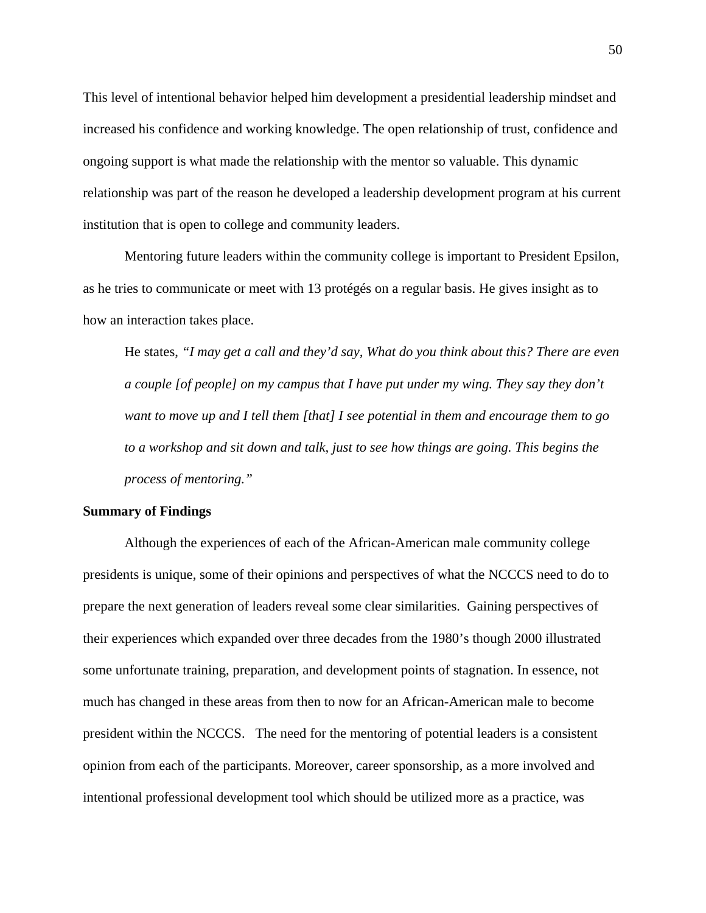This level of intentional behavior helped him development a presidential leadership mindset and increased his confidence and working knowledge. The open relationship of trust, confidence and ongoing support is what made the relationship with the mentor so valuable. This dynamic relationship was part of the reason he developed a leadership development program at his current institution that is open to college and community leaders.

Mentoring future leaders within the community college is important to President Epsilon, as he tries to communicate or meet with 13 protégés on a regular basis. He gives insight as to how an interaction takes place.

He states, *"I may get a call and they'd say, What do you think about this? There are even a couple [of people] on my campus that I have put under my wing. They say they don't want to move up and I tell them [that] I see potential in them and encourage them to go to a workshop and sit down and talk, just to see how things are going. This begins the process of mentoring."* 

#### **Summary of Findings**

Although the experiences of each of the African-American male community college presidents is unique, some of their opinions and perspectives of what the NCCCS need to do to prepare the next generation of leaders reveal some clear similarities. Gaining perspectives of their experiences which expanded over three decades from the 1980's though 2000 illustrated some unfortunate training, preparation, and development points of stagnation. In essence, not much has changed in these areas from then to now for an African-American male to become president within the NCCCS. The need for the mentoring of potential leaders is a consistent opinion from each of the participants. Moreover, career sponsorship, as a more involved and intentional professional development tool which should be utilized more as a practice, was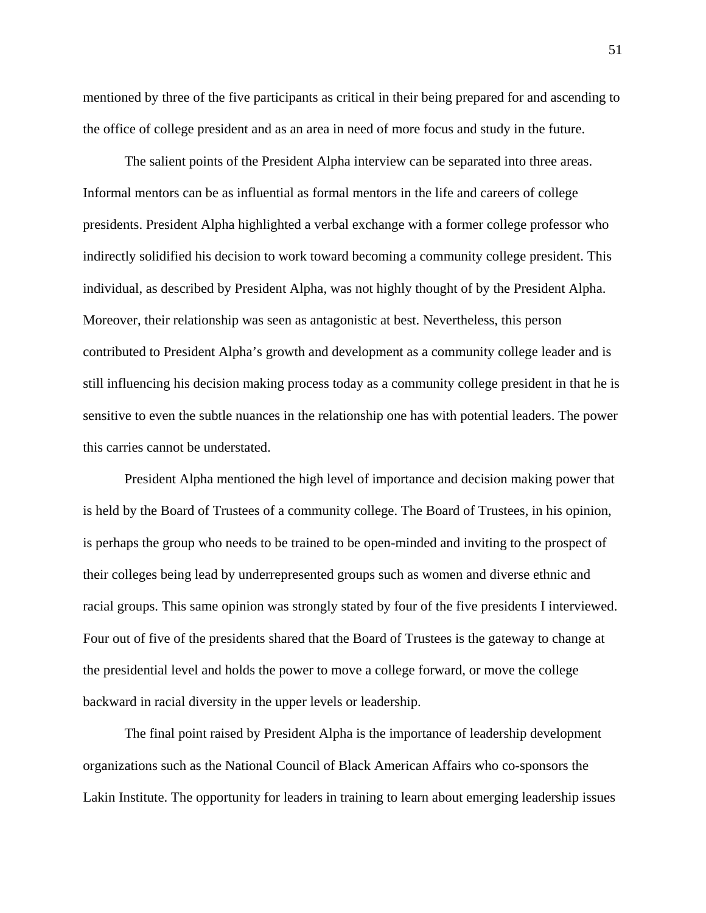mentioned by three of the five participants as critical in their being prepared for and ascending to the office of college president and as an area in need of more focus and study in the future.

The salient points of the President Alpha interview can be separated into three areas. Informal mentors can be as influential as formal mentors in the life and careers of college presidents. President Alpha highlighted a verbal exchange with a former college professor who indirectly solidified his decision to work toward becoming a community college president. This individual, as described by President Alpha, was not highly thought of by the President Alpha. Moreover, their relationship was seen as antagonistic at best. Nevertheless, this person contributed to President Alpha's growth and development as a community college leader and is still influencing his decision making process today as a community college president in that he is sensitive to even the subtle nuances in the relationship one has with potential leaders. The power this carries cannot be understated.

President Alpha mentioned the high level of importance and decision making power that is held by the Board of Trustees of a community college. The Board of Trustees, in his opinion, is perhaps the group who needs to be trained to be open-minded and inviting to the prospect of their colleges being lead by underrepresented groups such as women and diverse ethnic and racial groups. This same opinion was strongly stated by four of the five presidents I interviewed. Four out of five of the presidents shared that the Board of Trustees is the gateway to change at the presidential level and holds the power to move a college forward, or move the college backward in racial diversity in the upper levels or leadership.

The final point raised by President Alpha is the importance of leadership development organizations such as the National Council of Black American Affairs who co-sponsors the Lakin Institute. The opportunity for leaders in training to learn about emerging leadership issues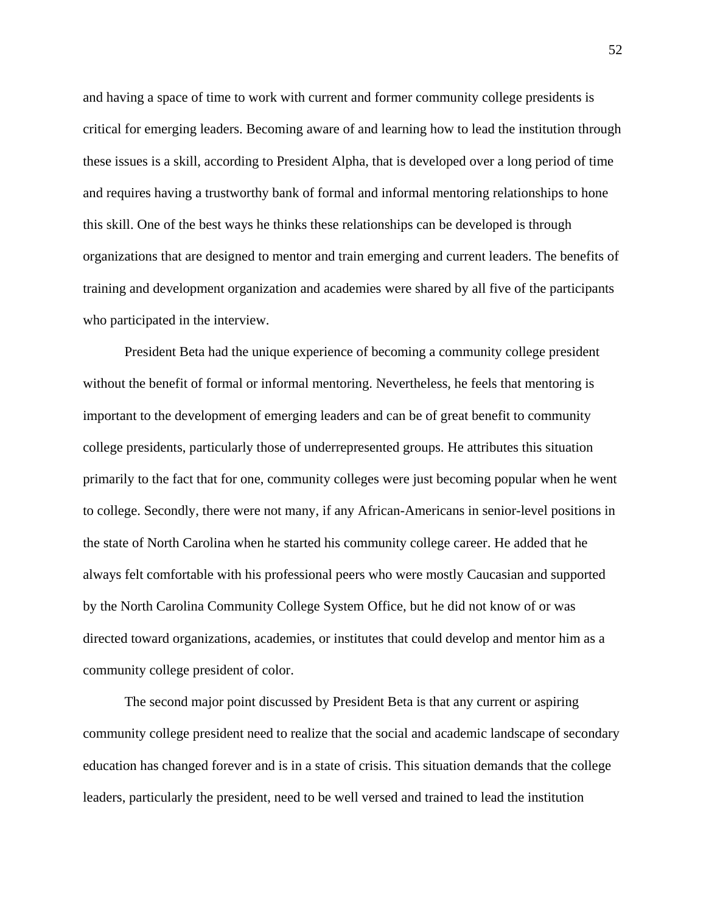and having a space of time to work with current and former community college presidents is critical for emerging leaders. Becoming aware of and learning how to lead the institution through these issues is a skill, according to President Alpha, that is developed over a long period of time and requires having a trustworthy bank of formal and informal mentoring relationships to hone this skill. One of the best ways he thinks these relationships can be developed is through organizations that are designed to mentor and train emerging and current leaders. The benefits of training and development organization and academies were shared by all five of the participants who participated in the interview.

President Beta had the unique experience of becoming a community college president without the benefit of formal or informal mentoring. Nevertheless, he feels that mentoring is important to the development of emerging leaders and can be of great benefit to community college presidents, particularly those of underrepresented groups. He attributes this situation primarily to the fact that for one, community colleges were just becoming popular when he went to college. Secondly, there were not many, if any African-Americans in senior-level positions in the state of North Carolina when he started his community college career. He added that he always felt comfortable with his professional peers who were mostly Caucasian and supported by the North Carolina Community College System Office, but he did not know of or was directed toward organizations, academies, or institutes that could develop and mentor him as a community college president of color.

The second major point discussed by President Beta is that any current or aspiring community college president need to realize that the social and academic landscape of secondary education has changed forever and is in a state of crisis. This situation demands that the college leaders, particularly the president, need to be well versed and trained to lead the institution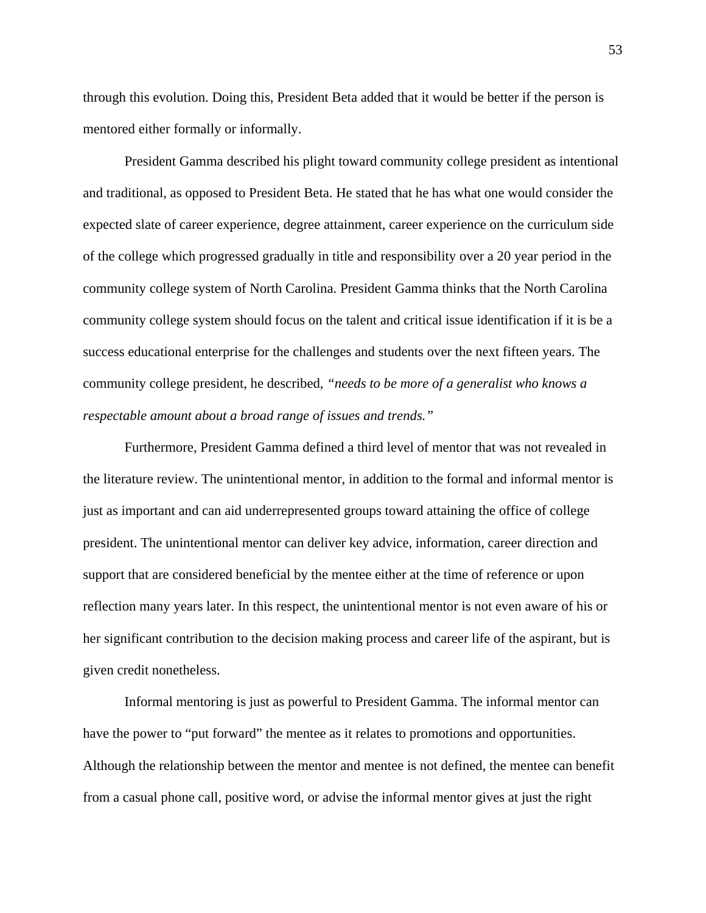through this evolution. Doing this, President Beta added that it would be better if the person is mentored either formally or informally.

President Gamma described his plight toward community college president as intentional and traditional, as opposed to President Beta. He stated that he has what one would consider the expected slate of career experience, degree attainment, career experience on the curriculum side of the college which progressed gradually in title and responsibility over a 20 year period in the community college system of North Carolina. President Gamma thinks that the North Carolina community college system should focus on the talent and critical issue identification if it is be a success educational enterprise for the challenges and students over the next fifteen years. The community college president, he described, *"needs to be more of a generalist who knows a respectable amount about a broad range of issues and trends."*

Furthermore, President Gamma defined a third level of mentor that was not revealed in the literature review. The unintentional mentor, in addition to the formal and informal mentor is just as important and can aid underrepresented groups toward attaining the office of college president. The unintentional mentor can deliver key advice, information, career direction and support that are considered beneficial by the mentee either at the time of reference or upon reflection many years later. In this respect, the unintentional mentor is not even aware of his or her significant contribution to the decision making process and career life of the aspirant, but is given credit nonetheless.

Informal mentoring is just as powerful to President Gamma. The informal mentor can have the power to "put forward" the mentee as it relates to promotions and opportunities. Although the relationship between the mentor and mentee is not defined, the mentee can benefit from a casual phone call, positive word, or advise the informal mentor gives at just the right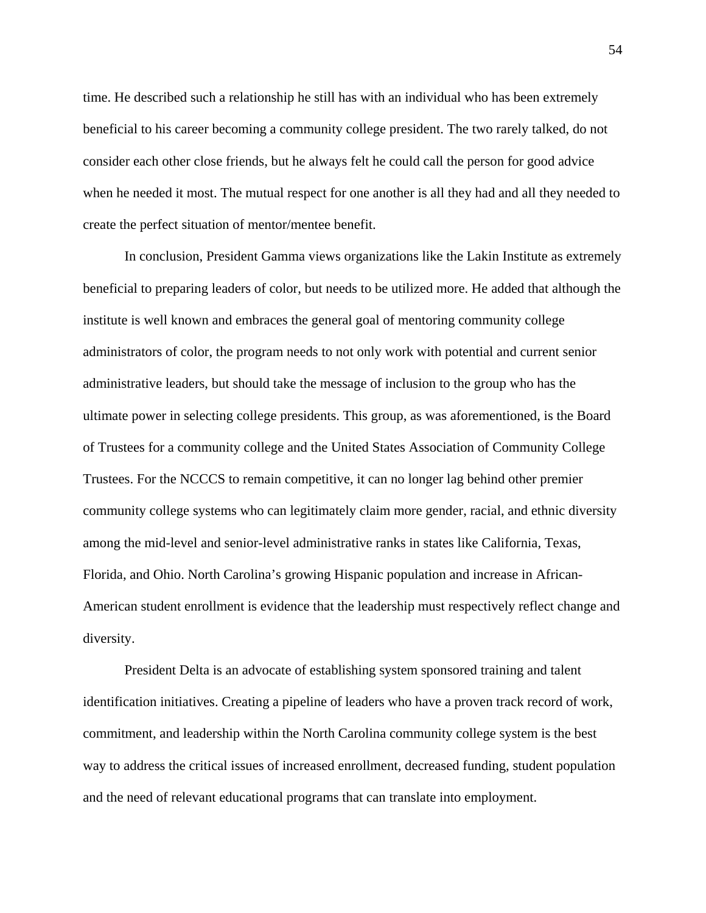time. He described such a relationship he still has with an individual who has been extremely beneficial to his career becoming a community college president. The two rarely talked, do not consider each other close friends, but he always felt he could call the person for good advice when he needed it most. The mutual respect for one another is all they had and all they needed to create the perfect situation of mentor/mentee benefit.

In conclusion, President Gamma views organizations like the Lakin Institute as extremely beneficial to preparing leaders of color, but needs to be utilized more. He added that although the institute is well known and embraces the general goal of mentoring community college administrators of color, the program needs to not only work with potential and current senior administrative leaders, but should take the message of inclusion to the group who has the ultimate power in selecting college presidents. This group, as was aforementioned, is the Board of Trustees for a community college and the United States Association of Community College Trustees. For the NCCCS to remain competitive, it can no longer lag behind other premier community college systems who can legitimately claim more gender, racial, and ethnic diversity among the mid-level and senior-level administrative ranks in states like California, Texas, Florida, and Ohio. North Carolina's growing Hispanic population and increase in African-American student enrollment is evidence that the leadership must respectively reflect change and diversity.

President Delta is an advocate of establishing system sponsored training and talent identification initiatives. Creating a pipeline of leaders who have a proven track record of work, commitment, and leadership within the North Carolina community college system is the best way to address the critical issues of increased enrollment, decreased funding, student population and the need of relevant educational programs that can translate into employment.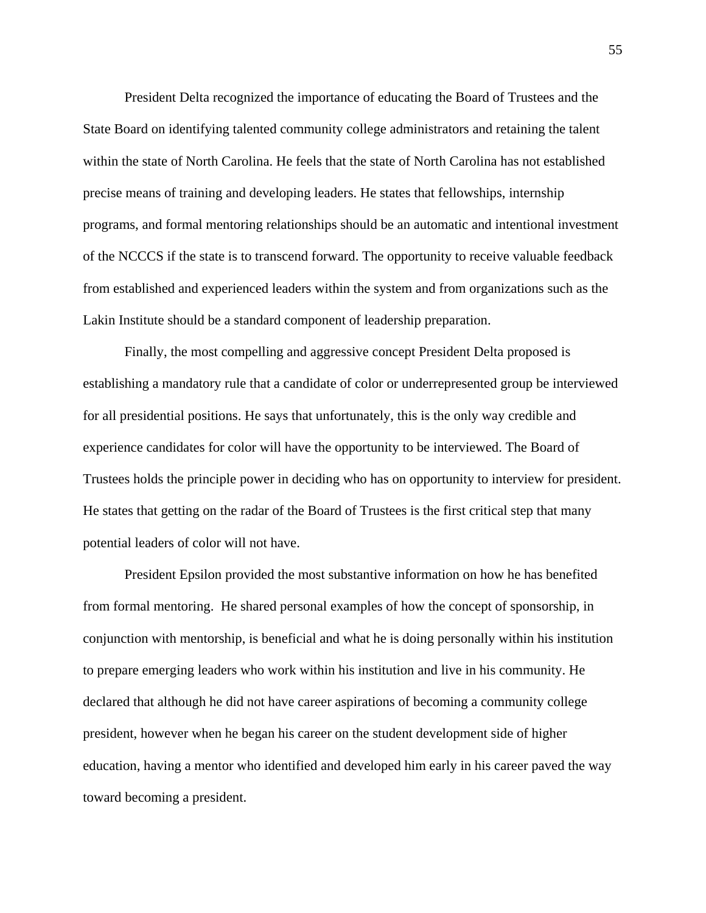President Delta recognized the importance of educating the Board of Trustees and the State Board on identifying talented community college administrators and retaining the talent within the state of North Carolina. He feels that the state of North Carolina has not established precise means of training and developing leaders. He states that fellowships, internship programs, and formal mentoring relationships should be an automatic and intentional investment of the NCCCS if the state is to transcend forward. The opportunity to receive valuable feedback from established and experienced leaders within the system and from organizations such as the Lakin Institute should be a standard component of leadership preparation.

Finally, the most compelling and aggressive concept President Delta proposed is establishing a mandatory rule that a candidate of color or underrepresented group be interviewed for all presidential positions. He says that unfortunately, this is the only way credible and experience candidates for color will have the opportunity to be interviewed. The Board of Trustees holds the principle power in deciding who has on opportunity to interview for president. He states that getting on the radar of the Board of Trustees is the first critical step that many potential leaders of color will not have.

President Epsilon provided the most substantive information on how he has benefited from formal mentoring. He shared personal examples of how the concept of sponsorship, in conjunction with mentorship, is beneficial and what he is doing personally within his institution to prepare emerging leaders who work within his institution and live in his community. He declared that although he did not have career aspirations of becoming a community college president, however when he began his career on the student development side of higher education, having a mentor who identified and developed him early in his career paved the way toward becoming a president.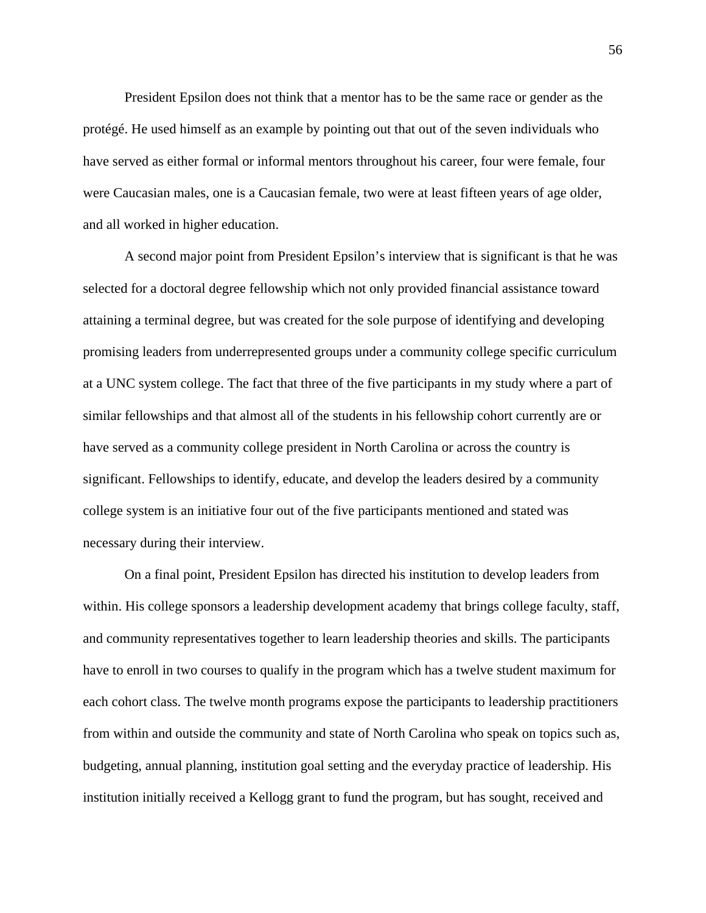President Epsilon does not think that a mentor has to be the same race or gender as the protégé. He used himself as an example by pointing out that out of the seven individuals who have served as either formal or informal mentors throughout his career, four were female, four were Caucasian males, one is a Caucasian female, two were at least fifteen years of age older, and all worked in higher education.

A second major point from President Epsilon's interview that is significant is that he was selected for a doctoral degree fellowship which not only provided financial assistance toward attaining a terminal degree, but was created for the sole purpose of identifying and developing promising leaders from underrepresented groups under a community college specific curriculum at a UNC system college. The fact that three of the five participants in my study where a part of similar fellowships and that almost all of the students in his fellowship cohort currently are or have served as a community college president in North Carolina or across the country is significant. Fellowships to identify, educate, and develop the leaders desired by a community college system is an initiative four out of the five participants mentioned and stated was necessary during their interview.

On a final point, President Epsilon has directed his institution to develop leaders from within. His college sponsors a leadership development academy that brings college faculty, staff, and community representatives together to learn leadership theories and skills. The participants have to enroll in two courses to qualify in the program which has a twelve student maximum for each cohort class. The twelve month programs expose the participants to leadership practitioners from within and outside the community and state of North Carolina who speak on topics such as, budgeting, annual planning, institution goal setting and the everyday practice of leadership. His institution initially received a Kellogg grant to fund the program, but has sought, received and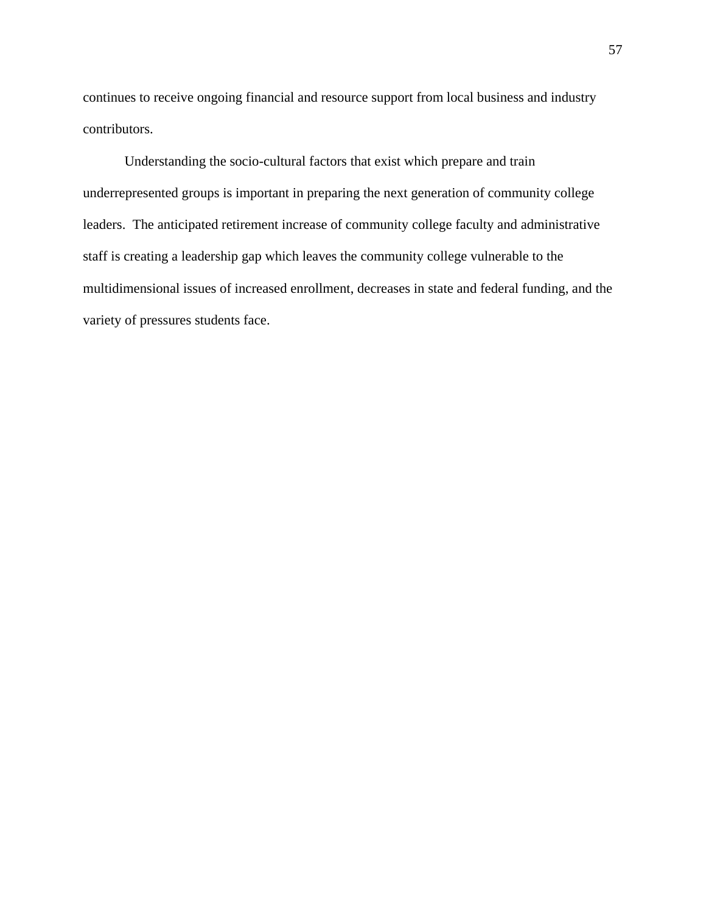continues to receive ongoing financial and resource support from local business and industry contributors.

Understanding the socio-cultural factors that exist which prepare and train underrepresented groups is important in preparing the next generation of community college leaders. The anticipated retirement increase of community college faculty and administrative staff is creating a leadership gap which leaves the community college vulnerable to the multidimensional issues of increased enrollment, decreases in state and federal funding, and the variety of pressures students face.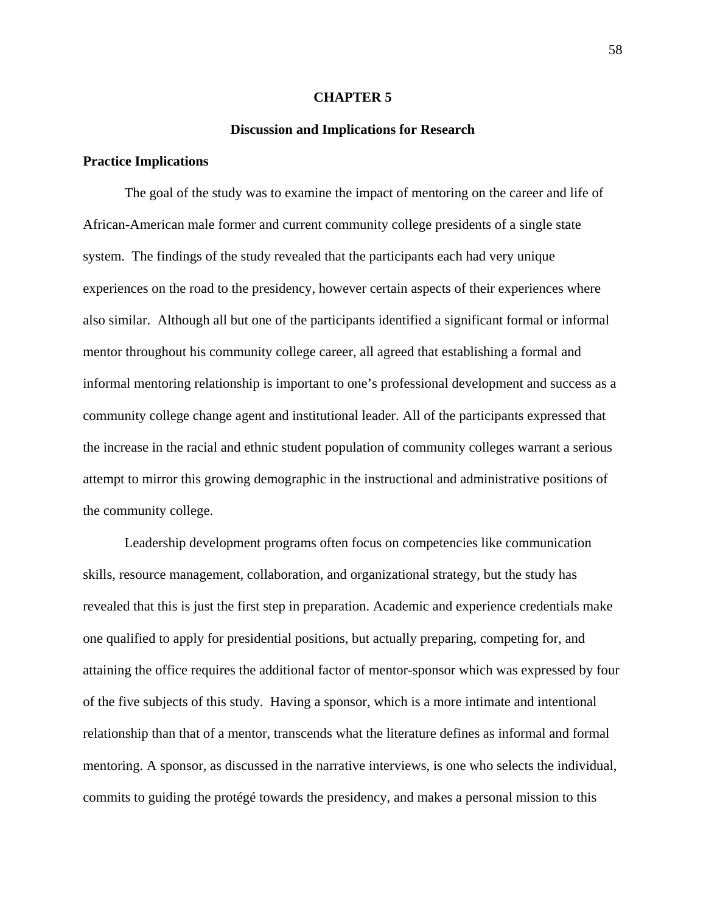### **CHAPTER 5**

## **Discussion and Implications for Research**

### **Practice Implications**

The goal of the study was to examine the impact of mentoring on the career and life of African-American male former and current community college presidents of a single state system. The findings of the study revealed that the participants each had very unique experiences on the road to the presidency, however certain aspects of their experiences where also similar. Although all but one of the participants identified a significant formal or informal mentor throughout his community college career, all agreed that establishing a formal and informal mentoring relationship is important to one's professional development and success as a community college change agent and institutional leader. All of the participants expressed that the increase in the racial and ethnic student population of community colleges warrant a serious attempt to mirror this growing demographic in the instructional and administrative positions of the community college.

Leadership development programs often focus on competencies like communication skills, resource management, collaboration, and organizational strategy, but the study has revealed that this is just the first step in preparation. Academic and experience credentials make one qualified to apply for presidential positions, but actually preparing, competing for, and attaining the office requires the additional factor of mentor-sponsor which was expressed by four of the five subjects of this study. Having a sponsor, which is a more intimate and intentional relationship than that of a mentor, transcends what the literature defines as informal and formal mentoring. A sponsor, as discussed in the narrative interviews, is one who selects the individual, commits to guiding the protégé towards the presidency, and makes a personal mission to this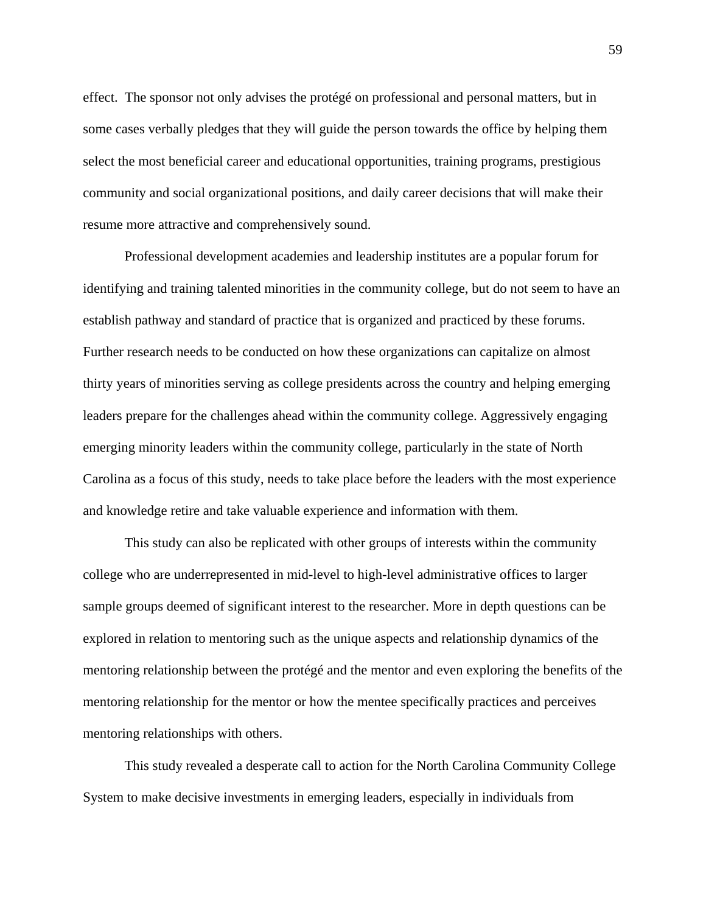effect. The sponsor not only advises the protégé on professional and personal matters, but in some cases verbally pledges that they will guide the person towards the office by helping them select the most beneficial career and educational opportunities, training programs, prestigious community and social organizational positions, and daily career decisions that will make their resume more attractive and comprehensively sound.

Professional development academies and leadership institutes are a popular forum for identifying and training talented minorities in the community college, but do not seem to have an establish pathway and standard of practice that is organized and practiced by these forums. Further research needs to be conducted on how these organizations can capitalize on almost thirty years of minorities serving as college presidents across the country and helping emerging leaders prepare for the challenges ahead within the community college. Aggressively engaging emerging minority leaders within the community college, particularly in the state of North Carolina as a focus of this study, needs to take place before the leaders with the most experience and knowledge retire and take valuable experience and information with them.

This study can also be replicated with other groups of interests within the community college who are underrepresented in mid-level to high-level administrative offices to larger sample groups deemed of significant interest to the researcher. More in depth questions can be explored in relation to mentoring such as the unique aspects and relationship dynamics of the mentoring relationship between the protégé and the mentor and even exploring the benefits of the mentoring relationship for the mentor or how the mentee specifically practices and perceives mentoring relationships with others.

This study revealed a desperate call to action for the North Carolina Community College System to make decisive investments in emerging leaders, especially in individuals from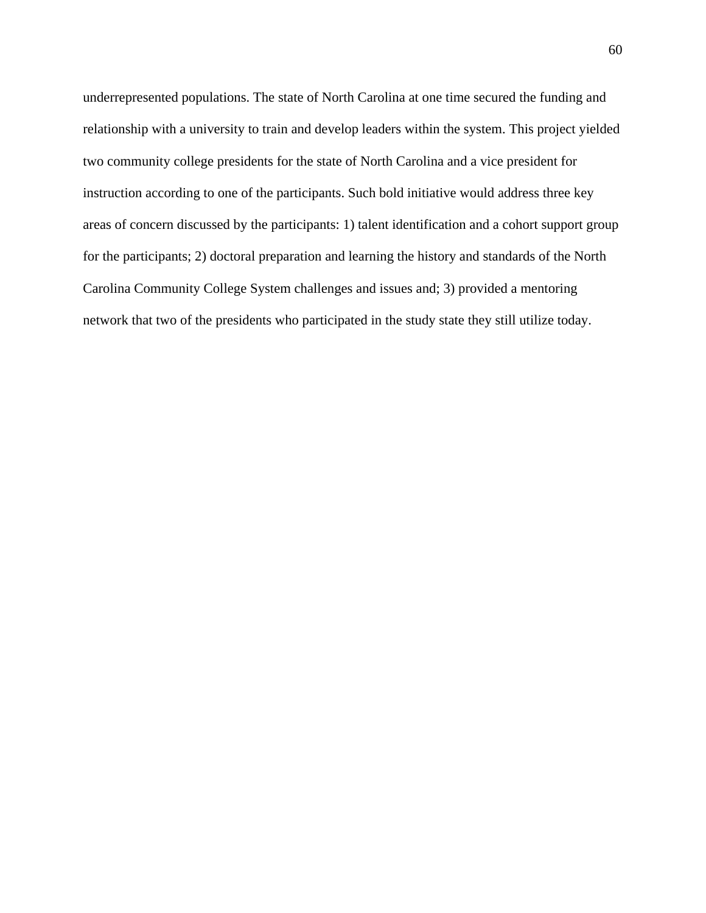underrepresented populations. The state of North Carolina at one time secured the funding and relationship with a university to train and develop leaders within the system. This project yielded two community college presidents for the state of North Carolina and a vice president for instruction according to one of the participants. Such bold initiative would address three key areas of concern discussed by the participants: 1) talent identification and a cohort support group for the participants; 2) doctoral preparation and learning the history and standards of the North Carolina Community College System challenges and issues and; 3) provided a mentoring network that two of the presidents who participated in the study state they still utilize today.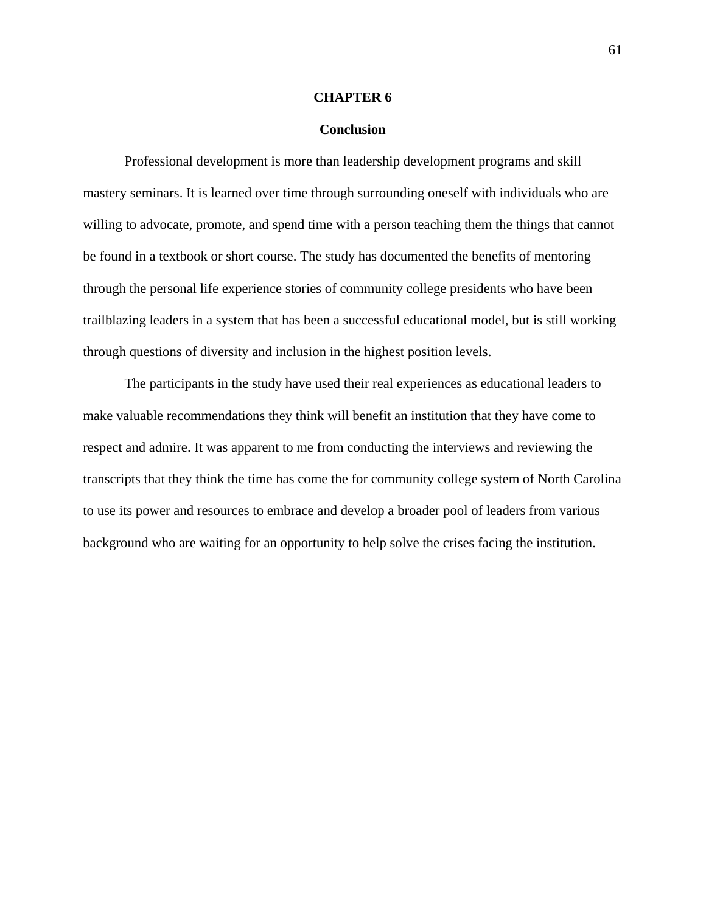### **CHAPTER 6**

## **Conclusion**

Professional development is more than leadership development programs and skill mastery seminars. It is learned over time through surrounding oneself with individuals who are willing to advocate, promote, and spend time with a person teaching them the things that cannot be found in a textbook or short course. The study has documented the benefits of mentoring through the personal life experience stories of community college presidents who have been trailblazing leaders in a system that has been a successful educational model, but is still working through questions of diversity and inclusion in the highest position levels.

The participants in the study have used their real experiences as educational leaders to make valuable recommendations they think will benefit an institution that they have come to respect and admire. It was apparent to me from conducting the interviews and reviewing the transcripts that they think the time has come the for community college system of North Carolina to use its power and resources to embrace and develop a broader pool of leaders from various background who are waiting for an opportunity to help solve the crises facing the institution.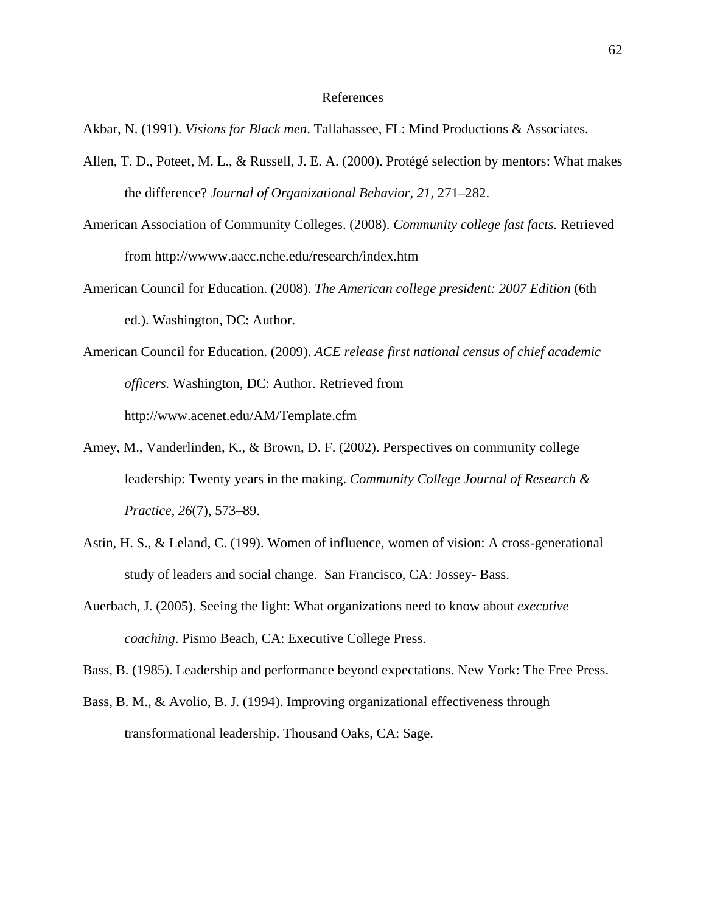## References

Akbar, N. (1991). *Visions for Black men*. Tallahassee, FL: Mind Productions & Associates.

- Allen, T. D., Poteet, M. L., & Russell, J. E. A. (2000). Protégé selection by mentors: What makes the difference? *Journal of Organizational Behavior*, *21,* 271–282.
- American Association of Community Colleges. (2008). *Community college fast facts.* Retrieved from http://wwww.aacc.nche.edu/research/index.htm
- American Council for Education. (2008). *The American college president: 2007 Edition* (6th ed.). Washington, DC: Author.
- American Council for Education. (2009). *ACE release first national census of chief academic officers.* Washington, DC: Author. Retrieved from http://www.acenet.edu/AM/Template.cfm
- Amey, M., Vanderlinden, K., & Brown, D. F. (2002). Perspectives on community college leadership: Twenty years in the making. *Community College Journal of Research & Practice, 26*(7), 573–89.
- Astin, H. S., & Leland, C. (199). Women of influence, women of vision: A cross-generational study of leaders and social change. San Francisco, CA: Jossey- Bass.
- Auerbach, J. (2005). Seeing the light: What organizations need to know about *executive coaching*. Pismo Beach, CA: Executive College Press.

Bass, B. (1985). Leadership and performance beyond expectations. New York: The Free Press.

Bass, B. M., & Avolio, B. J. (1994). Improving organizational effectiveness through transformational leadership. Thousand Oaks, CA: Sage.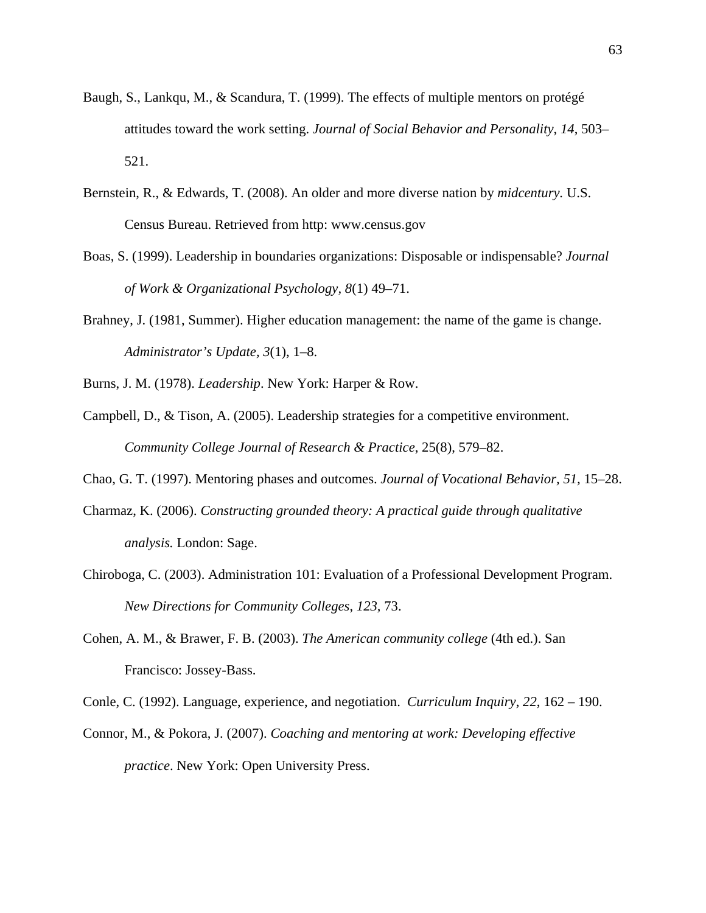- Baugh, S., Lankqu, M., & Scandura, T. (1999). The effects of multiple mentors on protégé attitudes toward the work setting. *Journal of Social Behavior and Personality*, *14*, 503– 521.
- Bernstein, R., & Edwards, T. (2008). An older and more diverse nation by *midcentury.* U.S. Census Bureau. Retrieved from http: www.census.gov
- Boas, S. (1999). Leadership in boundaries organizations: Disposable or indispensable? *Journal of Work & Organizational Psychology, 8*(1) 49–71.
- Brahney, J. (1981, Summer). Higher education management: the name of the game is change. *Administrator's Update, 3*(1), 1–8.
- Burns, J. M. (1978). *Leadership*. New York: Harper & Row.
- Campbell, D., & Tison, A. (2005). Leadership strategies for a competitive environment. *Community College Journal of Research & Practice*, 25(8), 579–82.

Chao, G. T. (1997). Mentoring phases and outcomes. *Journal of Vocational Behavior, 51,* 15–28.

- Charmaz, K. (2006). *Constructing grounded theory: A practical guide through qualitative analysis.* London: Sage.
- Chiroboga, C. (2003). Administration 101: Evaluation of a Professional Development Program. *New Directions for Community Colleges*, *123,* 73.
- Cohen, A. M., & Brawer, F. B. (2003). *The American community college* (4th ed.). San Francisco: Jossey-Bass.

Conle, C. (1992). Language, experience, and negotiation. *Curriculum Inquiry*, *22*, 162 – 190.

Connor, M., & Pokora, J. (2007). *Coaching and mentoring at work: Developing effective practice*. New York: Open University Press.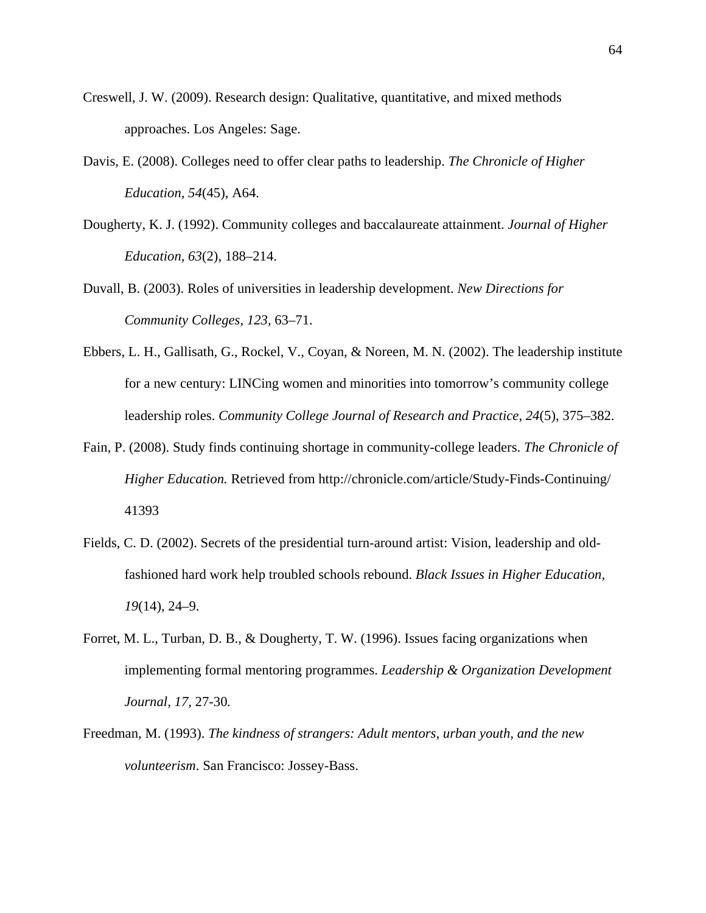- Creswell, J. W. (2009). Research design: Qualitative, quantitative, and mixed methods approaches. Los Angeles: Sage.
- Davis, E. (2008). Colleges need to offer clear paths to leadership. *The Chronicle of Higher Education, 54*(45), A64.
- Dougherty, K. J. (1992). Community colleges and baccalaureate attainment. *Journal of Higher Education, 63*(2), 188–214.
- Duvall, B. (2003). Roles of universities in leadership development. *New Directions for Community Colleges, 123,* 63–71.
- Ebbers, L. H., Gallisath, G., Rockel, V., Coyan, & Noreen, M. N. (2002). The leadership institute for a new century: LINCing women and minorities into tomorrow's community college leadership roles. *Community College Journal of Research and Practice*, *24*(5), 375–382.
- Fain, P. (2008). Study finds continuing shortage in community-college leaders. *The Chronicle of Higher Education.* Retrieved from http://chronicle.com/article/Study-Finds-Continuing/ 41393
- Fields, C. D. (2002). Secrets of the presidential turn-around artist: Vision, leadership and oldfashioned hard work help troubled schools rebound. *Black Issues in Higher Education, 19*(14), 24–9.
- Forret, M. L., Turban, D. B., & Dougherty, T. W. (1996). Issues facing organizations when implementing formal mentoring programmes. *Leadership & Organization Development Journal, 17,* 27-30*.*
- Freedman, M. (1993). *The kindness of strangers: Adult mentors, urban youth, and the new volunteerism*. San Francisco: Jossey-Bass.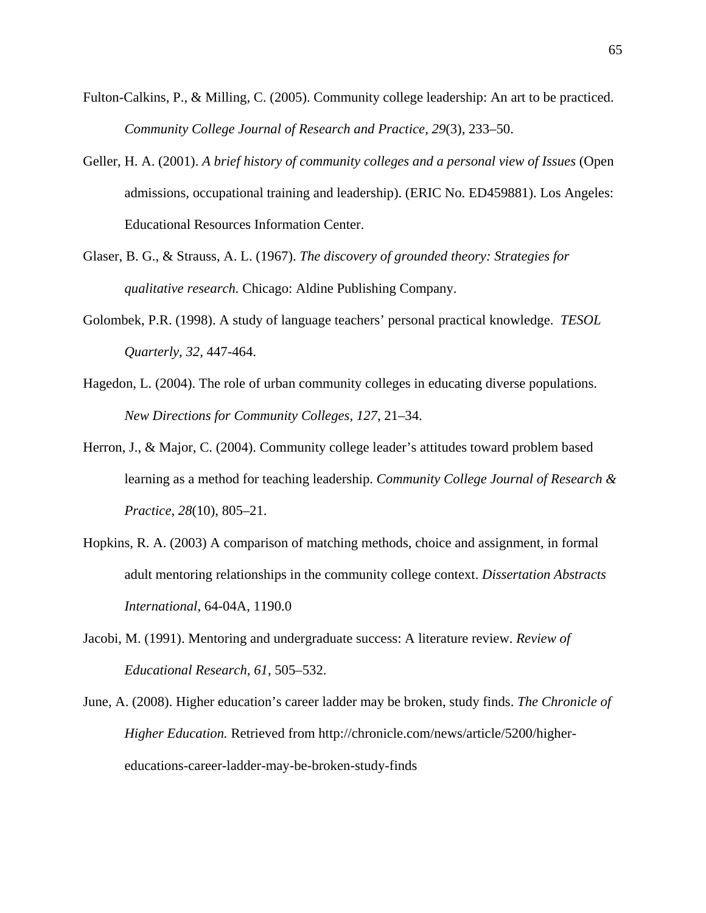- Fulton-Calkins, P., & Milling, C. (2005). Community college leadership: An art to be practiced. *Community College Journal of Research and Practice, 29*(3), 233–50.
- Geller, H. A. (2001). *A brief history of community colleges and a personal view of Issues* (Open admissions, occupational training and leadership). (ERIC No. ED459881). Los Angeles: Educational Resources Information Center.
- Glaser, B. G., & Strauss, A. L. (1967). *The discovery of grounded theory: Strategies for qualitative research.* Chicago: Aldine Publishing Company.
- Golombek, P.R. (1998). A study of language teachers' personal practical knowledge. *TESOL Quarterly, 32,* 447-464.
- Hagedon, L. (2004). The role of urban community colleges in educating diverse populations. *New Directions for Community Colleges, 127,* 21–34.
- Herron, J., & Major, C. (2004). Community college leader's attitudes toward problem based learning as a method for teaching leadership. *Community College Journal of Research & Practice, 28*(10), 805–21.
- Hopkins, R. A. (2003) A comparison of matching methods, choice and assignment, in formal adult mentoring relationships in the community college context. *Dissertation Abstracts International*, 64-04A, 1190.0
- Jacobi, M. (1991). Mentoring and undergraduate success: A literature review. *Review of Educational Research, 61,* 505–532.
- June, A. (2008). Higher education's career ladder may be broken, study finds. *The Chronicle of Higher Education.* Retrieved from http://chronicle.com/news/article/5200/highereducations-career-ladder-may-be-broken-study-finds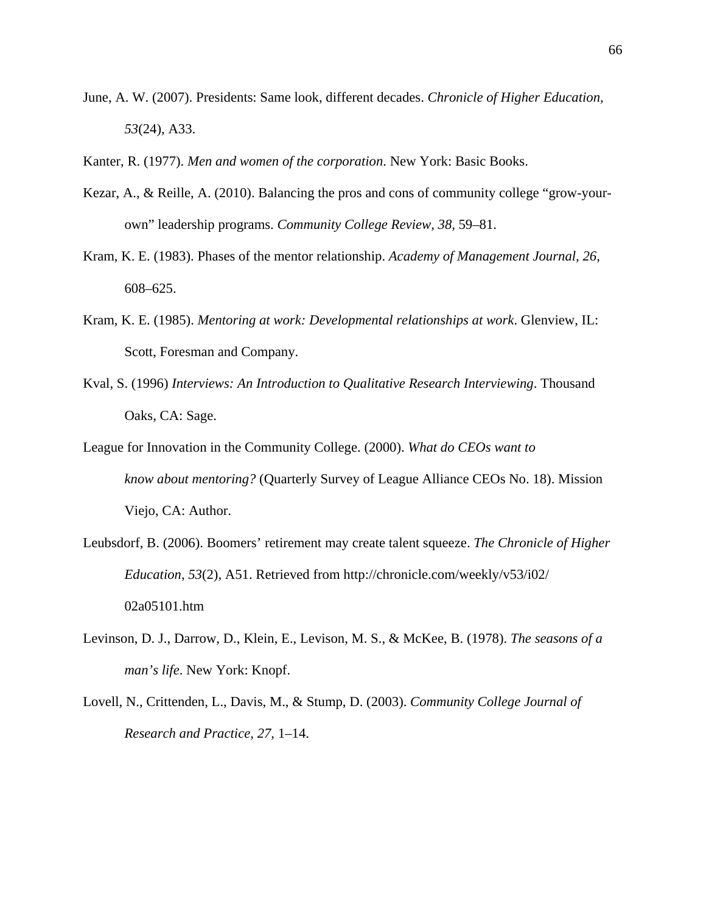- June, A. W. (2007). Presidents: Same look, different decades. *Chronicle of Higher Education, 53*(24), A33.
- Kanter, R. (1977). *Men and women of the corporation*. New York: Basic Books.
- Kezar, A., & Reille, A. (2010). Balancing the pros and cons of community college "grow-yourown" leadership programs. *Community College Review, 38,* 59–81.
- Kram, K. E. (1983). Phases of the mentor relationship. *Academy of Management Journal, 26,*  608–625.
- Kram, K. E. (1985). *Mentoring at work: Developmental relationships at work*. Glenview, IL: Scott, Foresman and Company.
- Kval, S. (1996) *Interviews: An Introduction to Qualitative Research Interviewing*. Thousand Oaks, CA: Sage.
- League for Innovation in the Community College. (2000). *What do CEOs want to know about mentoring?* (Quarterly Survey of League Alliance CEOs No. 18). Mission Viejo, CA: Author.
- Leubsdorf, B. (2006). Boomers' retirement may create talent squeeze. *The Chronicle of Higher Education*, *53*(2), A51. Retrieved from http://chronicle.com/weekly/v53/i02/ 02a05101.htm
- Levinson, D. J., Darrow, D., Klein, E., Levison, M. S., & McKee, B. (1978). *The seasons of a man's life*. New York: Knopf.
- Lovell, N., Crittenden, L., Davis, M., & Stump, D. (2003). *Community College Journal of Research and Practice, 27,* 1–14.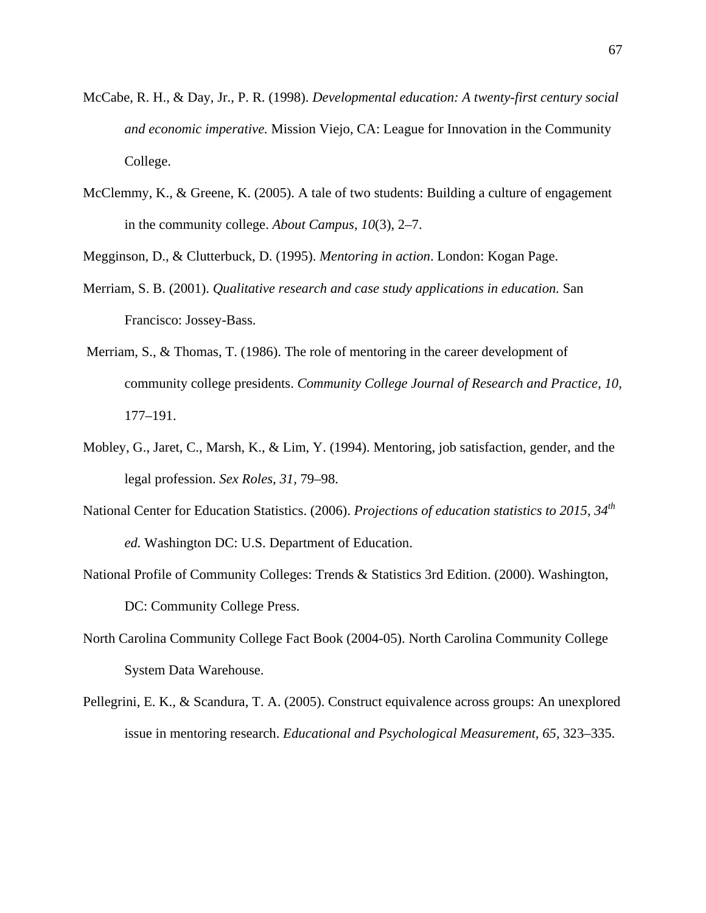- McCabe, R. H., & Day, Jr., P. R. (1998). *Developmental education: A twenty-first century social and economic imperative.* Mission Viejo, CA: League for Innovation in the Community College.
- McClemmy, K., & Greene, K. (2005). A tale of two students: Building a culture of engagement in the community college. *About Campus*, *10*(3), 2–7.

Megginson, D., & Clutterbuck, D. (1995). *Mentoring in action*. London: Kogan Page.

- Merriam, S. B. (2001). *Qualitative research and case study applications in education.* San Francisco: Jossey-Bass.
- Merriam, S., & Thomas, T. (1986). The role of mentoring in the career development of community college presidents. *Community College Journal of Research and Practice*, *10,* 177–191.
- Mobley, G., Jaret, C., Marsh, K., & Lim, Y. (1994). Mentoring, job satisfaction, gender, and the legal profession. *Sex Roles, 31,* 79–98.
- National Center for Education Statistics. (2006). *Projections of education statistics to 2015, 34th ed.* Washington DC: U.S. Department of Education.
- National Profile of Community Colleges: Trends & Statistics 3rd Edition. (2000). Washington, DC: Community College Press.
- North Carolina Community College Fact Book (2004-05). North Carolina Community College System Data Warehouse.
- Pellegrini, E. K., & Scandura, T. A. (2005). Construct equivalence across groups: An unexplored issue in mentoring research. *Educational and Psychological Measurement, 65,* 323–335.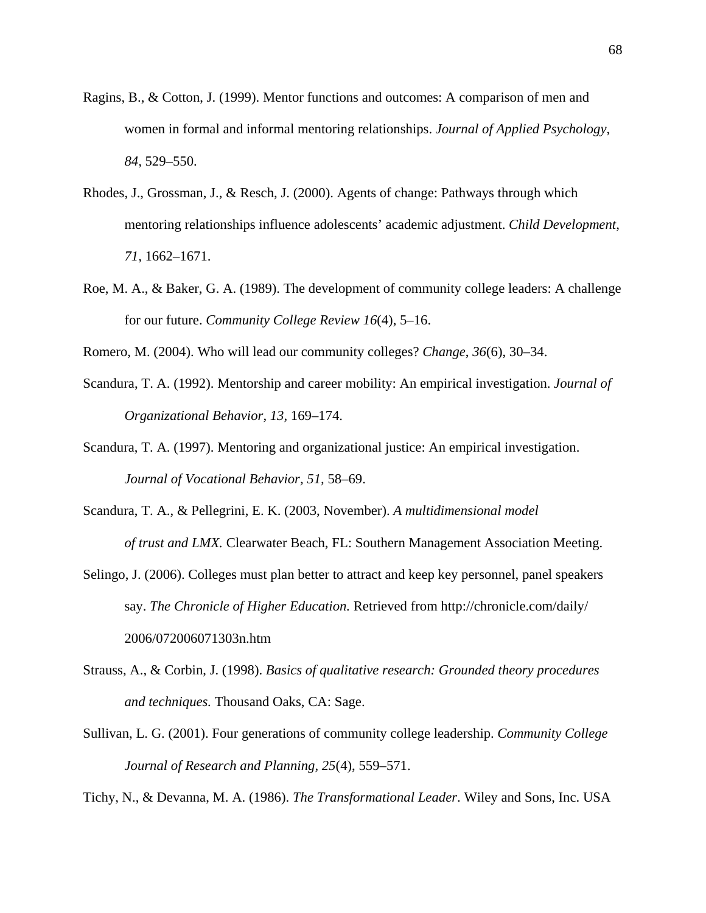- Ragins, B., & Cotton, J. (1999). Mentor functions and outcomes: A comparison of men and women in formal and informal mentoring relationships. *Journal of Applied Psychology*, *84,* 529–550.
- Rhodes, J., Grossman, J., & Resch, J. (2000). Agents of change: Pathways through which mentoring relationships influence adolescents' academic adjustment. *Child Development*, *71,* 1662–1671.
- Roe, M. A., & Baker, G. A. (1989). The development of community college leaders: A challenge for our future. *Community College Review 16*(4), 5–16.
- Romero, M. (2004). Who will lead our community colleges? *Change*, *36*(6), 30–34.
- Scandura, T. A. (1992). Mentorship and career mobility: An empirical investigation. *Journal of Organizational Behavior, 13,* 169–174.
- Scandura, T. A. (1997). Mentoring and organizational justice: An empirical investigation. *Journal of Vocational Behavior, 51,* 58–69.
- Scandura, T. A., & Pellegrini, E. K. (2003, November). *A multidimensional model of trust and LMX.* Clearwater Beach, FL: Southern Management Association Meeting.
- Selingo, J. (2006). Colleges must plan better to attract and keep key personnel, panel speakers say. *The Chronicle of Higher Education.* Retrieved from http://chronicle.com/daily/ 2006/072006071303n.htm
- Strauss, A., & Corbin, J. (1998). *Basics of qualitative research: Grounded theory procedures and techniques.* Thousand Oaks, CA: Sage.
- Sullivan, L. G. (2001). Four generations of community college leadership. *Community College Journal of Research and Planning, 25*(4), 559–571.

Tichy, N., & Devanna, M. A. (1986). *The Transformational Leader*. Wiley and Sons, Inc. USA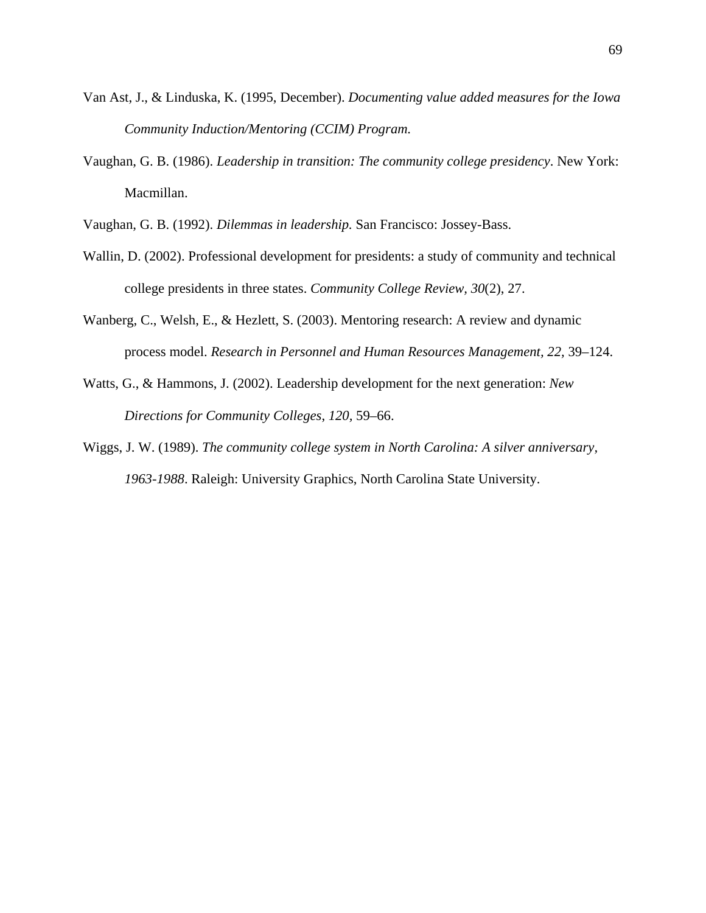- Van Ast, J., & Linduska, K. (1995, December). *Documenting value added measures for the Iowa Community Induction/Mentoring (CCIM) Program.*
- Vaughan, G. B. (1986). *Leadership in transition: The community college presidency*. New York: Macmillan.
- Vaughan, G. B. (1992). *Dilemmas in leadership.* San Francisco: Jossey-Bass.
- Wallin, D. (2002). Professional development for presidents: a study of community and technical college presidents in three states. *Community College Review, 30*(2), 27.
- Wanberg, C., Welsh, E., & Hezlett, S. (2003). Mentoring research: A review and dynamic process model. *Research in Personnel and Human Resources Management, 22,* 39–124.
- Watts, G., & Hammons, J. (2002). Leadership development for the next generation: *New Directions for Community Colleges*, *120,* 59–66.
- Wiggs, J. W. (1989). *The community college system in North Carolina: A silver anniversary, 1963-1988*. Raleigh: University Graphics, North Carolina State University.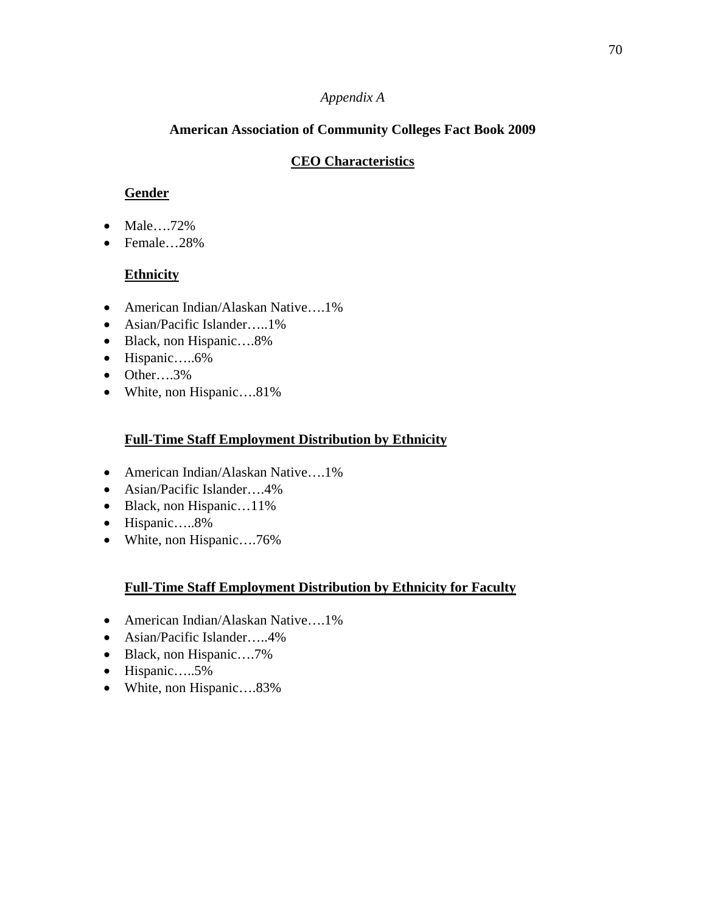#### *Appendix A*

### **American Association of Community Colleges Fact Book 2009**

### **CEO Characteristics**

### **Gender**

- Male....72%
- Female…28%

# **Ethnicity**

- American Indian/Alaskan Native....1%
- Asian/Pacific Islander…..1%
- Black, non Hispanic….8%
- Hispanic…..6%
- Other….3%
- White, non Hispanic….81%

### **Full-Time Staff Employment Distribution by Ethnicity**

- American Indian/Alaskan Native....1%
- Asian/Pacific Islander....4%
- Black, non Hispanic…11%
- Hispanic…..8%
- White, non Hispanic....76%

### **Full-Time Staff Employment Distribution by Ethnicity for Faculty**

- American Indian/Alaskan Native....1%
- Asian/Pacific Islander…..4%
- Black, non Hispanic….7%
- Hispanic…..5%
- White, non Hispanic….83%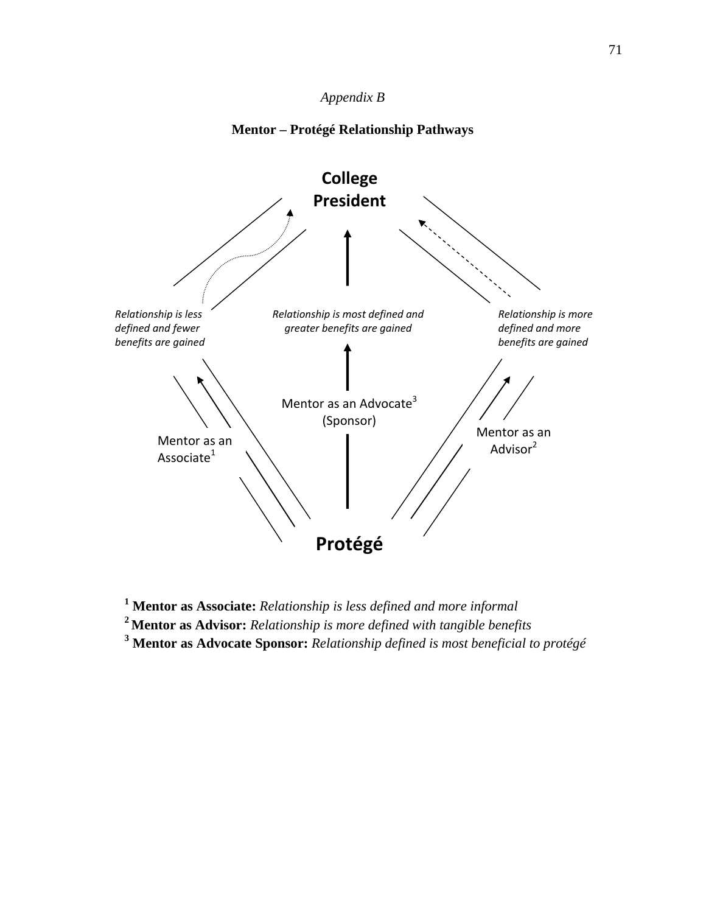# *Appendix B*

## **Mentor – Protégé Relationship Pathways**



**1 Mentor as Associate:** *Relationship is less defined and more informal*

**2 Mentor as Advisor:** *Relationship is more defined with tangible benefits*

**3 Mentor as Advocate Sponsor:** *Relationship defined is most beneficial to protégé*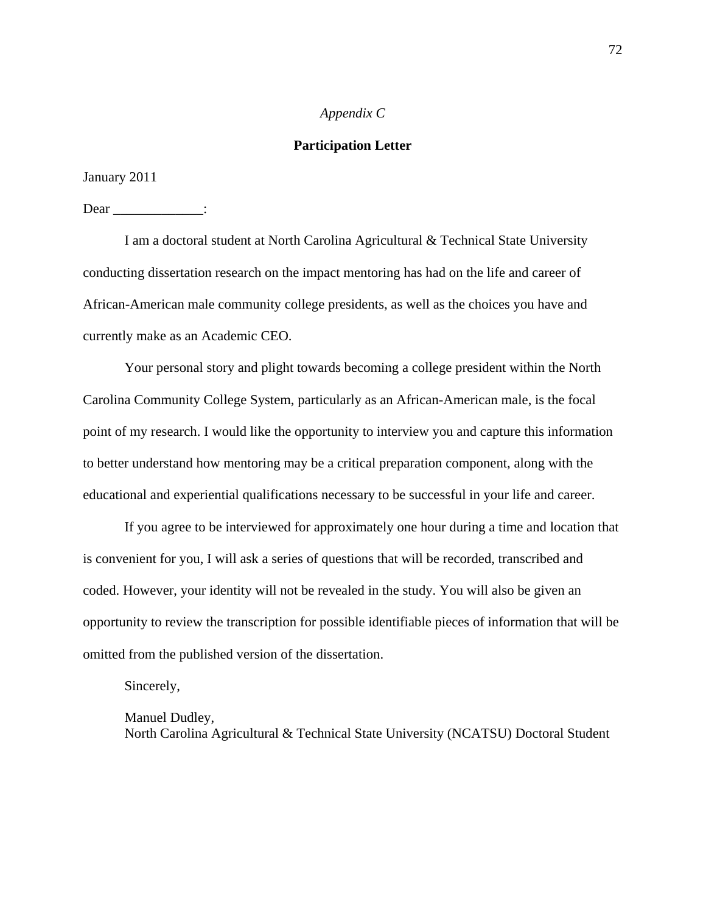#### *Appendix C*

#### **Participation Letter**

January 2011

Dear \_\_\_\_\_\_\_\_\_\_\_\_\_:

I am a doctoral student at North Carolina Agricultural & Technical State University conducting dissertation research on the impact mentoring has had on the life and career of African-American male community college presidents, as well as the choices you have and currently make as an Academic CEO.

Your personal story and plight towards becoming a college president within the North Carolina Community College System, particularly as an African-American male, is the focal point of my research. I would like the opportunity to interview you and capture this information to better understand how mentoring may be a critical preparation component, along with the educational and experiential qualifications necessary to be successful in your life and career.

If you agree to be interviewed for approximately one hour during a time and location that is convenient for you, I will ask a series of questions that will be recorded, transcribed and coded. However, your identity will not be revealed in the study. You will also be given an opportunity to review the transcription for possible identifiable pieces of information that will be omitted from the published version of the dissertation.

Sincerely,

Manuel Dudley, North Carolina Agricultural & Technical State University (NCATSU) Doctoral Student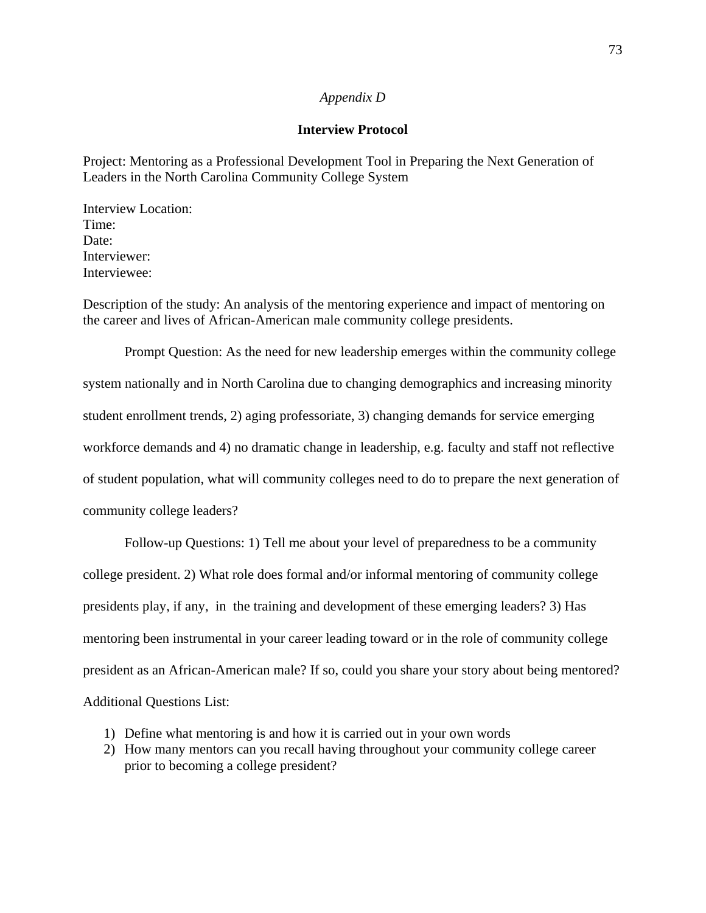#### *Appendix D*

#### **Interview Protocol**

Project: Mentoring as a Professional Development Tool in Preparing the Next Generation of Leaders in the North Carolina Community College System

Interview Location: Time: Date: Interviewer: Interviewee:

Description of the study: An analysis of the mentoring experience and impact of mentoring on the career and lives of African-American male community college presidents.

Prompt Question: As the need for new leadership emerges within the community college system nationally and in North Carolina due to changing demographics and increasing minority student enrollment trends, 2) aging professoriate, 3) changing demands for service emerging workforce demands and 4) no dramatic change in leadership, e.g. faculty and staff not reflective of student population, what will community colleges need to do to prepare the next generation of community college leaders?

Follow-up Questions: 1) Tell me about your level of preparedness to be a community college president. 2) What role does formal and/or informal mentoring of community college presidents play, if any, in the training and development of these emerging leaders? 3) Has mentoring been instrumental in your career leading toward or in the role of community college president as an African-American male? If so, could you share your story about being mentored? Additional Questions List:

- 1) Define what mentoring is and how it is carried out in your own words
- 2) How many mentors can you recall having throughout your community college career prior to becoming a college president?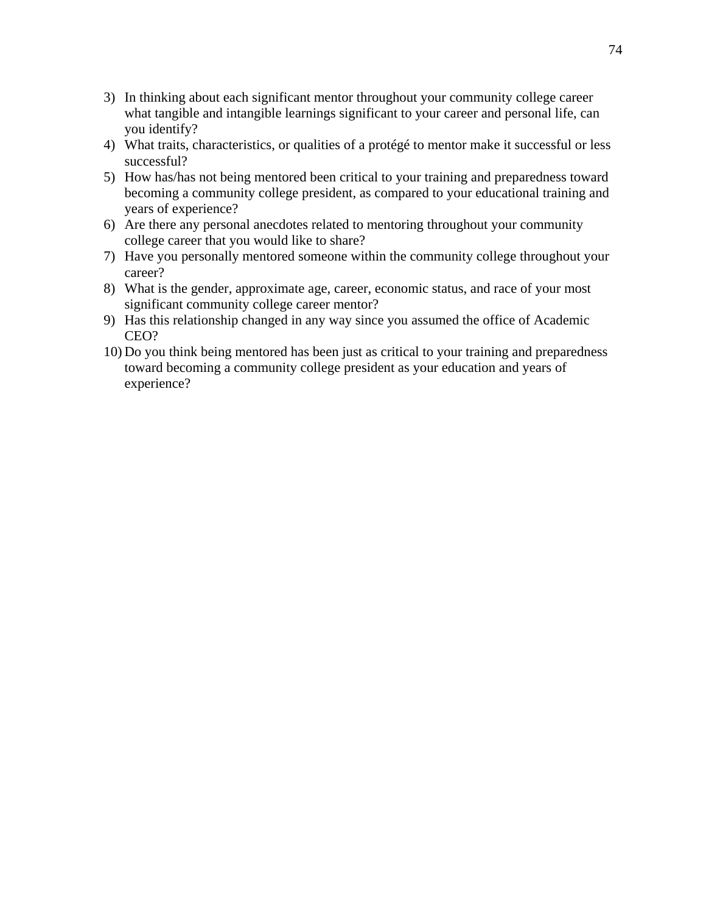- 3) In thinking about each significant mentor throughout your community college career what tangible and intangible learnings significant to your career and personal life, can you identify?
- 4) What traits, characteristics, or qualities of a protégé to mentor make it successful or less successful?
- 5) How has/has not being mentored been critical to your training and preparedness toward becoming a community college president, as compared to your educational training and years of experience?
- 6) Are there any personal anecdotes related to mentoring throughout your community college career that you would like to share?
- 7) Have you personally mentored someone within the community college throughout your career?
- 8) What is the gender, approximate age, career, economic status, and race of your most significant community college career mentor?
- 9) Has this relationship changed in any way since you assumed the office of Academic CEO?
- 10) Do you think being mentored has been just as critical to your training and preparedness toward becoming a community college president as your education and years of experience?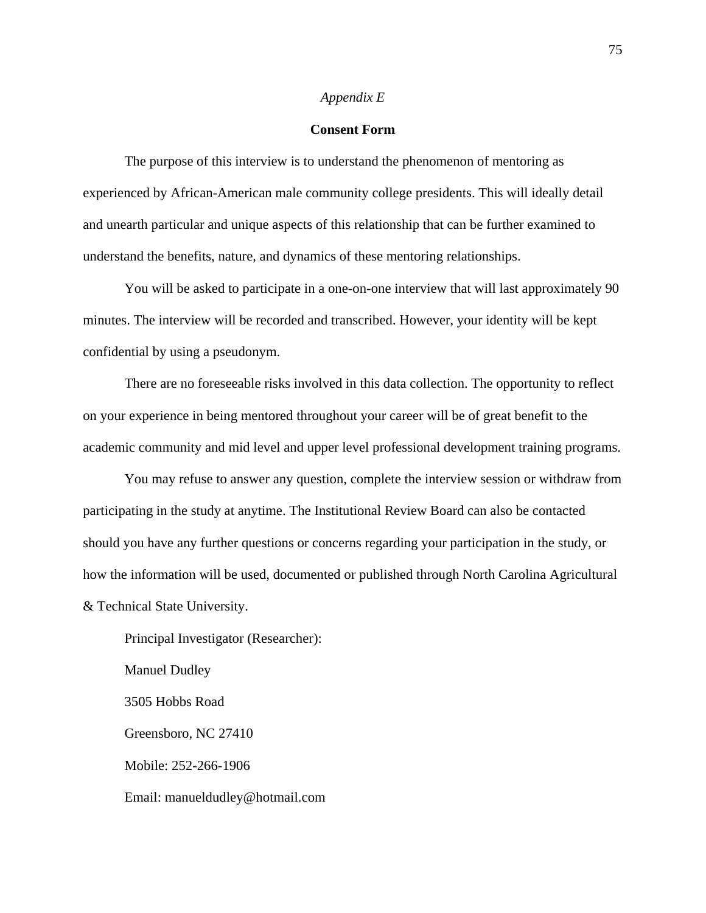#### *Appendix E*

#### **Consent Form**

The purpose of this interview is to understand the phenomenon of mentoring as experienced by African-American male community college presidents. This will ideally detail and unearth particular and unique aspects of this relationship that can be further examined to understand the benefits, nature, and dynamics of these mentoring relationships.

You will be asked to participate in a one-on-one interview that will last approximately 90 minutes. The interview will be recorded and transcribed. However, your identity will be kept confidential by using a pseudonym.

There are no foreseeable risks involved in this data collection. The opportunity to reflect on your experience in being mentored throughout your career will be of great benefit to the academic community and mid level and upper level professional development training programs.

You may refuse to answer any question, complete the interview session or withdraw from participating in the study at anytime. The Institutional Review Board can also be contacted should you have any further questions or concerns regarding your participation in the study, or how the information will be used, documented or published through North Carolina Agricultural & Technical State University.

Principal Investigator (Researcher): Manuel Dudley 3505 Hobbs Road Greensboro, NC 27410 Mobile: 252-266-1906 Email: manueldudley@hotmail.com